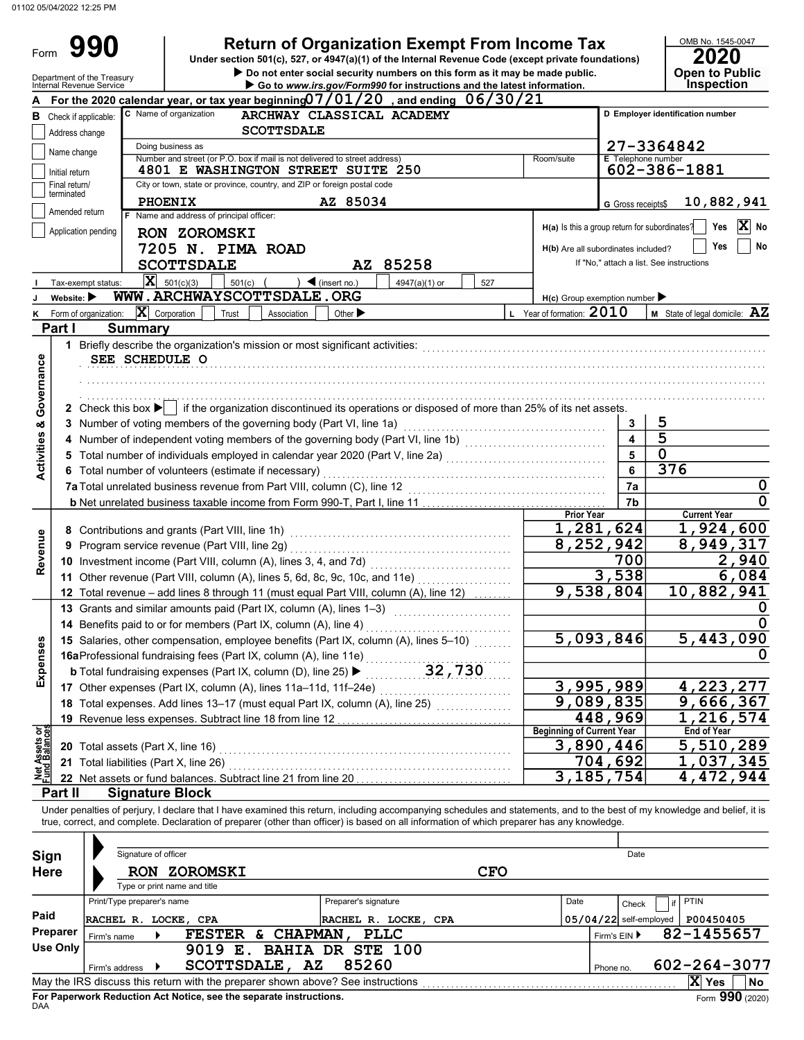01102 05/04/2022 12:25 PM

| Do not enter social security numbers on this form as it may be made public.<br>Department of the Treasury<br>Internal Revenue Service<br>Go to www.irs.gov/Form990 for instructions and the latest information.<br>For the 2020 calendar year, or tax year beginning $07/01/20$ , and ending $06/30/21$<br>C Name of organization<br>ARCHWAY CLASSICAL ACADEMY<br>Check if applicable:<br>в<br><b>SCOTTSDALE</b><br>Address change<br>Doing business as<br>Name change<br>Number and street (or P.O. box if mail is not delivered to street address)<br>4801 E WASHINGTON STREET SUITE 250<br>Initial return<br>City or town, state or province, country, and ZIP or foreign postal code<br>Final return/<br>terminated<br><b>PHOENIX</b><br>AZ 85034<br>Amended return<br>F Name and address of principal officer:<br>Application pending<br><b>RON ZOROMSKI</b><br>7205 N. PIMA ROAD<br><b>SCOTTSDALE</b><br>AZ 85258<br>$\mathbf{x}$<br>501(c)(3)<br>501(c)<br>$\blacktriangleleft$ (insert no.)<br>Tax-exempt status:<br>4947(a)(1) or<br>527<br>WWW.ARCHWAYSCOTTSDALE.ORG<br>Website: $\blacktriangleright$<br>$ \mathbf{X} $ Corporation<br>K Form of organization:<br>Trust<br>Association<br>Other $\blacktriangleright$<br>Part I<br><b>Summary</b><br>1 Briefly describe the organization's mission or most significant activities:<br>Governance<br>SEE SCHEDULE O<br>2 Check this box $\blacktriangleright$ if the organization discontinued its operations or disposed of more than 25% of its net assets.<br>3 Number of voting members of the governing body (Part VI, line 1a)<br><b>Activities &amp;</b><br>4 Number of independent voting members of the governing body (Part VI, line 1b) [100] [100] with the Number of independent voting<br>5 Total number of individuals employed in calendar year 2020 (Part V, line 2a) | Room/suite<br>H(a) Is this a group return for subordinates?<br>H(b) Are all subordinates included?<br>$H(c)$ Group exemption number<br>L Year of formation: 2010 | <b>E</b> Telephone number<br>G Gross receipts\$<br>3<br>$\overline{\mathbf{A}}$ | <b>Open to Public</b><br><b>Inspection</b><br>D Employer identification number<br>27-3364842<br>602-386-1881<br>X<br>Yes<br>Yes<br>If "No," attach a list. See instructions<br>5<br>$\overline{5}$ |
|--------------------------------------------------------------------------------------------------------------------------------------------------------------------------------------------------------------------------------------------------------------------------------------------------------------------------------------------------------------------------------------------------------------------------------------------------------------------------------------------------------------------------------------------------------------------------------------------------------------------------------------------------------------------------------------------------------------------------------------------------------------------------------------------------------------------------------------------------------------------------------------------------------------------------------------------------------------------------------------------------------------------------------------------------------------------------------------------------------------------------------------------------------------------------------------------------------------------------------------------------------------------------------------------------------------------------------------------------------------------------------------------------------------------------------------------------------------------------------------------------------------------------------------------------------------------------------------------------------------------------------------------------------------------------------------------------------------------------------------------------------------------------------------------------------------------------------------------------|------------------------------------------------------------------------------------------------------------------------------------------------------------------|---------------------------------------------------------------------------------|----------------------------------------------------------------------------------------------------------------------------------------------------------------------------------------------------|
|                                                                                                                                                                                                                                                                                                                                                                                                                                                                                                                                                                                                                                                                                                                                                                                                                                                                                                                                                                                                                                                                                                                                                                                                                                                                                                                                                                                                                                                                                                                                                                                                                                                                                                                                                                                                                                                  |                                                                                                                                                                  |                                                                                 |                                                                                                                                                                                                    |
|                                                                                                                                                                                                                                                                                                                                                                                                                                                                                                                                                                                                                                                                                                                                                                                                                                                                                                                                                                                                                                                                                                                                                                                                                                                                                                                                                                                                                                                                                                                                                                                                                                                                                                                                                                                                                                                  |                                                                                                                                                                  |                                                                                 |                                                                                                                                                                                                    |
|                                                                                                                                                                                                                                                                                                                                                                                                                                                                                                                                                                                                                                                                                                                                                                                                                                                                                                                                                                                                                                                                                                                                                                                                                                                                                                                                                                                                                                                                                                                                                                                                                                                                                                                                                                                                                                                  |                                                                                                                                                                  |                                                                                 |                                                                                                                                                                                                    |
|                                                                                                                                                                                                                                                                                                                                                                                                                                                                                                                                                                                                                                                                                                                                                                                                                                                                                                                                                                                                                                                                                                                                                                                                                                                                                                                                                                                                                                                                                                                                                                                                                                                                                                                                                                                                                                                  |                                                                                                                                                                  |                                                                                 |                                                                                                                                                                                                    |
|                                                                                                                                                                                                                                                                                                                                                                                                                                                                                                                                                                                                                                                                                                                                                                                                                                                                                                                                                                                                                                                                                                                                                                                                                                                                                                                                                                                                                                                                                                                                                                                                                                                                                                                                                                                                                                                  |                                                                                                                                                                  |                                                                                 |                                                                                                                                                                                                    |
|                                                                                                                                                                                                                                                                                                                                                                                                                                                                                                                                                                                                                                                                                                                                                                                                                                                                                                                                                                                                                                                                                                                                                                                                                                                                                                                                                                                                                                                                                                                                                                                                                                                                                                                                                                                                                                                  |                                                                                                                                                                  |                                                                                 | 10,882,941<br>No<br>No<br><b>M</b> State of legal domicile: $\mathbf{AZ}$                                                                                                                          |
|                                                                                                                                                                                                                                                                                                                                                                                                                                                                                                                                                                                                                                                                                                                                                                                                                                                                                                                                                                                                                                                                                                                                                                                                                                                                                                                                                                                                                                                                                                                                                                                                                                                                                                                                                                                                                                                  |                                                                                                                                                                  |                                                                                 |                                                                                                                                                                                                    |
|                                                                                                                                                                                                                                                                                                                                                                                                                                                                                                                                                                                                                                                                                                                                                                                                                                                                                                                                                                                                                                                                                                                                                                                                                                                                                                                                                                                                                                                                                                                                                                                                                                                                                                                                                                                                                                                  |                                                                                                                                                                  |                                                                                 |                                                                                                                                                                                                    |
|                                                                                                                                                                                                                                                                                                                                                                                                                                                                                                                                                                                                                                                                                                                                                                                                                                                                                                                                                                                                                                                                                                                                                                                                                                                                                                                                                                                                                                                                                                                                                                                                                                                                                                                                                                                                                                                  |                                                                                                                                                                  |                                                                                 |                                                                                                                                                                                                    |
|                                                                                                                                                                                                                                                                                                                                                                                                                                                                                                                                                                                                                                                                                                                                                                                                                                                                                                                                                                                                                                                                                                                                                                                                                                                                                                                                                                                                                                                                                                                                                                                                                                                                                                                                                                                                                                                  |                                                                                                                                                                  |                                                                                 |                                                                                                                                                                                                    |
|                                                                                                                                                                                                                                                                                                                                                                                                                                                                                                                                                                                                                                                                                                                                                                                                                                                                                                                                                                                                                                                                                                                                                                                                                                                                                                                                                                                                                                                                                                                                                                                                                                                                                                                                                                                                                                                  |                                                                                                                                                                  |                                                                                 |                                                                                                                                                                                                    |
|                                                                                                                                                                                                                                                                                                                                                                                                                                                                                                                                                                                                                                                                                                                                                                                                                                                                                                                                                                                                                                                                                                                                                                                                                                                                                                                                                                                                                                                                                                                                                                                                                                                                                                                                                                                                                                                  |                                                                                                                                                                  |                                                                                 |                                                                                                                                                                                                    |
|                                                                                                                                                                                                                                                                                                                                                                                                                                                                                                                                                                                                                                                                                                                                                                                                                                                                                                                                                                                                                                                                                                                                                                                                                                                                                                                                                                                                                                                                                                                                                                                                                                                                                                                                                                                                                                                  |                                                                                                                                                                  |                                                                                 |                                                                                                                                                                                                    |
|                                                                                                                                                                                                                                                                                                                                                                                                                                                                                                                                                                                                                                                                                                                                                                                                                                                                                                                                                                                                                                                                                                                                                                                                                                                                                                                                                                                                                                                                                                                                                                                                                                                                                                                                                                                                                                                  |                                                                                                                                                                  |                                                                                 |                                                                                                                                                                                                    |
|                                                                                                                                                                                                                                                                                                                                                                                                                                                                                                                                                                                                                                                                                                                                                                                                                                                                                                                                                                                                                                                                                                                                                                                                                                                                                                                                                                                                                                                                                                                                                                                                                                                                                                                                                                                                                                                  |                                                                                                                                                                  |                                                                                 |                                                                                                                                                                                                    |
|                                                                                                                                                                                                                                                                                                                                                                                                                                                                                                                                                                                                                                                                                                                                                                                                                                                                                                                                                                                                                                                                                                                                                                                                                                                                                                                                                                                                                                                                                                                                                                                                                                                                                                                                                                                                                                                  |                                                                                                                                                                  |                                                                                 |                                                                                                                                                                                                    |
|                                                                                                                                                                                                                                                                                                                                                                                                                                                                                                                                                                                                                                                                                                                                                                                                                                                                                                                                                                                                                                                                                                                                                                                                                                                                                                                                                                                                                                                                                                                                                                                                                                                                                                                                                                                                                                                  |                                                                                                                                                                  |                                                                                 |                                                                                                                                                                                                    |
|                                                                                                                                                                                                                                                                                                                                                                                                                                                                                                                                                                                                                                                                                                                                                                                                                                                                                                                                                                                                                                                                                                                                                                                                                                                                                                                                                                                                                                                                                                                                                                                                                                                                                                                                                                                                                                                  | 5                                                                                                                                                                | $\overline{0}$                                                                  |                                                                                                                                                                                                    |
| 6 Total number of volunteers (estimate if necessary)                                                                                                                                                                                                                                                                                                                                                                                                                                                                                                                                                                                                                                                                                                                                                                                                                                                                                                                                                                                                                                                                                                                                                                                                                                                                                                                                                                                                                                                                                                                                                                                                                                                                                                                                                                                             |                                                                                                                                                                  | 6                                                                               | $\overline{376}$                                                                                                                                                                                   |
|                                                                                                                                                                                                                                                                                                                                                                                                                                                                                                                                                                                                                                                                                                                                                                                                                                                                                                                                                                                                                                                                                                                                                                                                                                                                                                                                                                                                                                                                                                                                                                                                                                                                                                                                                                                                                                                  |                                                                                                                                                                  | 7a<br>7b                                                                        | $\mathbf 0$<br>0                                                                                                                                                                                   |
|                                                                                                                                                                                                                                                                                                                                                                                                                                                                                                                                                                                                                                                                                                                                                                                                                                                                                                                                                                                                                                                                                                                                                                                                                                                                                                                                                                                                                                                                                                                                                                                                                                                                                                                                                                                                                                                  | <b>Prior Year</b>                                                                                                                                                |                                                                                 | <b>Current Year</b>                                                                                                                                                                                |
| 8 Contributions and grants (Part VIII, line 1h)                                                                                                                                                                                                                                                                                                                                                                                                                                                                                                                                                                                                                                                                                                                                                                                                                                                                                                                                                                                                                                                                                                                                                                                                                                                                                                                                                                                                                                                                                                                                                                                                                                                                                                                                                                                                  |                                                                                                                                                                  | 1,281,624                                                                       | 1,924,600                                                                                                                                                                                          |
| Revenue<br>9 Program service revenue (Part VIII, line 2g)<br>10 Investment income (Part VIII, column (A), lines 3, 4, and 7d)                                                                                                                                                                                                                                                                                                                                                                                                                                                                                                                                                                                                                                                                                                                                                                                                                                                                                                                                                                                                                                                                                                                                                                                                                                                                                                                                                                                                                                                                                                                                                                                                                                                                                                                    |                                                                                                                                                                  | 8,252,942<br>700                                                                | 8,949,317<br>2,940                                                                                                                                                                                 |
| 11 Other revenue (Part VIII, column (A), lines 5, 6d, 8c, 9c, 10c, and 11e)                                                                                                                                                                                                                                                                                                                                                                                                                                                                                                                                                                                                                                                                                                                                                                                                                                                                                                                                                                                                                                                                                                                                                                                                                                                                                                                                                                                                                                                                                                                                                                                                                                                                                                                                                                      |                                                                                                                                                                  | 3,538                                                                           | 6,084                                                                                                                                                                                              |
| 12 Total revenue - add lines 8 through 11 (must equal Part VIII, column (A), line 12)                                                                                                                                                                                                                                                                                                                                                                                                                                                                                                                                                                                                                                                                                                                                                                                                                                                                                                                                                                                                                                                                                                                                                                                                                                                                                                                                                                                                                                                                                                                                                                                                                                                                                                                                                            |                                                                                                                                                                  | $\overline{9,538,804}$                                                          | 10,882,941                                                                                                                                                                                         |
| 13 Grants and similar amounts paid (Part IX, column (A), lines 1-3)                                                                                                                                                                                                                                                                                                                                                                                                                                                                                                                                                                                                                                                                                                                                                                                                                                                                                                                                                                                                                                                                                                                                                                                                                                                                                                                                                                                                                                                                                                                                                                                                                                                                                                                                                                              |                                                                                                                                                                  |                                                                                 | 0                                                                                                                                                                                                  |
| 14 Benefits paid to or for members (Part IX, column (A), line 4)                                                                                                                                                                                                                                                                                                                                                                                                                                                                                                                                                                                                                                                                                                                                                                                                                                                                                                                                                                                                                                                                                                                                                                                                                                                                                                                                                                                                                                                                                                                                                                                                                                                                                                                                                                                 |                                                                                                                                                                  |                                                                                 | $\mathbf 0$                                                                                                                                                                                        |
| 15 Salaries, other compensation, employee benefits (Part IX, column (A), lines 5-10)<br>Expenses<br>15 Salaries, other compenses on, comparison (A), line 11e)<br>16aProfessional fundraising fees (Part IX, column (A), line 11e)<br>22, 730                                                                                                                                                                                                                                                                                                                                                                                                                                                                                                                                                                                                                                                                                                                                                                                                                                                                                                                                                                                                                                                                                                                                                                                                                                                                                                                                                                                                                                                                                                                                                                                                    |                                                                                                                                                                  | 5,093,846                                                                       | 5,443,090<br>0                                                                                                                                                                                     |
|                                                                                                                                                                                                                                                                                                                                                                                                                                                                                                                                                                                                                                                                                                                                                                                                                                                                                                                                                                                                                                                                                                                                                                                                                                                                                                                                                                                                                                                                                                                                                                                                                                                                                                                                                                                                                                                  |                                                                                                                                                                  |                                                                                 |                                                                                                                                                                                                    |
| 17 Other expenses (Part IX, column (A), lines 11a-11d, 11f-24e)                                                                                                                                                                                                                                                                                                                                                                                                                                                                                                                                                                                                                                                                                                                                                                                                                                                                                                                                                                                                                                                                                                                                                                                                                                                                                                                                                                                                                                                                                                                                                                                                                                                                                                                                                                                  |                                                                                                                                                                  | 3,995,989                                                                       | 4,223,277                                                                                                                                                                                          |
| 18 Total expenses. Add lines 13-17 (must equal Part IX, column (A), line 25)                                                                                                                                                                                                                                                                                                                                                                                                                                                                                                                                                                                                                                                                                                                                                                                                                                                                                                                                                                                                                                                                                                                                                                                                                                                                                                                                                                                                                                                                                                                                                                                                                                                                                                                                                                     |                                                                                                                                                                  | 9,089,835                                                                       | 9,666,367                                                                                                                                                                                          |
| 19 Revenue less expenses. Subtract line 18 from line 12                                                                                                                                                                                                                                                                                                                                                                                                                                                                                                                                                                                                                                                                                                                                                                                                                                                                                                                                                                                                                                                                                                                                                                                                                                                                                                                                                                                                                                                                                                                                                                                                                                                                                                                                                                                          |                                                                                                                                                                  | 448,969                                                                         | 1,216,574                                                                                                                                                                                          |
| Net Assets or<br>Fund Balances<br>20 Total assets (Part X, line 16)                                                                                                                                                                                                                                                                                                                                                                                                                                                                                                                                                                                                                                                                                                                                                                                                                                                                                                                                                                                                                                                                                                                                                                                                                                                                                                                                                                                                                                                                                                                                                                                                                                                                                                                                                                              | <b>Beginning of Current Year</b>                                                                                                                                 | 3,890,446                                                                       | <b>End of Year</b><br>5,510,289                                                                                                                                                                    |
| 21 Total liabilities (Part X, line 26)                                                                                                                                                                                                                                                                                                                                                                                                                                                                                                                                                                                                                                                                                                                                                                                                                                                                                                                                                                                                                                                                                                                                                                                                                                                                                                                                                                                                                                                                                                                                                                                                                                                                                                                                                                                                           |                                                                                                                                                                  | 704,692                                                                         | 1,037,345                                                                                                                                                                                          |
| 22 Net assets or fund balances. Subtract line 21 from line 20                                                                                                                                                                                                                                                                                                                                                                                                                                                                                                                                                                                                                                                                                                                                                                                                                                                                                                                                                                                                                                                                                                                                                                                                                                                                                                                                                                                                                                                                                                                                                                                                                                                                                                                                                                                    |                                                                                                                                                                  | 3, 185, 754                                                                     | 4,472,944                                                                                                                                                                                          |
| <b>Signature Block</b><br>Part II                                                                                                                                                                                                                                                                                                                                                                                                                                                                                                                                                                                                                                                                                                                                                                                                                                                                                                                                                                                                                                                                                                                                                                                                                                                                                                                                                                                                                                                                                                                                                                                                                                                                                                                                                                                                                |                                                                                                                                                                  |                                                                                 |                                                                                                                                                                                                    |
| Under penalties of perjury, I declare that I have examined this return, including accompanying schedules and statements, and to the best of my knowledge and belief, it is<br>true, correct, and complete. Declaration of preparer (other than officer) is based on all information of which preparer has any knowledge.<br>Signature of officer<br>Sign                                                                                                                                                                                                                                                                                                                                                                                                                                                                                                                                                                                                                                                                                                                                                                                                                                                                                                                                                                                                                                                                                                                                                                                                                                                                                                                                                                                                                                                                                         |                                                                                                                                                                  | Date                                                                            |                                                                                                                                                                                                    |
| <b>Here</b><br><b>CFO</b><br>RON ZOROMSKI<br>Type or print name and title                                                                                                                                                                                                                                                                                                                                                                                                                                                                                                                                                                                                                                                                                                                                                                                                                                                                                                                                                                                                                                                                                                                                                                                                                                                                                                                                                                                                                                                                                                                                                                                                                                                                                                                                                                        |                                                                                                                                                                  |                                                                                 |                                                                                                                                                                                                    |
| Print/Type preparer's name<br>Preparer's signature                                                                                                                                                                                                                                                                                                                                                                                                                                                                                                                                                                                                                                                                                                                                                                                                                                                                                                                                                                                                                                                                                                                                                                                                                                                                                                                                                                                                                                                                                                                                                                                                                                                                                                                                                                                               | Date                                                                                                                                                             | Check                                                                           | <b>PTIN</b><br>if                                                                                                                                                                                  |
| Paid<br>RACHEL R. LOCKE, CPA<br>RACHEL R. LOCKE, CPA                                                                                                                                                                                                                                                                                                                                                                                                                                                                                                                                                                                                                                                                                                                                                                                                                                                                                                                                                                                                                                                                                                                                                                                                                                                                                                                                                                                                                                                                                                                                                                                                                                                                                                                                                                                             |                                                                                                                                                                  | $05/04/22$ self-employed                                                        | P00450405                                                                                                                                                                                          |
| <b>Preparer</b><br>FESTER & CHAPMAN, PLLC<br>Firm's name                                                                                                                                                                                                                                                                                                                                                                                                                                                                                                                                                                                                                                                                                                                                                                                                                                                                                                                                                                                                                                                                                                                                                                                                                                                                                                                                                                                                                                                                                                                                                                                                                                                                                                                                                                                         |                                                                                                                                                                  | Firm's EIN ▶                                                                    | 82-1455657                                                                                                                                                                                         |
| <b>Use Only</b><br>9019 E. BAHIA DR STE 100                                                                                                                                                                                                                                                                                                                                                                                                                                                                                                                                                                                                                                                                                                                                                                                                                                                                                                                                                                                                                                                                                                                                                                                                                                                                                                                                                                                                                                                                                                                                                                                                                                                                                                                                                                                                      |                                                                                                                                                                  |                                                                                 |                                                                                                                                                                                                    |
| 85260<br>SCOTTSDALE, AZ<br>Firm's address                                                                                                                                                                                                                                                                                                                                                                                                                                                                                                                                                                                                                                                                                                                                                                                                                                                                                                                                                                                                                                                                                                                                                                                                                                                                                                                                                                                                                                                                                                                                                                                                                                                                                                                                                                                                        |                                                                                                                                                                  | Phone no.                                                                       | 602-264-3077<br>X Yes                                                                                                                                                                              |

| Sign        | Signature of officer       |                                                                                 |                            |            |           | Date                     |                    |    |
|-------------|----------------------------|---------------------------------------------------------------------------------|----------------------------|------------|-----------|--------------------------|--------------------|----|
| <b>Here</b> | <b>RON</b>                 | <b>ZOROMSKI</b><br>Type or print name and title                                 |                            | <b>CFO</b> |           |                          |                    |    |
|             | Print/Type preparer's name |                                                                                 | Preparer's signature       | Date       |           | Check                    | <b>PTIN</b>        |    |
| Paid        | RACHEL R. LOCKE, CPA       |                                                                                 | RACHEL R. LOCKE, CPA       |            |           | $05/04/22$ self-employed | P00450405          |    |
| Preparer    | Firm's name                | <b>CHAPMAN</b><br><b>FESTER</b><br>б.                                           | <b>PLLC</b>                |            |           | Firm's $EIN$             | 82-1455657         |    |
| Use Only    | Firm's address             | <b>BAHIA</b><br>9019<br>F.<br>AZ<br><b>SCOTTSDALE,</b>                          | <b>DR STE 100</b><br>85260 |            | Phone no. |                          | 602-264-3077       |    |
|             |                            | May the IRS discuss this return with the preparer shown above? See instructions |                            |            |           |                          | X<br><b>Yes</b>    | No |
|             |                            | For Panonuork Poduction Act Notice, see the separate instructions.              |                            |            |           |                          | $F_{2}$ 000 (2000) |    |

For Paperwork Reduction Act Notice, see the separate instructions.<br><sub>DAA</sub>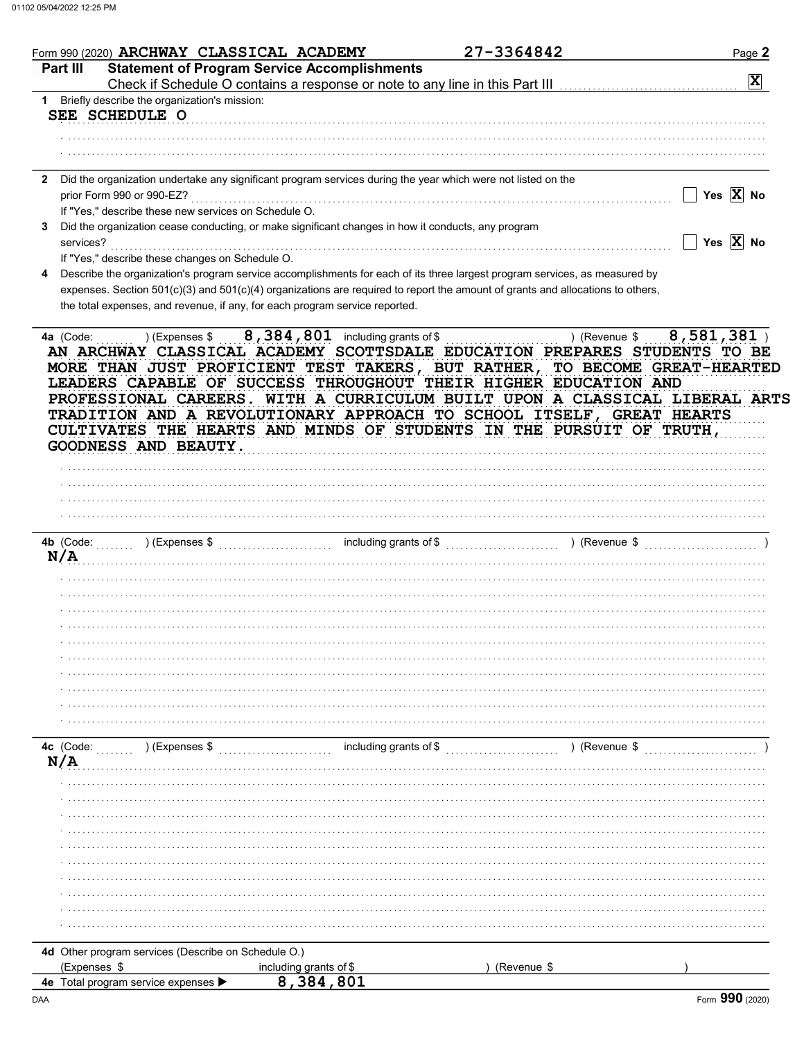|              | Form 990 (2020) ARCHWAY CLASSICAL ACADEMY                                                                      |                        | 27-3364842                                                                                                                                                                                                                                                                                                                                                                                                                                                  | Page 2                |
|--------------|----------------------------------------------------------------------------------------------------------------|------------------------|-------------------------------------------------------------------------------------------------------------------------------------------------------------------------------------------------------------------------------------------------------------------------------------------------------------------------------------------------------------------------------------------------------------------------------------------------------------|-----------------------|
| Part III     | <b>Statement of Program Service Accomplishments</b>                                                            |                        |                                                                                                                                                                                                                                                                                                                                                                                                                                                             | $\mathbf{x}$          |
|              | 1 Briefly describe the organization's mission:                                                                 |                        |                                                                                                                                                                                                                                                                                                                                                                                                                                                             |                       |
|              | SEE SCHEDULE O                                                                                                 |                        |                                                                                                                                                                                                                                                                                                                                                                                                                                                             |                       |
|              |                                                                                                                |                        |                                                                                                                                                                                                                                                                                                                                                                                                                                                             |                       |
|              |                                                                                                                |                        |                                                                                                                                                                                                                                                                                                                                                                                                                                                             |                       |
|              | 2 Did the organization undertake any significant program services during the year which were not listed on the |                        |                                                                                                                                                                                                                                                                                                                                                                                                                                                             |                       |
|              | prior Form 990 or 990-EZ?                                                                                      |                        |                                                                                                                                                                                                                                                                                                                                                                                                                                                             | Yes $\overline{X}$ No |
|              | If "Yes," describe these new services on Schedule O.                                                           |                        |                                                                                                                                                                                                                                                                                                                                                                                                                                                             |                       |
|              | Did the organization cease conducting, or make significant changes in how it conducts, any program             |                        |                                                                                                                                                                                                                                                                                                                                                                                                                                                             |                       |
| services?    |                                                                                                                |                        |                                                                                                                                                                                                                                                                                                                                                                                                                                                             | Yes $\overline{X}$ No |
|              | If "Yes," describe these changes on Schedule O.                                                                |                        |                                                                                                                                                                                                                                                                                                                                                                                                                                                             |                       |
|              |                                                                                                                |                        | Describe the organization's program service accomplishments for each of its three largest program services, as measured by<br>expenses. Section 501(c)(3) and 501(c)(4) organizations are required to report the amount of grants and allocations to others,                                                                                                                                                                                                |                       |
|              | the total expenses, and revenue, if any, for each program service reported.                                    |                        |                                                                                                                                                                                                                                                                                                                                                                                                                                                             |                       |
|              |                                                                                                                |                        |                                                                                                                                                                                                                                                                                                                                                                                                                                                             |                       |
|              | GOODNESS AND BEAUTY.                                                                                           |                        | AN ARCHWAY CLASSICAL ACADEMY SCOTTSDALE EDUCATION PREPARES STUDENTS TO BE<br>MORE THAN JUST PROFICIENT TEST TAKERS, BUT RATHER, TO BECOME GREAT-HEARTED<br>LEADERS CAPABLE OF SUCCESS THROUGHOUT THEIR HIGHER EDUCATION AND<br>PROFESSIONAL CAREERS. WITH A CURRICULUM BUILT UPON A CLASSICAL LIBERAL ARTS<br>TRADITION AND A REVOLUTIONARY APPROACH TO SCHOOL ITSELF, GREAT HEARTS<br>CULTIVATES THE HEARTS AND MINDS OF STUDENTS IN THE PURSUIT OF TRUTH, |                       |
|              |                                                                                                                |                        |                                                                                                                                                                                                                                                                                                                                                                                                                                                             |                       |
|              |                                                                                                                |                        |                                                                                                                                                                                                                                                                                                                                                                                                                                                             |                       |
|              |                                                                                                                |                        |                                                                                                                                                                                                                                                                                                                                                                                                                                                             |                       |
|              |                                                                                                                |                        |                                                                                                                                                                                                                                                                                                                                                                                                                                                             |                       |
|              |                                                                                                                |                        |                                                                                                                                                                                                                                                                                                                                                                                                                                                             |                       |
|              |                                                                                                                |                        | 4b (Code: William Code: 1991) (Expenses \$ \\text{\bmat{\bmat{\bmat{\bmat{\bmat{\bmat{\bmat{\bmat{\bmat{\bmat{\bmat{\bmat{\bmat{\bmat{\bmat{\bmat{\bmat{\bmat{\bmat{\bmat{\bmat{\bmat{\bmat{\bmat{\bmat{\bmat{\bmat{\bmat{\bmat                                                                                                                                                                                                                             |                       |
| N/A          |                                                                                                                |                        |                                                                                                                                                                                                                                                                                                                                                                                                                                                             |                       |
|              |                                                                                                                |                        |                                                                                                                                                                                                                                                                                                                                                                                                                                                             |                       |
|              |                                                                                                                |                        |                                                                                                                                                                                                                                                                                                                                                                                                                                                             |                       |
|              |                                                                                                                |                        |                                                                                                                                                                                                                                                                                                                                                                                                                                                             |                       |
|              |                                                                                                                |                        |                                                                                                                                                                                                                                                                                                                                                                                                                                                             |                       |
|              |                                                                                                                |                        |                                                                                                                                                                                                                                                                                                                                                                                                                                                             |                       |
|              |                                                                                                                |                        |                                                                                                                                                                                                                                                                                                                                                                                                                                                             |                       |
|              |                                                                                                                |                        |                                                                                                                                                                                                                                                                                                                                                                                                                                                             |                       |
|              |                                                                                                                |                        |                                                                                                                                                                                                                                                                                                                                                                                                                                                             |                       |
|              |                                                                                                                |                        |                                                                                                                                                                                                                                                                                                                                                                                                                                                             |                       |
|              | 4c (Code: ) (Expenses \$                                                                                       | including grants of \$ | ) (Revenue \$                                                                                                                                                                                                                                                                                                                                                                                                                                               |                       |
| N/A          |                                                                                                                |                        |                                                                                                                                                                                                                                                                                                                                                                                                                                                             |                       |
|              |                                                                                                                |                        |                                                                                                                                                                                                                                                                                                                                                                                                                                                             |                       |
|              |                                                                                                                |                        |                                                                                                                                                                                                                                                                                                                                                                                                                                                             |                       |
|              |                                                                                                                |                        |                                                                                                                                                                                                                                                                                                                                                                                                                                                             |                       |
|              |                                                                                                                |                        |                                                                                                                                                                                                                                                                                                                                                                                                                                                             |                       |
|              |                                                                                                                |                        |                                                                                                                                                                                                                                                                                                                                                                                                                                                             |                       |
|              |                                                                                                                |                        |                                                                                                                                                                                                                                                                                                                                                                                                                                                             |                       |
|              |                                                                                                                |                        |                                                                                                                                                                                                                                                                                                                                                                                                                                                             |                       |
|              |                                                                                                                |                        |                                                                                                                                                                                                                                                                                                                                                                                                                                                             |                       |
|              |                                                                                                                |                        |                                                                                                                                                                                                                                                                                                                                                                                                                                                             |                       |
|              |                                                                                                                |                        |                                                                                                                                                                                                                                                                                                                                                                                                                                                             |                       |
|              | 4d Other program services (Describe on Schedule O.)                                                            |                        |                                                                                                                                                                                                                                                                                                                                                                                                                                                             |                       |
| (Expenses \$ |                                                                                                                | including grants of \$ | (Revenue \$                                                                                                                                                                                                                                                                                                                                                                                                                                                 |                       |
|              | 4e Total program service expenses I                                                                            | 8,384,801              |                                                                                                                                                                                                                                                                                                                                                                                                                                                             |                       |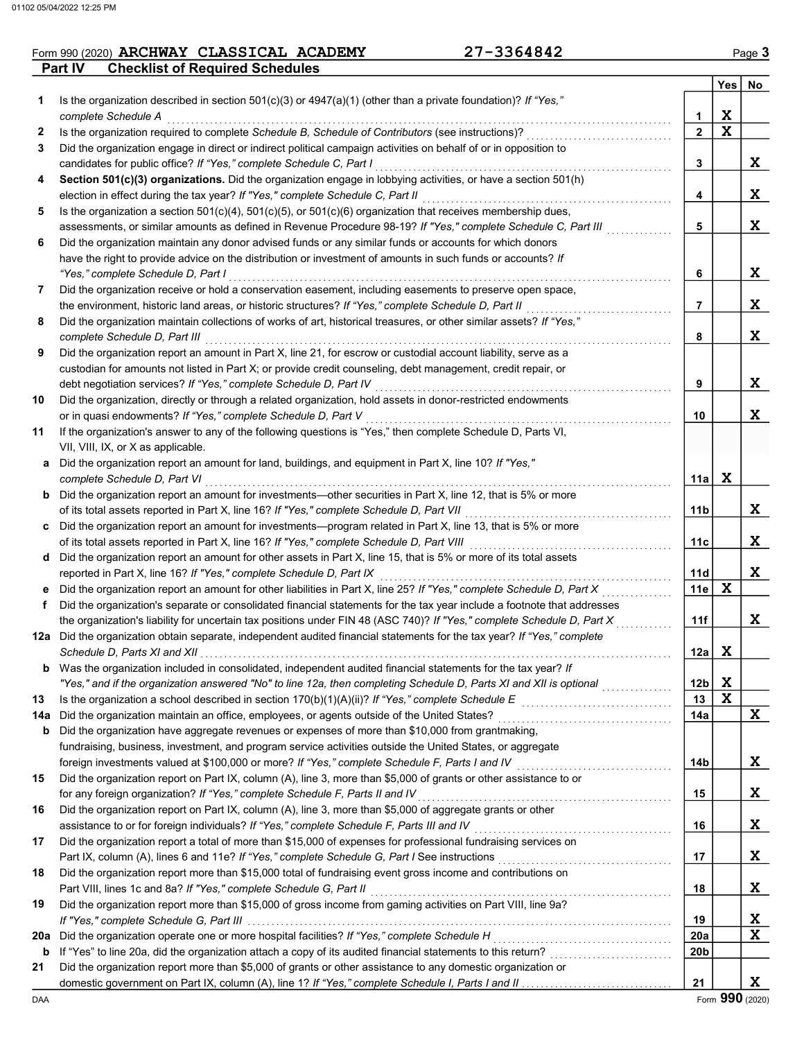## **Part IV** Checklist of Required Schedules Form 990 (2020) **ARCHWAY CLASSICAL ACADEMY** 27-3364842 Page 3

|       |                                                                                                                                                                                                                           |                 | Yes          | No |
|-------|---------------------------------------------------------------------------------------------------------------------------------------------------------------------------------------------------------------------------|-----------------|--------------|----|
| 1     | Is the organization described in section $501(c)(3)$ or $4947(a)(1)$ (other than a private foundation)? If "Yes,"                                                                                                         |                 |              |    |
|       | complete Schedule A                                                                                                                                                                                                       | 1               | X            |    |
| 2     | Is the organization required to complete Schedule B, Schedule of Contributors (see instructions)?                                                                                                                         | $\mathbf{2}$    | $\mathbf x$  |    |
| 3     | Did the organization engage in direct or indirect political campaign activities on behalf of or in opposition to                                                                                                          |                 |              |    |
|       | candidates for public office? If "Yes," complete Schedule C, Part I                                                                                                                                                       | 3               |              | X  |
| 4     | Section 501(c)(3) organizations. Did the organization engage in lobbying activities, or have a section 501(h)                                                                                                             |                 |              |    |
|       | election in effect during the tax year? If "Yes," complete Schedule C, Part II                                                                                                                                            | 4               |              | X  |
| 5     | Is the organization a section $501(c)(4)$ , $501(c)(5)$ , or $501(c)(6)$ organization that receives membership dues,                                                                                                      |                 |              | X  |
|       | assessments, or similar amounts as defined in Revenue Procedure 98-19? If "Yes," complete Schedule C, Part III<br>Did the organization maintain any donor advised funds or any similar funds or accounts for which donors | 5               |              |    |
| 6     | have the right to provide advice on the distribution or investment of amounts in such funds or accounts? If                                                                                                               |                 |              |    |
|       | "Yes," complete Schedule D, Part I                                                                                                                                                                                        | 6               |              | X  |
| 7     | Did the organization receive or hold a conservation easement, including easements to preserve open space,                                                                                                                 |                 |              |    |
|       | the environment, historic land areas, or historic structures? If "Yes," complete Schedule D, Part II                                                                                                                      | 7               |              | X  |
| 8     | Did the organization maintain collections of works of art, historical treasures, or other similar assets? If "Yes,"                                                                                                       |                 |              |    |
|       | complete Schedule D, Part III                                                                                                                                                                                             | 8               |              | X  |
| 9     | Did the organization report an amount in Part X, line 21, for escrow or custodial account liability, serve as a                                                                                                           |                 |              |    |
|       | custodian for amounts not listed in Part X; or provide credit counseling, debt management, credit repair, or                                                                                                              |                 |              |    |
|       | debt negotiation services? If "Yes," complete Schedule D, Part IV                                                                                                                                                         | 9               |              | X  |
| 10    | Did the organization, directly or through a related organization, hold assets in donor-restricted endowments                                                                                                              |                 |              |    |
|       | or in quasi endowments? If "Yes," complete Schedule D, Part V                                                                                                                                                             | 10              |              | X  |
| 11    | If the organization's answer to any of the following questions is "Yes," then complete Schedule D, Parts VI,                                                                                                              |                 |              |    |
|       | VII, VIII, IX, or X as applicable.                                                                                                                                                                                        |                 |              |    |
|       | a Did the organization report an amount for land, buildings, and equipment in Part X, line 10? If "Yes,"                                                                                                                  |                 |              |    |
|       | complete Schedule D, Part VI                                                                                                                                                                                              | 11a             | $\mathbf{x}$ |    |
|       | <b>b</b> Did the organization report an amount for investments—other securities in Part X, line 12, that is 5% or more                                                                                                    |                 |              |    |
|       | of its total assets reported in Part X, line 16? If "Yes," complete Schedule D, Part VII                                                                                                                                  | 11b             |              | X  |
|       | c Did the organization report an amount for investments—program related in Part X, line 13, that is 5% or more<br>of its total assets reported in Part X, line 16? If "Yes," complete Schedule D, Part VIII               | 11c             |              | X  |
|       | d Did the organization report an amount for other assets in Part X, line 15, that is 5% or more of its total assets                                                                                                       |                 |              |    |
|       | reported in Part X, line 16? If "Yes," complete Schedule D, Part IX                                                                                                                                                       | 11d             |              | X  |
|       | e Did the organization report an amount for other liabilities in Part X, line 25? If "Yes," complete Schedule D, Part X                                                                                                   | 11e             | X            |    |
| f     | Did the organization's separate or consolidated financial statements for the tax year include a footnote that addresses                                                                                                   |                 |              |    |
|       | the organization's liability for uncertain tax positions under FIN 48 (ASC 740)? If "Yes," complete Schedule D, Part X                                                                                                    | 11f             |              | X  |
|       | 12a Did the organization obtain separate, independent audited financial statements for the tax year? If "Yes," complete                                                                                                   |                 |              |    |
|       |                                                                                                                                                                                                                           | 12a             | X            |    |
| b     | Was the organization included in consolidated, independent audited financial statements for the tax year? If                                                                                                              |                 |              |    |
|       | "Yes," and if the organization answered "No" to line 12a, then completing Schedule D, Parts XI and XII is optional                                                                                                        | 12 <sub>b</sub> | X            |    |
| 13    |                                                                                                                                                                                                                           | 13              | X            |    |
| 14а   | Did the organization maintain an office, employees, or agents outside of the United States?                                                                                                                               | 14a             |              | X  |
| b     | Did the organization have aggregate revenues or expenses of more than \$10,000 from grantmaking,                                                                                                                          |                 |              |    |
|       | fundraising, business, investment, and program service activities outside the United States, or aggregate                                                                                                                 |                 |              |    |
|       | foreign investments valued at \$100,000 or more? If "Yes," complete Schedule F, Parts I and IV [[[[[[[[[[[[[[[                                                                                                            | 14b             |              | X  |
| 15    | Did the organization report on Part IX, column (A), line 3, more than \$5,000 of grants or other assistance to or                                                                                                         |                 |              | X  |
| 16    | for any foreign organization? If "Yes," complete Schedule F, Parts II and IV<br>Did the organization report on Part IX, column (A), line 3, more than \$5,000 of aggregate grants or other                                | 15              |              |    |
|       | assistance to or for foreign individuals? If "Yes," complete Schedule F, Parts III and IV                                                                                                                                 | 16              |              | X  |
| 17    | Did the organization report a total of more than \$15,000 of expenses for professional fundraising services on                                                                                                            |                 |              |    |
|       |                                                                                                                                                                                                                           | 17              |              | X  |
| 18    | Did the organization report more than \$15,000 total of fundraising event gross income and contributions on                                                                                                               |                 |              |    |
|       | Part VIII, lines 1c and 8a? If "Yes," complete Schedule G, Part II                                                                                                                                                        | 18              |              | X  |
| 19    | Did the organization report more than \$15,000 of gross income from gaming activities on Part VIII, line 9a?                                                                                                              |                 |              |    |
|       |                                                                                                                                                                                                                           | 19              |              | X  |
| 20a l | Did the organization operate one or more hospital facilities? If "Yes," complete Schedule H                                                                                                                               | <b>20a</b>      |              | X  |
| b     |                                                                                                                                                                                                                           | 20 <sub>b</sub> |              |    |
| 21    | Did the organization report more than \$5,000 of grants or other assistance to any domestic organization or                                                                                                               |                 |              |    |
|       |                                                                                                                                                                                                                           | 21              |              | X  |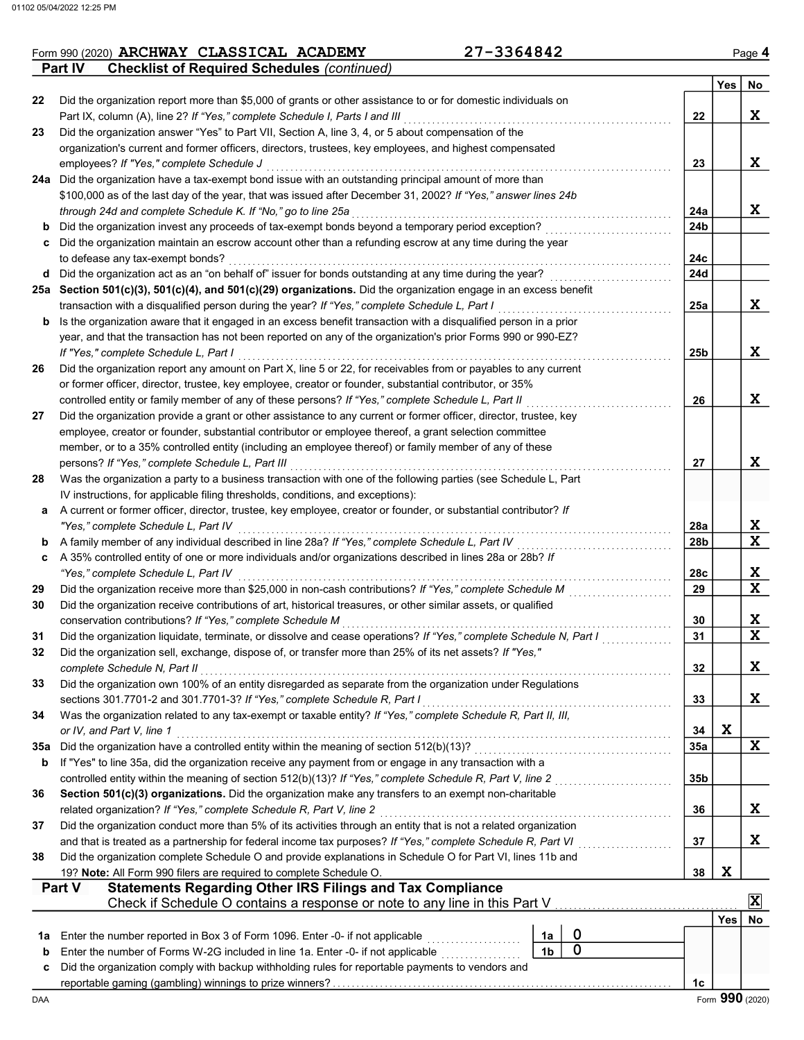|    | 27-3364842<br>Form 990 (2020) ARCHWAY CLASSICAL ACADEMY                                                       |    |       | Page 4 |
|----|---------------------------------------------------------------------------------------------------------------|----|-------|--------|
|    | <b>Checklist of Required Schedules (continued)</b><br><b>Part IV</b>                                          |    |       |        |
|    |                                                                                                               |    | Yes l | No     |
| 22 | Did the organization report more than \$5,000 of grants or other assistance to or for domestic individuals on |    |       |        |
|    | Part IX, column (A), line 2? If "Yes," complete Schedule I, Parts I and III                                   | 22 |       |        |
|    | Did the organization answer "Ves" to Part VII. Section A. line 3, A. or 5 about compensation of the           |    |       |        |

| 23 | Did the organization answer "Yes" to Part VII, Section A, line 3, 4, or 5 about compensation of the                                                                                         |                 |            |                         |
|----|---------------------------------------------------------------------------------------------------------------------------------------------------------------------------------------------|-----------------|------------|-------------------------|
|    | organization's current and former officers, directors, trustees, key employees, and highest compensated                                                                                     |                 |            |                         |
|    | employees? If "Yes," complete Schedule J                                                                                                                                                    | 23              |            | X                       |
|    | 24a Did the organization have a tax-exempt bond issue with an outstanding principal amount of more than                                                                                     |                 |            |                         |
|    | \$100,000 as of the last day of the year, that was issued after December 31, 2002? If "Yes," answer lines 24b                                                                               |                 |            |                         |
|    | through 24d and complete Schedule K. If "No," go to line 25a                                                                                                                                | 24a             |            | X                       |
| b  | Did the organization invest any proceeds of tax-exempt bonds beyond a temporary period exception?                                                                                           | 24 <sub>b</sub> |            |                         |
| c  | Did the organization maintain an escrow account other than a refunding escrow at any time during the year                                                                                   |                 |            |                         |
|    | to defease any tax-exempt bonds?                                                                                                                                                            | 24c             |            |                         |
| d  | Did the organization act as an "on behalf of" issuer for bonds outstanding at any time during the year?                                                                                     | 24d             |            |                         |
|    | 25a Section 501(c)(3), 501(c)(4), and 501(c)(29) organizations. Did the organization engage in an excess benefit                                                                            |                 |            |                         |
|    | transaction with a disqualified person during the year? If "Yes," complete Schedule L, Part I                                                                                               | 25a             |            | X                       |
| b  | Is the organization aware that it engaged in an excess benefit transaction with a disqualified person in a prior                                                                            |                 |            |                         |
|    | year, and that the transaction has not been reported on any of the organization's prior Forms 990 or 990-EZ?                                                                                |                 |            |                         |
|    | If "Yes," complete Schedule L, Part I                                                                                                                                                       | 25b             |            | X                       |
| 26 | Did the organization report any amount on Part X, line 5 or 22, for receivables from or payables to any current                                                                             |                 |            |                         |
|    | or former officer, director, trustee, key employee, creator or founder, substantial contributor, or 35%                                                                                     |                 |            |                         |
|    | controlled entity or family member of any of these persons? If "Yes," complete Schedule L, Part II                                                                                          | 26              |            | X                       |
| 27 | Did the organization provide a grant or other assistance to any current or former officer, director, trustee, key                                                                           |                 |            |                         |
|    | employee, creator or founder, substantial contributor or employee thereof, a grant selection committee                                                                                      |                 |            |                         |
|    | member, or to a 35% controlled entity (including an employee thereof) or family member of any of these                                                                                      |                 |            |                         |
|    | persons? If "Yes," complete Schedule L, Part III                                                                                                                                            | 27              |            | X                       |
| 28 | Was the organization a party to a business transaction with one of the following parties (see Schedule L, Part                                                                              |                 |            |                         |
|    | IV instructions, for applicable filing thresholds, conditions, and exceptions):                                                                                                             |                 |            |                         |
| а  | A current or former officer, director, trustee, key employee, creator or founder, or substantial contributor? If                                                                            |                 |            |                         |
|    | "Yes," complete Schedule L, Part IV                                                                                                                                                         | 28a             |            | X                       |
| b  | A family member of any individual described in line 28a? If "Yes," complete Schedule L, Part IV                                                                                             | 28b             |            | X                       |
| c  | A 35% controlled entity of one or more individuals and/or organizations described in lines 28a or 28b? If                                                                                   |                 |            |                         |
|    | "Yes," complete Schedule L, Part IV                                                                                                                                                         | 28c             |            | X                       |
| 29 | Did the organization receive more than \$25,000 in non-cash contributions? If "Yes," complete Schedule M                                                                                    | 29              |            | X                       |
| 30 | Did the organization receive contributions of art, historical treasures, or other similar assets, or qualified                                                                              |                 |            |                         |
|    | conservation contributions? If "Yes," complete Schedule M                                                                                                                                   | 30              |            | X                       |
| 31 | Did the organization liquidate, terminate, or dissolve and cease operations? If "Yes," complete Schedule N, Part I                                                                          | 31              |            | X                       |
| 32 | Did the organization sell, exchange, dispose of, or transfer more than 25% of its net assets? If "Yes,"                                                                                     |                 |            |                         |
|    | complete Schedule N, Part II                                                                                                                                                                | 32              |            | X                       |
| 33 | Did the organization own 100% of an entity disregarded as separate from the organization under Regulations                                                                                  |                 |            |                         |
|    | sections 301.7701-2 and 301.7701-3? If "Yes," complete Schedule R, Part I                                                                                                                   | 33              |            | X                       |
| 34 | Was the organization related to any tax-exempt or taxable entity? If "Yes," complete Schedule R, Part II, III,                                                                              |                 |            |                         |
|    | or IV, and Part V, line 1                                                                                                                                                                   | 34              | X          |                         |
|    | 35a Did the organization have a controlled entity within the meaning of section 512(b)(13)?<br>Sale Did the organization have a controlled entity within the meaning of section 512(b)(13)? | <b>35a</b>      |            | X                       |
| b  | If "Yes" to line 35a, did the organization receive any payment from or engage in any transaction with a                                                                                     |                 |            |                         |
|    | controlled entity within the meaning of section 512(b)(13)? If "Yes," complete Schedule R, Part V, line 2                                                                                   | 35b             |            |                         |
| 36 | Section 501(c)(3) organizations. Did the organization make any transfers to an exempt non-charitable                                                                                        |                 |            |                         |
|    | related organization? If "Yes," complete Schedule R, Part V, line 2                                                                                                                         | 36              |            | X                       |
| 37 | Did the organization conduct more than 5% of its activities through an entity that is not a related organization                                                                            |                 |            |                         |
|    | and that is treated as a partnership for federal income tax purposes? If "Yes," complete Schedule R, Part VI                                                                                | 37              |            | X                       |
| 38 | Did the organization complete Schedule O and provide explanations in Schedule O for Part VI, lines 11b and                                                                                  |                 |            |                         |
|    | 19? Note: All Form 990 filers are required to complete Schedule O.                                                                                                                          | 38              | X          |                         |
|    | <b>Statements Regarding Other IRS Filings and Tax Compliance</b><br><b>Part V</b>                                                                                                           |                 |            |                         |
|    | Check if Schedule O contains a response or note to any line in this Part V                                                                                                                  |                 |            | $\overline{\mathbf{x}}$ |
|    |                                                                                                                                                                                             |                 | <b>Yes</b> | No                      |
| 1a | $\mathbf 0$<br>Enter the number reported in Box 3 of Form 1096. Enter -0- if not applicable<br>1a                                                                                           |                 |            |                         |
| b  | $\mathbf 0$<br>Enter the number of Forms W-2G included in line 1a. Enter -0- if not applicable <i>minimization</i><br>1 <sub>b</sub>                                                        |                 |            |                         |
| c  | Did the organization comply with backup withholding rules for reportable payments to vendors and                                                                                            |                 |            |                         |
|    |                                                                                                                                                                                             | 1c              |            |                         |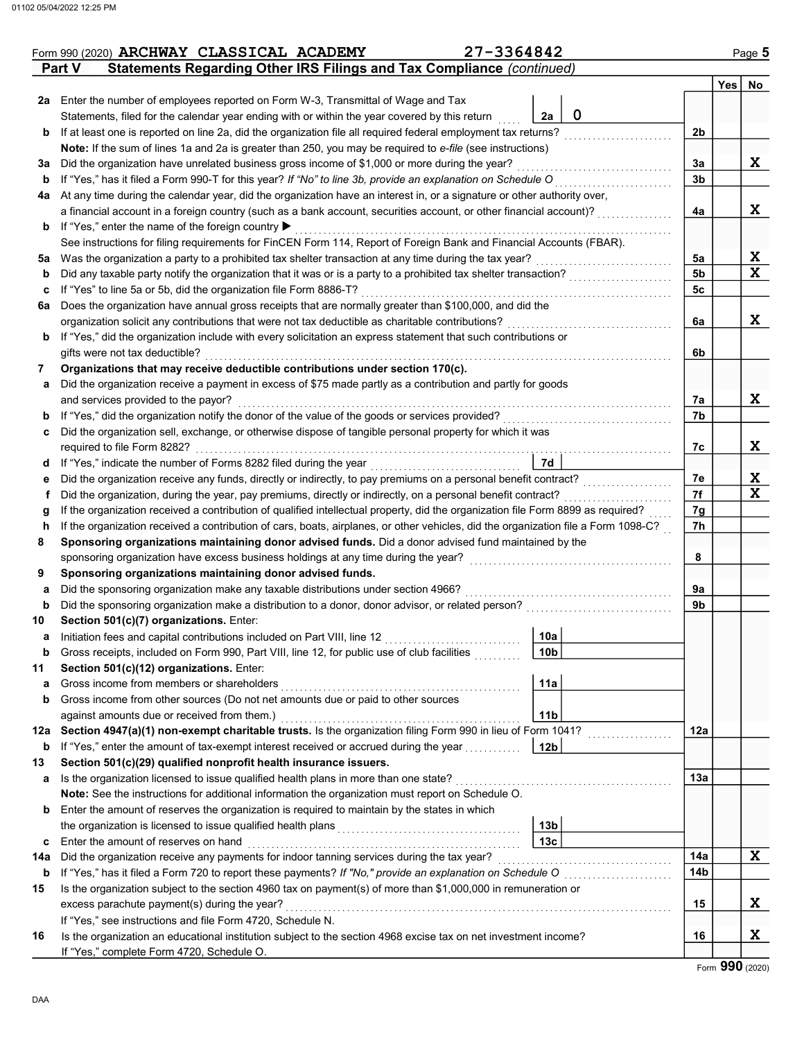|                               | 27-3364842<br>Form 990 (2020) ARCHWAY CLASSICAL ACADEMY<br>Statements Regarding Other IRS Filings and Tax Compliance (continued)<br>Part V                                                         |                           |                                                                                                                |                |     | Page 5 |
|-------------------------------|----------------------------------------------------------------------------------------------------------------------------------------------------------------------------------------------------|---------------------------|----------------------------------------------------------------------------------------------------------------|----------------|-----|--------|
|                               |                                                                                                                                                                                                    |                           |                                                                                                                |                | Yes | No     |
| 2a                            | Enter the number of employees reported on Form W-3, Transmittal of Wage and Tax                                                                                                                    |                           |                                                                                                                |                |     |        |
|                               | Statements, filed for the calendar year ending with or within the year covered by this return                                                                                                      | 2a                        | $\mathbf 0$                                                                                                    |                |     |        |
|                               | If at least one is reported on line 2a, did the organization file all required federal employment tax returns?                                                                                     |                           |                                                                                                                | 2 <sub>b</sub> |     |        |
| b                             | Note: If the sum of lines 1a and 2a is greater than 250, you may be required to e-file (see instructions)                                                                                          |                           |                                                                                                                |                |     |        |
|                               | Did the organization have unrelated business gross income of \$1,000 or more during the year?                                                                                                      |                           |                                                                                                                | 3a             |     |        |
| За                            | If "Yes," has it filed a Form 990-T for this year? If "No" to line 3b, provide an explanation on Schedule O                                                                                        |                           |                                                                                                                | 3 <sub>b</sub> |     |        |
| b                             |                                                                                                                                                                                                    |                           |                                                                                                                |                |     |        |
| 4a                            | At any time during the calendar year, did the organization have an interest in, or a signature or other authority over,                                                                            |                           |                                                                                                                |                |     |        |
|                               | a financial account in a foreign country (such as a bank account, securities account, or other financial account)?                                                                                 |                           |                                                                                                                | 4a             |     |        |
| b                             | If "Yes," enter the name of the foreign country ▶                                                                                                                                                  |                           |                                                                                                                |                |     |        |
|                               | See instructions for filing requirements for FinCEN Form 114, Report of Foreign Bank and Financial Accounts (FBAR).                                                                                |                           |                                                                                                                |                |     |        |
| 5a                            |                                                                                                                                                                                                    |                           |                                                                                                                | 5a             |     |        |
| b                             | Did any taxable party notify the organization that it was or is a party to a prohibited tax shelter transaction?                                                                                   |                           |                                                                                                                | 5 <sub>b</sub> |     |        |
| с                             | If "Yes" to line 5a or 5b, did the organization file Form 8886-T?                                                                                                                                  |                           |                                                                                                                | 5c             |     |        |
| 6a                            | Does the organization have annual gross receipts that are normally greater than \$100,000, and did the                                                                                             |                           |                                                                                                                |                |     |        |
|                               | organization solicit any contributions that were not tax deductible as charitable contributions?                                                                                                   |                           |                                                                                                                | 6a             |     |        |
| b                             | If "Yes," did the organization include with every solicitation an express statement that such contributions or                                                                                     |                           |                                                                                                                |                |     |        |
|                               | gifts were not tax deductible?                                                                                                                                                                     |                           |                                                                                                                | 6b             |     |        |
| 7                             | Organizations that may receive deductible contributions under section 170(c).                                                                                                                      |                           |                                                                                                                |                |     |        |
| а                             | Did the organization receive a payment in excess of \$75 made partly as a contribution and partly for goods                                                                                        |                           |                                                                                                                |                |     |        |
|                               | and services provided to the payor?                                                                                                                                                                |                           |                                                                                                                | 7а             |     |        |
| b                             | If "Yes," did the organization notify the donor of the value of the goods or services provided?<br>If "Yes," did the organization notify the donor of the value of the goods or services provided? |                           |                                                                                                                | 7b             |     |        |
| с                             | Did the organization sell, exchange, or otherwise dispose of tangible personal property for which it was                                                                                           |                           |                                                                                                                |                |     |        |
|                               | required to file Form 8282?                                                                                                                                                                        |                           |                                                                                                                | 7с             |     |        |
| a                             |                                                                                                                                                                                                    | <b>7d</b>                 |                                                                                                                |                |     |        |
| е                             | Did the organization receive any funds, directly or indirectly, to pay premiums on a personal benefit contract?                                                                                    |                           |                                                                                                                | 7e             |     |        |
| f                             | Did the organization, during the year, pay premiums, directly or indirectly, on a personal benefit contract?                                                                                       |                           |                                                                                                                | 7f             |     |        |
| g                             | If the organization received a contribution of qualified intellectual property, did the organization file Form 8899 as required?                                                                   |                           |                                                                                                                | 7g             |     |        |
| h                             | If the organization received a contribution of cars, boats, airplanes, or other vehicles, did the organization file a Form 1098-C?                                                                 |                           |                                                                                                                | 7h             |     |        |
| 8                             | Sponsoring organizations maintaining donor advised funds. Did a donor advised fund maintained by the                                                                                               |                           |                                                                                                                |                |     |        |
|                               | sponsoring organization have excess business holdings at any time during the year?                                                                                                                 |                           | and a complete the contract of the complete the complete the complete the complete the complete the complete t | 8              |     |        |
| 9                             | Sponsoring organizations maintaining donor advised funds.                                                                                                                                          |                           |                                                                                                                |                |     |        |
| а                             |                                                                                                                                                                                                    |                           |                                                                                                                | 9a             |     |        |
| b                             | Did the sponsoring organization make a distribution to a donor, donor advisor, or related person?                                                                                                  |                           |                                                                                                                | 9b             |     |        |
| 10                            | Section 501(c)(7) organizations. Enter:                                                                                                                                                            |                           |                                                                                                                |                |     |        |
| а                             | Initiation fees and capital contributions included on Part VIII, line 12                                                                                                                           | <b>The Control</b><br>10a |                                                                                                                |                |     |        |
| b                             | Gross receipts, included on Form 990, Part VIII, line 12, for public use of club facilities                                                                                                        | 10 <sub>b</sub>           |                                                                                                                |                |     |        |
| 11                            | Section 501(c)(12) organizations. Enter:                                                                                                                                                           |                           |                                                                                                                |                |     |        |
| а                             | Gross income from members or shareholders                                                                                                                                                          | 11a                       |                                                                                                                |                |     |        |
| b                             | Gross income from other sources (Do not net amounts due or paid to other sources                                                                                                                   |                           |                                                                                                                |                |     |        |
|                               | against amounts due or received from them.)                                                                                                                                                        | 11 <sub>b</sub>           |                                                                                                                |                |     |        |
| 12a                           | Section 4947(a)(1) non-exempt charitable trusts. Is the organization filing Form 990 in lieu of Form 1041?                                                                                         |                           |                                                                                                                | 12a            |     |        |
| b                             | If "Yes," enter the amount of tax-exempt interest received or accrued during the year                                                                                                              | 12 <sub>b</sub>           |                                                                                                                |                |     |        |
| 13                            | Section 501(c)(29) qualified nonprofit health insurance issuers.                                                                                                                                   |                           |                                                                                                                |                |     |        |
|                               | Is the organization licensed to issue qualified health plans in more than one state?                                                                                                               |                           |                                                                                                                | 13а            |     |        |
|                               | Note: See the instructions for additional information the organization must report on Schedule O.                                                                                                  |                           |                                                                                                                |                |     |        |
|                               |                                                                                                                                                                                                    |                           |                                                                                                                |                |     |        |
|                               |                                                                                                                                                                                                    |                           |                                                                                                                |                |     |        |
|                               | Enter the amount of reserves the organization is required to maintain by the states in which                                                                                                       |                           |                                                                                                                |                |     |        |
|                               |                                                                                                                                                                                                    | 13 <sub>b</sub>           |                                                                                                                |                |     |        |
|                               | Enter the amount of reserves on hand                                                                                                                                                               | 13 <sub>c</sub>           |                                                                                                                |                |     |        |
|                               | Did the organization receive any payments for indoor tanning services during the tax year?                                                                                                         |                           |                                                                                                                | 14a            |     |        |
|                               | If "Yes," has it filed a Form 720 to report these payments? If "No," provide an explanation on Schedule O                                                                                          |                           |                                                                                                                | 14b            |     |        |
|                               | Is the organization subject to the section 4960 tax on payment(s) of more than \$1,000,000 in remuneration or                                                                                      |                           |                                                                                                                |                |     |        |
|                               | excess parachute payment(s) during the year?                                                                                                                                                       |                           |                                                                                                                | 15             |     |        |
| а<br>b<br>с<br>14a<br>b<br>15 | If "Yes," see instructions and file Form 4720, Schedule N.                                                                                                                                         |                           |                                                                                                                |                |     |        |

Form 990 (2020)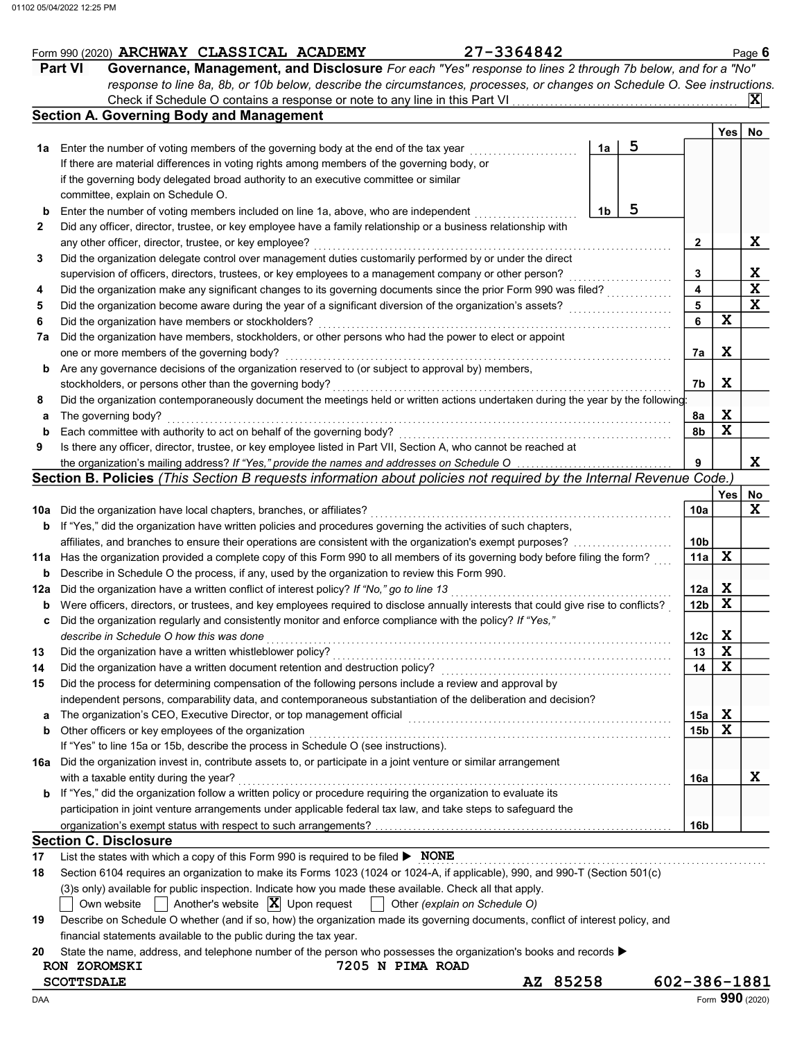|     | Part VI<br>Governance, Management, and Disclosure For each "Yes" response to lines 2 through 7b below, and for a "No"               |    |              |                 |             |                         |  |  |  |  |  |  |  |
|-----|-------------------------------------------------------------------------------------------------------------------------------------|----|--------------|-----------------|-------------|-------------------------|--|--|--|--|--|--|--|
|     | response to line 8a, 8b, or 10b below, describe the circumstances, processes, or changes on Schedule O. See instructions.           |    |              |                 |             |                         |  |  |  |  |  |  |  |
|     |                                                                                                                                     |    |              |                 |             | $ {\bf X} $             |  |  |  |  |  |  |  |
|     | <b>Section A. Governing Body and Management</b>                                                                                     |    |              |                 |             |                         |  |  |  |  |  |  |  |
|     |                                                                                                                                     |    |              |                 | Yes         | No                      |  |  |  |  |  |  |  |
| 1a  | Enter the number of voting members of the governing body at the end of the tax year                                                 | 1a | 5            |                 |             |                         |  |  |  |  |  |  |  |
|     | If there are material differences in voting rights among members of the governing body, or                                          |    |              |                 |             |                         |  |  |  |  |  |  |  |
|     | if the governing body delegated broad authority to an executive committee or similar                                                |    |              |                 |             |                         |  |  |  |  |  |  |  |
|     | committee, explain on Schedule O.                                                                                                   |    |              |                 |             |                         |  |  |  |  |  |  |  |
|     | Enter the number of voting members included on line 1a, above, who are independent                                                  | 1b | 5            |                 |             |                         |  |  |  |  |  |  |  |
| 2   | Did any officer, director, trustee, or key employee have a family relationship or a business relationship with                      |    |              |                 |             |                         |  |  |  |  |  |  |  |
|     | any other officer, director, trustee, or key employee?                                                                              |    |              | $\mathbf{2}$    |             | X                       |  |  |  |  |  |  |  |
| 3   | Did the organization delegate control over management duties customarily performed by or under the direct                           |    |              |                 |             | X                       |  |  |  |  |  |  |  |
|     | supervision of officers, directors, trustees, or key employees to a management company or other person?                             |    |              |                 |             |                         |  |  |  |  |  |  |  |
| 4   | Did the organization make any significant changes to its governing documents since the prior Form 990 was filed?                    |    |              |                 |             |                         |  |  |  |  |  |  |  |
| 5   | Did the organization become aware during the year of a significant diversion of the organization's assets?                          |    |              | 5               |             | $\overline{\mathbf{x}}$ |  |  |  |  |  |  |  |
| 6   | Did the organization have members or stockholders?                                                                                  |    |              | 6               | $\mathbf x$ |                         |  |  |  |  |  |  |  |
| 7a  | Did the organization have members, stockholders, or other persons who had the power to elect or appoint                             |    |              |                 |             |                         |  |  |  |  |  |  |  |
|     | one or more members of the governing body?                                                                                          |    |              | 7a              | X           |                         |  |  |  |  |  |  |  |
| b   | Are any governance decisions of the organization reserved to (or subject to approval by) members,                                   |    |              |                 |             |                         |  |  |  |  |  |  |  |
|     | stockholders, or persons other than the governing body?                                                                             |    |              | 7b              | X           |                         |  |  |  |  |  |  |  |
| 8   | Did the organization contemporaneously document the meetings held or written actions undertaken during the year by the following:   |    |              |                 |             |                         |  |  |  |  |  |  |  |
| a   | The governing body?                                                                                                                 |    |              | 8a              | X           |                         |  |  |  |  |  |  |  |
| b   | Each committee with authority to act on behalf of the governing body?                                                               |    |              | 8b              | $\mathbf x$ |                         |  |  |  |  |  |  |  |
| 9   | Is there any officer, director, trustee, or key employee listed in Part VII, Section A, who cannot be reached at                    |    |              |                 |             |                         |  |  |  |  |  |  |  |
|     | the organization's mailing address? If "Yes," provide the names and addresses on Schedule O                                         |    |              | 9               |             | X                       |  |  |  |  |  |  |  |
|     | Section B. Policies (This Section B requests information about policies not required by the Internal Revenue Code.)                 |    |              |                 |             |                         |  |  |  |  |  |  |  |
|     |                                                                                                                                     |    |              |                 | <b>Yes</b>  | No                      |  |  |  |  |  |  |  |
| 10a | Did the organization have local chapters, branches, or affiliates?                                                                  |    |              | 10a             |             | X                       |  |  |  |  |  |  |  |
| b   | If "Yes," did the organization have written policies and procedures governing the activities of such chapters,                      |    |              |                 |             |                         |  |  |  |  |  |  |  |
|     | affiliates, and branches to ensure their operations are consistent with the organization's exempt purposes?                         |    |              | 10 <sub>b</sub> |             |                         |  |  |  |  |  |  |  |
|     | 11a Has the organization provided a complete copy of this Form 990 to all members of its governing body before filing the form?     |    |              | 11a             | $\mathbf x$ |                         |  |  |  |  |  |  |  |
| b   | Describe in Schedule O the process, if any, used by the organization to review this Form 990.                                       |    |              |                 |             |                         |  |  |  |  |  |  |  |
| 12a | Did the organization have a written conflict of interest policy? If "No," go to line 13                                             |    |              | 12a             | X           |                         |  |  |  |  |  |  |  |
| b   | Were officers, directors, or trustees, and key employees required to disclose annually interests that could give rise to conflicts? |    |              | 12 <sub>b</sub> | $\mathbf x$ |                         |  |  |  |  |  |  |  |
| c   | Did the organization regularly and consistently monitor and enforce compliance with the policy? If "Yes,"                           |    |              |                 |             |                         |  |  |  |  |  |  |  |
|     | describe in Schedule O how this was done                                                                                            |    |              | 12c             | X           |                         |  |  |  |  |  |  |  |
| 13  | Did the organization have a written whistleblower policy?                                                                           |    |              | 13              | x           |                         |  |  |  |  |  |  |  |
| 14  | Did the organization have a written document retention and destruction policy?                                                      |    |              | 14              | $\mathbf x$ |                         |  |  |  |  |  |  |  |
| 15  | Did the process for determining compensation of the following persons include a review and approval by                              |    |              |                 |             |                         |  |  |  |  |  |  |  |
|     | independent persons, comparability data, and contemporaneous substantiation of the deliberation and decision?                       |    |              |                 |             |                         |  |  |  |  |  |  |  |
| a   | The organization's CEO, Executive Director, or top management official                                                              |    |              | 15a             | X           |                         |  |  |  |  |  |  |  |
| b   | Other officers or key employees of the organization                                                                                 |    |              | 15 <sub>b</sub> | $\mathbf x$ |                         |  |  |  |  |  |  |  |
|     | If "Yes" to line 15a or 15b, describe the process in Schedule O (see instructions).                                                 |    |              |                 |             |                         |  |  |  |  |  |  |  |
|     | 16a Did the organization invest in, contribute assets to, or participate in a joint venture or similar arrangement                  |    |              |                 |             |                         |  |  |  |  |  |  |  |
|     | with a taxable entity during the year?                                                                                              |    |              |                 |             | X                       |  |  |  |  |  |  |  |
|     | If "Yes," did the organization follow a written policy or procedure requiring the organization to evaluate its                      |    |              | 16a             |             |                         |  |  |  |  |  |  |  |
| b   |                                                                                                                                     |    |              |                 |             |                         |  |  |  |  |  |  |  |
|     | participation in joint venture arrangements under applicable federal tax law, and take steps to safeguard the                       |    |              |                 |             |                         |  |  |  |  |  |  |  |
|     |                                                                                                                                     |    |              | 16b             |             |                         |  |  |  |  |  |  |  |
|     | <b>Section C. Disclosure</b>                                                                                                        |    |              |                 |             |                         |  |  |  |  |  |  |  |
| 17  | List the states with which a copy of this Form 990 is required to be filed ▶ NONE                                                   |    |              |                 |             |                         |  |  |  |  |  |  |  |
| 18  | Section 6104 requires an organization to make its Forms 1023 (1024 or 1024-A, if applicable), 990, and 990-T (Section 501(c)        |    |              |                 |             |                         |  |  |  |  |  |  |  |
|     | (3) sonly) available for public inspection. Indicate how you made these available. Check all that apply.                            |    |              |                 |             |                         |  |  |  |  |  |  |  |
|     | Another's website $ \mathbf{X} $ Upon request<br>Other (explain on Schedule O)<br>Own website                                       |    |              |                 |             |                         |  |  |  |  |  |  |  |
| 19  | Describe on Schedule O whether (and if so, how) the organization made its governing documents, conflict of interest policy, and     |    |              |                 |             |                         |  |  |  |  |  |  |  |
|     | financial statements available to the public during the tax year.                                                                   |    |              |                 |             |                         |  |  |  |  |  |  |  |
| 20  | State the name, address, and telephone number of the person who possesses the organization's books and records ▶                    |    |              |                 |             |                         |  |  |  |  |  |  |  |
|     | RON ZOROMSKI<br>7205 N PIMA ROAD                                                                                                    |    |              |                 |             |                         |  |  |  |  |  |  |  |
|     | AZ 85258<br><b>SCOTTSDALE</b>                                                                                                       |    | 602-386-1881 |                 |             |                         |  |  |  |  |  |  |  |
| DAA |                                                                                                                                     |    |              |                 |             | Form 990 (2020)         |  |  |  |  |  |  |  |

Form 990 (2020) **ARCHWAY CLASSICAL ACADEMY** 27-3364842 Page 6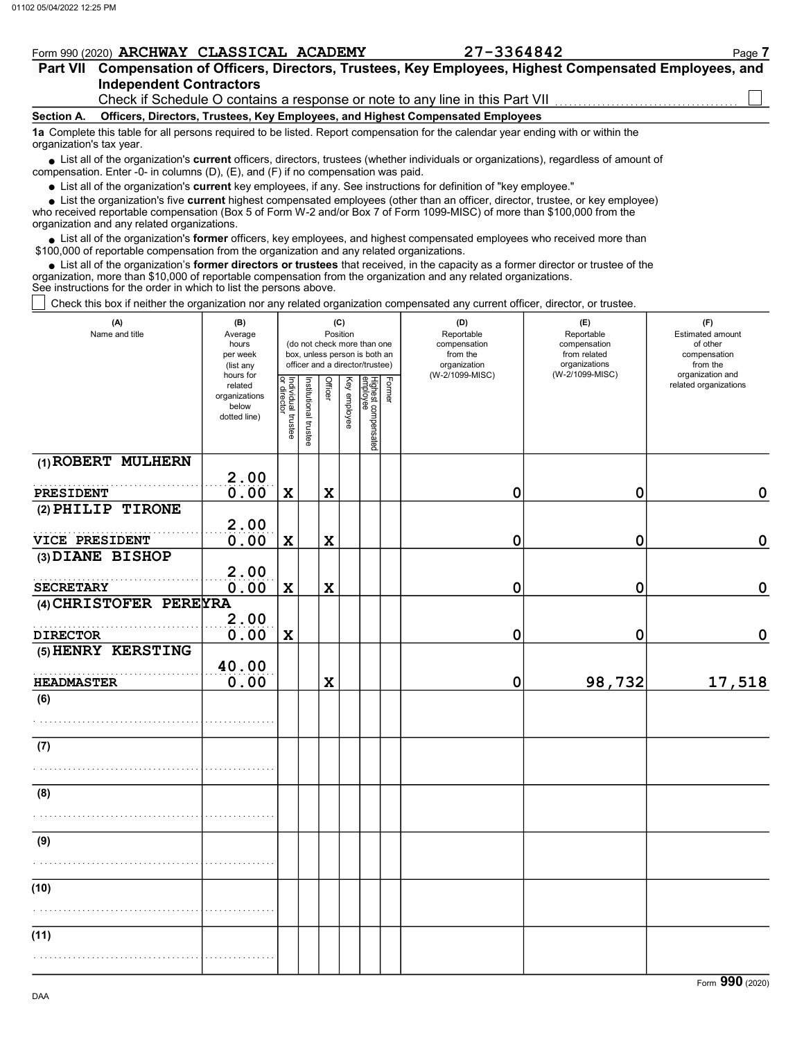|                          | Form 990 (2020) ARCHWAY CLASSICAL ACADEMY                                                                                                                                                                                 | 27-3364842 | Page 7 |  |  |  |  |  |  |  |
|--------------------------|---------------------------------------------------------------------------------------------------------------------------------------------------------------------------------------------------------------------------|------------|--------|--|--|--|--|--|--|--|
| <b>Part VII</b>          | Compensation of Officers, Directors, Trustees, Key Employees, Highest Compensated Employees, and                                                                                                                          |            |        |  |  |  |  |  |  |  |
|                          | <b>Independent Contractors</b>                                                                                                                                                                                            |            |        |  |  |  |  |  |  |  |
|                          | Check if Schedule O contains a response or note to any line in this Part VII                                                                                                                                              |            |        |  |  |  |  |  |  |  |
| Section A.               | Officers, Directors, Trustees, Key Employees, and Highest Compensated Employees                                                                                                                                           |            |        |  |  |  |  |  |  |  |
| organization's tax year. | 1a Complete this table for all persons required to be listed. Report compensation for the calendar year ending with or within the                                                                                         |            |        |  |  |  |  |  |  |  |
|                          | List all of the organization's current officers, directors, trustees (whether individuals or organizations), regardless of amount of<br>compensation. Enter -0- in columns (D), (E), and (F) if no compensation was paid. |            |        |  |  |  |  |  |  |  |
|                          | • List all of the organization's current key employees, if any. See instructions for definition of "key employee."                                                                                                        |            |        |  |  |  |  |  |  |  |
|                          | • List the organization's five current highest compensated employees (other than an officer, director, trustee, or key employee)                                                                                          |            |        |  |  |  |  |  |  |  |

who received reportable compensation (Box 5 of Form W-2 and/or Box 7 of Form 1099-MISC) of more than \$100,000 from the organization and any related organizations. •<br>. .

 $\bullet$  List all of the organization's **former** officers, key employees, and highest compensated employees who received more than  $\Omega$  0.00 of reportable compensation from the erganization and any related erganizations. \$100,000 of reportable compensation from the organization and any related organizations.

List all of the organization's former directors or trustees that received, in the capacity as a former director or trustee of the • List all of the organization's former directors or trustees that received, in the capacity as a former director organization, more than \$10,000 of reportable compensation from the organization and any related organizatio See instructions for the order in which to list the persons above.

Check this box if neither the organization nor any related organization compensated any current officer, director, or trustee.

| (A)<br>Name and title  | (B)<br>Average<br>hours<br>per week<br>(list any<br>hours for |                                          |                       |                | (C)<br>Position | (do not check more than one<br>box, unless person is both an<br>officer and a director/trustee) |        | (D)<br>Reportable<br>compensation<br>from the<br>organization<br>(W-2/1099-MISC) | (E)<br>Reportable<br>compensation<br>from related<br>organizations<br>(W-2/1099-MISC) | (F)<br><b>Estimated amount</b><br>of other<br>compensation<br>from the<br>organization and<br>related organizations |
|------------------------|---------------------------------------------------------------|------------------------------------------|-----------------------|----------------|-----------------|-------------------------------------------------------------------------------------------------|--------|----------------------------------------------------------------------------------|---------------------------------------------------------------------------------------|---------------------------------------------------------------------------------------------------------------------|
|                        | related<br>organizations<br>below<br>dotted line)             | Individual trustee<br><u>or director</u> | Institutional trustee | <b>Officer</b> | Key employee    | Highest compensated<br>employee                                                                 | Former |                                                                                  |                                                                                       |                                                                                                                     |
| (1) ROBERT MULHERN     | 2.00                                                          |                                          |                       |                |                 |                                                                                                 |        |                                                                                  |                                                                                       |                                                                                                                     |
| PRESIDENT              | 0.00                                                          | $\mathbf x$                              |                       | $\mathbf x$    |                 |                                                                                                 |        | $\mathbf 0$                                                                      | $\mathbf 0$                                                                           | $\mathbf 0$                                                                                                         |
| (2) PHILIP TIRONE      | 2.00                                                          |                                          |                       |                |                 |                                                                                                 |        |                                                                                  |                                                                                       |                                                                                                                     |
| VICE PRESIDENT         | 0.00                                                          | $\mathbf x$                              |                       | $\mathbf x$    |                 |                                                                                                 |        | $\mathbf 0$                                                                      | $\mathbf 0$                                                                           | 0                                                                                                                   |
| (3) DIANE BISHOP       | 2.00                                                          |                                          |                       |                |                 |                                                                                                 |        |                                                                                  |                                                                                       |                                                                                                                     |
| <b>SECRETARY</b>       | 0.00                                                          | $\mathbf x$                              |                       | $\mathbf x$    |                 |                                                                                                 |        | 0                                                                                | 0                                                                                     | 0                                                                                                                   |
| (4) CHRISTOFER PEREYRA |                                                               |                                          |                       |                |                 |                                                                                                 |        |                                                                                  |                                                                                       |                                                                                                                     |
|                        | 2.00                                                          |                                          |                       |                |                 |                                                                                                 |        |                                                                                  |                                                                                       |                                                                                                                     |
| <b>DIRECTOR</b>        | 0.00                                                          | $\mathbf x$                              |                       |                |                 |                                                                                                 |        | $\mathbf 0$                                                                      | 0                                                                                     | $\mathbf 0$                                                                                                         |
| (5) HENRY KERSTING     | 40.00                                                         |                                          |                       |                |                 |                                                                                                 |        |                                                                                  |                                                                                       |                                                                                                                     |
| <b>HEADMASTER</b>      | 0.00                                                          |                                          |                       | $\mathbf x$    |                 |                                                                                                 |        | $\mathbf 0$                                                                      | 98,732                                                                                | 17,518                                                                                                              |
| (6)                    |                                                               |                                          |                       |                |                 |                                                                                                 |        |                                                                                  |                                                                                       |                                                                                                                     |
|                        |                                                               |                                          |                       |                |                 |                                                                                                 |        |                                                                                  |                                                                                       |                                                                                                                     |
| (7)                    |                                                               |                                          |                       |                |                 |                                                                                                 |        |                                                                                  |                                                                                       |                                                                                                                     |
|                        |                                                               |                                          |                       |                |                 |                                                                                                 |        |                                                                                  |                                                                                       |                                                                                                                     |
| (8)                    |                                                               |                                          |                       |                |                 |                                                                                                 |        |                                                                                  |                                                                                       |                                                                                                                     |
|                        |                                                               |                                          |                       |                |                 |                                                                                                 |        |                                                                                  |                                                                                       |                                                                                                                     |
| (9)                    |                                                               |                                          |                       |                |                 |                                                                                                 |        |                                                                                  |                                                                                       |                                                                                                                     |
|                        |                                                               |                                          |                       |                |                 |                                                                                                 |        |                                                                                  |                                                                                       |                                                                                                                     |
| (10)                   |                                                               |                                          |                       |                |                 |                                                                                                 |        |                                                                                  |                                                                                       |                                                                                                                     |
|                        |                                                               |                                          |                       |                |                 |                                                                                                 |        |                                                                                  |                                                                                       |                                                                                                                     |
| (11)                   |                                                               |                                          |                       |                |                 |                                                                                                 |        |                                                                                  |                                                                                       |                                                                                                                     |
|                        |                                                               |                                          |                       |                |                 |                                                                                                 |        |                                                                                  |                                                                                       |                                                                                                                     |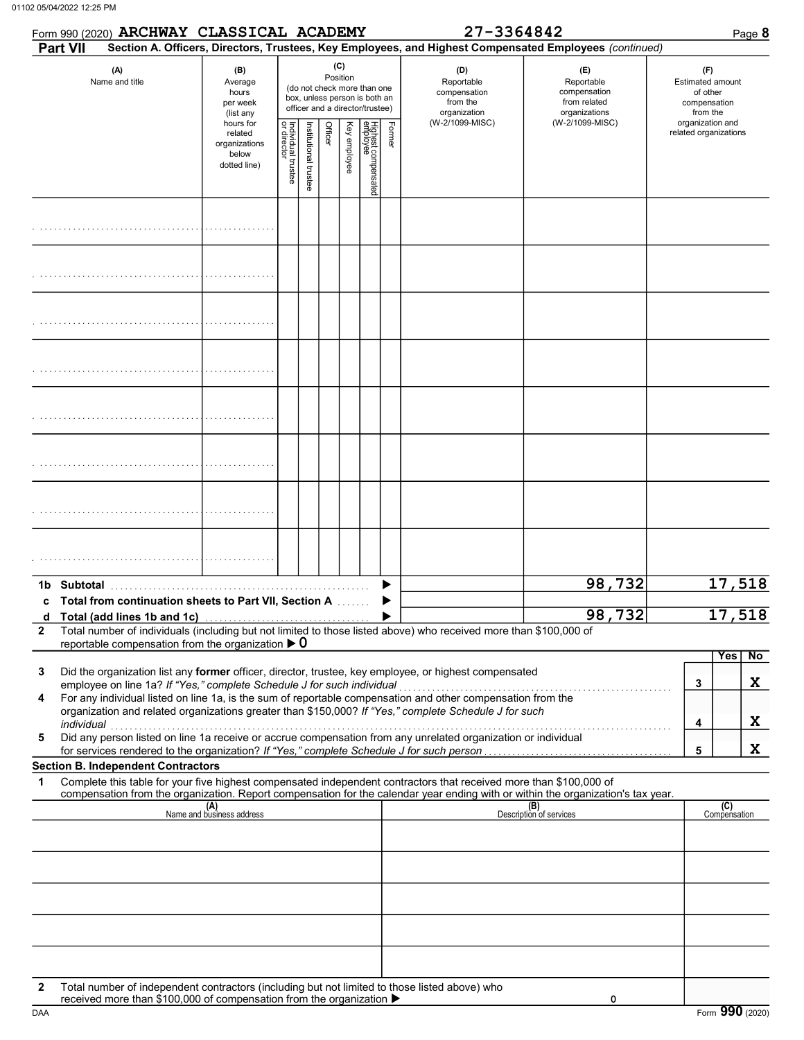| Form 990 (2020) ARCHWAY CLASSICAL ACADEMY                                                                                                                                                             |                                                               |                                                                                                                    |                      |         |              |                                 |                                                                                  | 27-3364842                                                                                                                                                                                      |                                                                                            |                       | Page $8$                |
|-------------------------------------------------------------------------------------------------------------------------------------------------------------------------------------------------------|---------------------------------------------------------------|--------------------------------------------------------------------------------------------------------------------|----------------------|---------|--------------|---------------------------------|----------------------------------------------------------------------------------|-------------------------------------------------------------------------------------------------------------------------------------------------------------------------------------------------|--------------------------------------------------------------------------------------------|-----------------------|-------------------------|
| <b>Part VII</b><br>(A)<br>Name and title                                                                                                                                                              | (B)<br>Average<br>hours<br>per week<br>(list any<br>hours for | (C)<br>Position<br>(do not check more than one<br>box, unless person is both an<br>officer and a director/trustee) |                      |         |              |                                 | (D)<br>Reportable<br>compensation<br>from the<br>organization<br>(W-2/1099-MISC) | Section A. Officers, Directors, Trustees, Key Employees, and Highest Compensated Employees (continued)<br>(E)<br>Reportable<br>compensation<br>from related<br>organizations<br>(W-2/1099-MISC) | (F)<br><b>Estimated amount</b><br>of other<br>compensation<br>from the<br>organization and |                       |                         |
|                                                                                                                                                                                                       | related<br>organizations<br>below<br>dotted line)             | Individual trustee<br>or director                                                                                  | Institutional truste | Officer | Key employee | Highest compensated<br>employee | Former                                                                           |                                                                                                                                                                                                 |                                                                                            | related organizations |                         |
|                                                                                                                                                                                                       |                                                               |                                                                                                                    |                      |         |              |                                 |                                                                                  |                                                                                                                                                                                                 |                                                                                            |                       |                         |
|                                                                                                                                                                                                       |                                                               |                                                                                                                    |                      |         |              |                                 |                                                                                  |                                                                                                                                                                                                 |                                                                                            |                       |                         |
|                                                                                                                                                                                                       |                                                               |                                                                                                                    |                      |         |              |                                 |                                                                                  |                                                                                                                                                                                                 |                                                                                            |                       |                         |
|                                                                                                                                                                                                       |                                                               |                                                                                                                    |                      |         |              |                                 |                                                                                  |                                                                                                                                                                                                 |                                                                                            |                       |                         |
|                                                                                                                                                                                                       |                                                               |                                                                                                                    |                      |         |              |                                 |                                                                                  |                                                                                                                                                                                                 |                                                                                            |                       |                         |
|                                                                                                                                                                                                       |                                                               |                                                                                                                    |                      |         |              |                                 |                                                                                  |                                                                                                                                                                                                 |                                                                                            |                       |                         |
|                                                                                                                                                                                                       |                                                               |                                                                                                                    |                      |         |              |                                 |                                                                                  |                                                                                                                                                                                                 |                                                                                            |                       |                         |
|                                                                                                                                                                                                       |                                                               |                                                                                                                    |                      |         |              |                                 |                                                                                  |                                                                                                                                                                                                 |                                                                                            |                       |                         |
| c Total from continuation sheets to Part VII, Section A<br>Total (add lines 1b and 1c)<br>d                                                                                                           |                                                               |                                                                                                                    |                      |         |              |                                 |                                                                                  |                                                                                                                                                                                                 | 98,732<br>98,732                                                                           |                       | 17,518<br><u>17,518</u> |
| Total number of individuals (including but not limited to those listed above) who received more than \$100,000 of<br>$\mathbf{2}$<br>reportable compensation from the organization $\triangleright$ 0 |                                                               |                                                                                                                    |                      |         |              |                                 |                                                                                  |                                                                                                                                                                                                 |                                                                                            |                       |                         |
| Did the organization list any former officer, director, trustee, key employee, or highest compensated<br>3                                                                                            |                                                               |                                                                                                                    |                      |         |              |                                 |                                                                                  |                                                                                                                                                                                                 |                                                                                            |                       | Yes<br>No               |
| employee on line 1a? If "Yes," complete Schedule J for such individual<br>For any individual listed on line 1a, is the sum of reportable compensation and other compensation from the<br>4            |                                                               |                                                                                                                    |                      |         |              |                                 |                                                                                  |                                                                                                                                                                                                 |                                                                                            | 3                     | X                       |
| organization and related organizations greater than \$150,000? If "Yes," complete Schedule J for such<br>individual                                                                                   |                                                               |                                                                                                                    |                      |         |              |                                 |                                                                                  |                                                                                                                                                                                                 |                                                                                            | 4                     | X                       |
| Did any person listed on line 1a receive or accrue compensation from any unrelated organization or individual<br>5                                                                                    |                                                               |                                                                                                                    |                      |         |              |                                 |                                                                                  |                                                                                                                                                                                                 |                                                                                            | 5                     | X                       |
| <b>Section B. Independent Contractors</b><br>Complete this table for your five highest compensated independent contractors that received more than \$100,000 of                                       |                                                               |                                                                                                                    |                      |         |              |                                 |                                                                                  |                                                                                                                                                                                                 |                                                                                            |                       |                         |
| 1<br>compensation from the organization. Report compensation for the calendar year ending with or within the organization's tax year.                                                                 |                                                               |                                                                                                                    |                      |         |              |                                 |                                                                                  |                                                                                                                                                                                                 |                                                                                            |                       |                         |
|                                                                                                                                                                                                       | (A)<br>Name and business address                              |                                                                                                                    |                      |         |              |                                 |                                                                                  |                                                                                                                                                                                                 | (B)<br>Description of services                                                             |                       | (C)<br>Compensation     |
|                                                                                                                                                                                                       |                                                               |                                                                                                                    |                      |         |              |                                 |                                                                                  |                                                                                                                                                                                                 |                                                                                            |                       |                         |
|                                                                                                                                                                                                       |                                                               |                                                                                                                    |                      |         |              |                                 |                                                                                  |                                                                                                                                                                                                 |                                                                                            |                       |                         |
|                                                                                                                                                                                                       |                                                               |                                                                                                                    |                      |         |              |                                 |                                                                                  |                                                                                                                                                                                                 |                                                                                            |                       |                         |
|                                                                                                                                                                                                       |                                                               |                                                                                                                    |                      |         |              |                                 |                                                                                  |                                                                                                                                                                                                 |                                                                                            |                       |                         |
|                                                                                                                                                                                                       |                                                               |                                                                                                                    |                      |         |              |                                 |                                                                                  |                                                                                                                                                                                                 |                                                                                            |                       |                         |
|                                                                                                                                                                                                       |                                                               |                                                                                                                    |                      |         |              |                                 |                                                                                  |                                                                                                                                                                                                 |                                                                                            |                       |                         |
| Total number of independent contractors (including but not limited to those listed above) who<br>$\mathbf{2}$<br>received more than \$100,000 of compensation from the organization ▶                 |                                                               |                                                                                                                    |                      |         |              |                                 |                                                                                  |                                                                                                                                                                                                 | 0                                                                                          |                       |                         |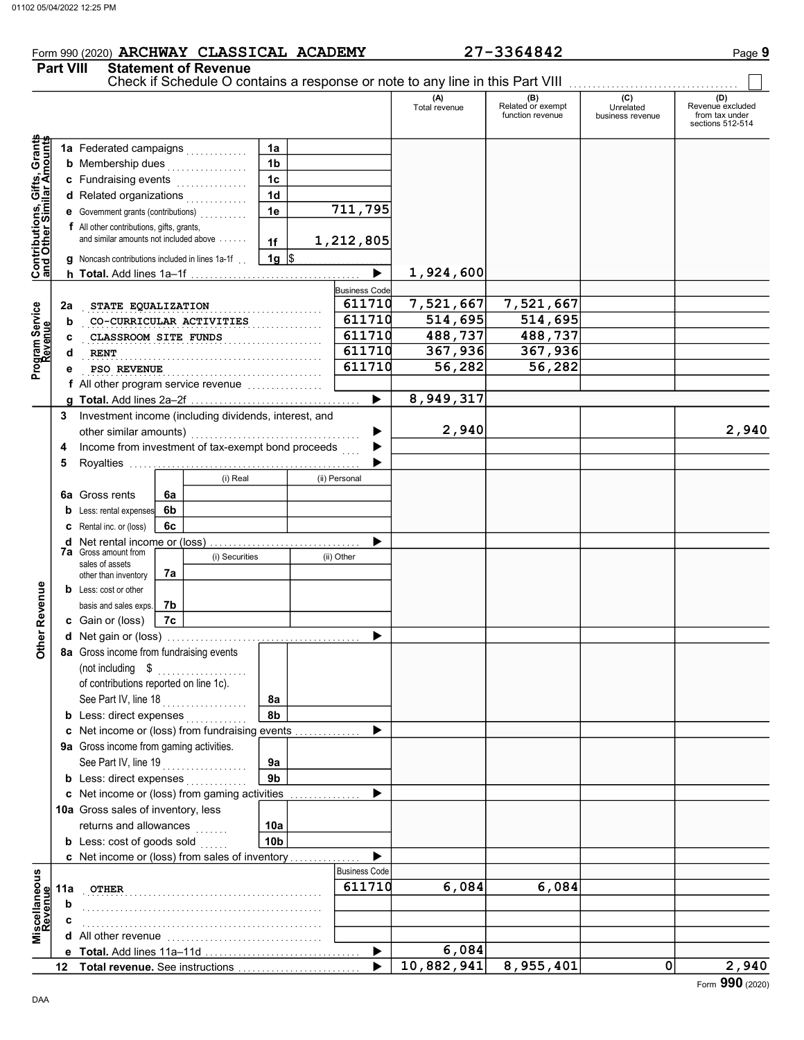## Form 990 (2020) **ARCHWAY CLASSICAL ACADEMY** 27-3364842 Page 9 Part VIII Statement of Revenue

|                                                                  |                                                         |                                                                                                                       |                |                                         |                 |   |                       | Check if Schedule O contains a response or note to any line in this Part VIII |                                              |                                      |                                                               |
|------------------------------------------------------------------|---------------------------------------------------------|-----------------------------------------------------------------------------------------------------------------------|----------------|-----------------------------------------|-----------------|---|-----------------------|-------------------------------------------------------------------------------|----------------------------------------------|--------------------------------------|---------------------------------------------------------------|
|                                                                  |                                                         |                                                                                                                       |                |                                         |                 |   |                       | (A)<br>Total revenue                                                          | (B)<br>Related or exempt<br>function revenue | (C)<br>Unrelated<br>business revenue | (D)<br>Revenue excluded<br>from tax under<br>sections 512-514 |
|                                                                  |                                                         | 1a Federated campaigns                                                                                                |                |                                         | 1a              |   |                       |                                                                               |                                              |                                      |                                                               |
| <b>Contributions, Gifts, Grants</b><br>and Other Similar Amounts |                                                         | <b>b</b> Membership dues                                                                                              |                | .                                       | 1 <sub>b</sub>  |   |                       |                                                                               |                                              |                                      |                                                               |
|                                                                  |                                                         | c Fundraising events                                                                                                  |                | .                                       | 1 <sub>c</sub>  |   |                       |                                                                               |                                              |                                      |                                                               |
|                                                                  |                                                         | d Related organizations                                                                                               |                | .                                       | 1 <sub>d</sub>  |   |                       |                                                                               |                                              |                                      |                                                               |
|                                                                  |                                                         | <b>e</b> Government grants (contributions)                                                                            |                |                                         | 1e              |   | 711,795               |                                                                               |                                              |                                      |                                                               |
|                                                                  |                                                         | f All other contributions, gifts, grants,                                                                             |                |                                         |                 |   |                       |                                                                               |                                              |                                      |                                                               |
|                                                                  |                                                         | and similar amounts not included above                                                                                |                |                                         | 1f              |   | 1,212,805             |                                                                               |                                              |                                      |                                                               |
|                                                                  |                                                         | <b>g</b> Noncash contributions included in lines 1a-1f                                                                |                |                                         | 1g $\vert$ \$   |   |                       |                                                                               |                                              |                                      |                                                               |
|                                                                  |                                                         |                                                                                                                       |                |                                         |                 |   | $\blacktriangleright$ | 1,924,600                                                                     |                                              |                                      |                                                               |
|                                                                  |                                                         |                                                                                                                       |                |                                         |                 |   | <b>Business Code</b>  |                                                                               |                                              |                                      |                                                               |
|                                                                  | 2a                                                      | STATE EQUALIZATION                                                                                                    |                |                                         |                 |   | 611710                | 7,521,667                                                                     | 7,521,667                                    |                                      |                                                               |
| Program Service                                                  | b                                                       |                                                                                                                       |                | CO-CURRICULAR ACTIVITIES                |                 |   | 611710                | 514,695                                                                       | 514,695                                      |                                      |                                                               |
|                                                                  | c                                                       | CLASSROOM SITE FUNDS                                                                                                  |                |                                         |                 | . | 611710                | 488,737                                                                       | 488,737                                      |                                      |                                                               |
|                                                                  | d                                                       | <b>RENT</b>                                                                                                           |                |                                         |                 |   | 611710                | 367,936                                                                       | 367,936                                      |                                      |                                                               |
|                                                                  | е                                                       | <b>PSO REVENUE</b>                                                                                                    |                |                                         |                 |   | 611710                | 56,282                                                                        | 56,282                                       |                                      |                                                               |
|                                                                  |                                                         | f All other program service revenue                                                                                   |                |                                         |                 |   |                       |                                                                               |                                              |                                      |                                                               |
|                                                                  |                                                         |                                                                                                                       |                |                                         |                 |   | ▶                     | 8,949,317                                                                     |                                              |                                      |                                                               |
|                                                                  | 3                                                       | Investment income (including dividends, interest, and                                                                 |                |                                         |                 |   |                       |                                                                               |                                              |                                      |                                                               |
|                                                                  |                                                         | other similar amounts)                                                                                                |                |                                         |                 |   | ▶                     | 2,940                                                                         |                                              |                                      | 2,940                                                         |
|                                                                  | Income from investment of tax-exempt bond proceeds<br>4 |                                                                                                                       |                |                                         |                 |   |                       |                                                                               |                                              |                                      |                                                               |
|                                                                  | 5                                                       |                                                                                                                       |                |                                         |                 |   |                       |                                                                               |                                              |                                      |                                                               |
|                                                                  |                                                         |                                                                                                                       |                | (i) Real                                |                 |   | (ii) Personal         |                                                                               |                                              |                                      |                                                               |
|                                                                  |                                                         | <b>6a</b> Gross rents                                                                                                 | 6a             |                                         |                 |   |                       |                                                                               |                                              |                                      |                                                               |
|                                                                  |                                                         | <b>b</b> Less: rental expenses                                                                                        | 6b             |                                         |                 |   |                       |                                                                               |                                              |                                      |                                                               |
|                                                                  |                                                         | <b>c</b> Rental inc. or (loss)                                                                                        | 6c             |                                         |                 |   |                       |                                                                               |                                              |                                      |                                                               |
|                                                                  |                                                         | <b>d</b> Net rental income or (loss)                                                                                  |                |                                         |                 |   | ▶                     |                                                                               |                                              |                                      |                                                               |
|                                                                  |                                                         | <b>7a</b> Gross amount from<br>sales of assets                                                                        | (i) Securities |                                         |                 |   | (ii) Other            |                                                                               |                                              |                                      |                                                               |
|                                                                  |                                                         | 7a<br>other than inventory                                                                                            |                |                                         |                 |   |                       |                                                                               |                                              |                                      |                                                               |
| Other Revenue                                                    |                                                         | <b>b</b> Less: cost or other                                                                                          |                |                                         |                 |   |                       |                                                                               |                                              |                                      |                                                               |
|                                                                  |                                                         | basis and sales exps.                                                                                                 | 7b             |                                         |                 |   |                       |                                                                               |                                              |                                      |                                                               |
|                                                                  |                                                         | c Gain or (loss)                                                                                                      | 7c             |                                         |                 |   |                       |                                                                               |                                              |                                      |                                                               |
|                                                                  |                                                         |                                                                                                                       |                |                                         |                 |   | ▶                     |                                                                               |                                              |                                      |                                                               |
|                                                                  |                                                         | 8a Gross income from fundraising events                                                                               |                |                                         |                 |   |                       |                                                                               |                                              |                                      |                                                               |
|                                                                  |                                                         |                                                                                                                       |                |                                         |                 |   |                       |                                                                               |                                              |                                      |                                                               |
|                                                                  |                                                         | of contributions reported on line 1c).                                                                                |                |                                         |                 |   |                       |                                                                               |                                              |                                      |                                                               |
|                                                                  |                                                         | See Part IV, line 18                                                                                                  |                | .<br>.                                  | 8a              |   |                       |                                                                               |                                              |                                      |                                                               |
|                                                                  |                                                         | <b>b</b> Less: direct expenses                                                                                        |                |                                         | 8b              |   |                       |                                                                               |                                              |                                      |                                                               |
|                                                                  |                                                         | c Net income or (loss) from fundraising events                                                                        |                |                                         |                 |   | ▶                     |                                                                               |                                              |                                      |                                                               |
|                                                                  |                                                         | 9a Gross income from gaming activities.                                                                               |                |                                         |                 |   |                       |                                                                               |                                              |                                      |                                                               |
|                                                                  |                                                         | See Part IV, line 19                                                                                                  |                | <u>.</u><br>1999 - Personald II II II I | 9a              |   |                       |                                                                               |                                              |                                      |                                                               |
|                                                                  |                                                         | <b>b</b> Less: direct expenses                                                                                        |                |                                         | 9 <sub>b</sub>  |   |                       |                                                                               |                                              |                                      |                                                               |
|                                                                  |                                                         | c Net income or (loss) from gaming activities                                                                         |                |                                         |                 |   | ▶                     |                                                                               |                                              |                                      |                                                               |
|                                                                  |                                                         | 10a Gross sales of inventory, less                                                                                    |                |                                         |                 |   |                       |                                                                               |                                              |                                      |                                                               |
|                                                                  |                                                         | returns and allowances                                                                                                |                | .                                       | 10a             |   |                       |                                                                               |                                              |                                      |                                                               |
|                                                                  |                                                         | <b>b</b> Less: cost of goods sold                                                                                     |                |                                         | 10 <sub>b</sub> |   |                       |                                                                               |                                              |                                      |                                                               |
|                                                                  |                                                         | c Net income or (loss) from sales of inventory                                                                        |                |                                         |                 |   | ▶                     |                                                                               |                                              |                                      |                                                               |
|                                                                  |                                                         |                                                                                                                       |                |                                         |                 |   | <b>Business Code</b>  |                                                                               |                                              |                                      |                                                               |
| Miscellaneous<br>Revenue                                         | 11a                                                     | OTHER                                                                                                                 |                |                                         |                 |   | 611710                | 6,084                                                                         | 6,084                                        |                                      |                                                               |
|                                                                  | $\mathbf b$                                             |                                                                                                                       |                |                                         |                 |   |                       |                                                                               |                                              |                                      |                                                               |
|                                                                  | c                                                       |                                                                                                                       |                |                                         |                 |   |                       |                                                                               |                                              |                                      |                                                               |
|                                                                  |                                                         | All other revenue <b>constructs</b> and the constructs of the construction of the construction of the construction of |                |                                         |                 |   |                       |                                                                               |                                              |                                      |                                                               |
|                                                                  |                                                         |                                                                                                                       |                |                                         |                 |   | ▶                     | 6,084                                                                         |                                              |                                      |                                                               |
|                                                                  | 12                                                      |                                                                                                                       |                |                                         |                 |   |                       | $\overline{10}$ , 882, 941                                                    | 8,955,401                                    | 0                                    | $\overline{2}$ , 940                                          |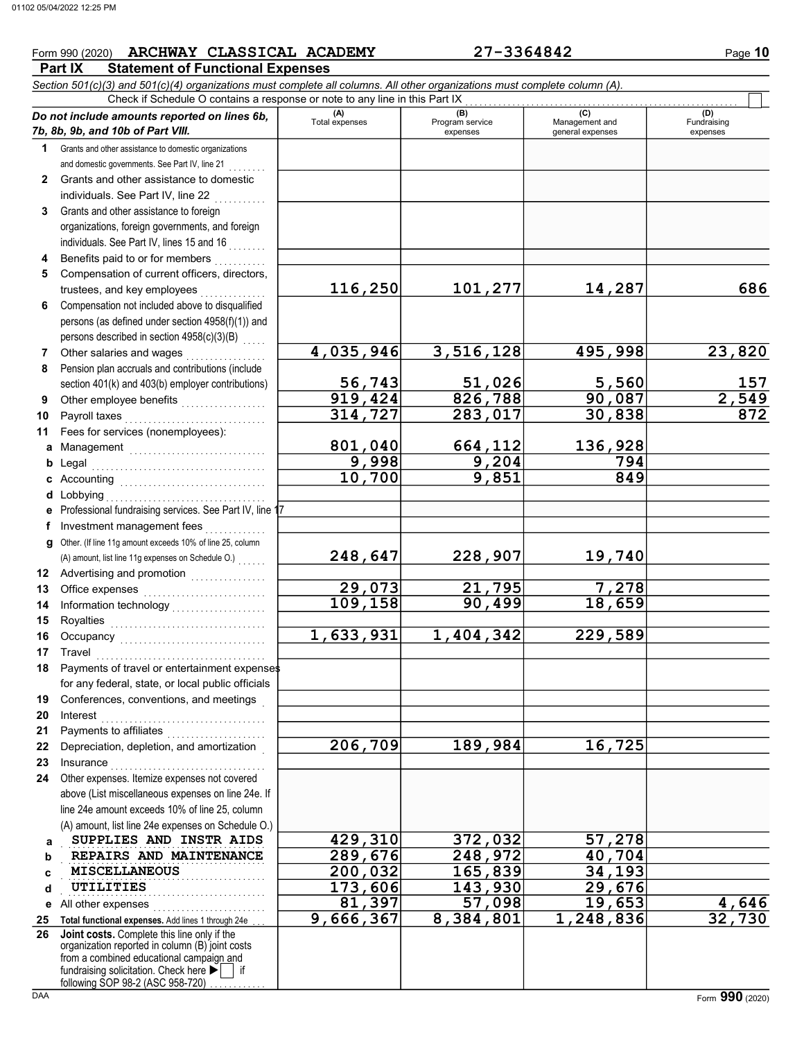individuals. See Part IV, line 22

#### Part IX Statement of Functional Expenses Form 990 (2020) **ARCHWAY CLASSICAL ACADEMY** 27-3364842 Page 10 Section 501(c)(3) and 501(c)(4) organizations must complete all columns. All other organizations must complete column (A). Do not include amounts reported on lines 6b, 7b, 8b, 9b, and 10b of Part VIII. 1 2 Grants and other assistance to domestic organizations and domestic governments. See Part IV, line 21 **.** . . . . . . . Grants and other assistance to domestic (A) (B) (C) (D) Total expenses Program service Management and expenses general expenses (D)<br>Fundraising expenses Check if Schedule O contains a response or note to any line in this Part IX

| 3  | Grants and other assistance to foreign                                                             |           |           |           |        |
|----|----------------------------------------------------------------------------------------------------|-----------|-----------|-----------|--------|
|    | organizations, foreign governments, and foreign                                                    |           |           |           |        |
|    | individuals. See Part IV, lines 15 and 16                                                          |           |           |           |        |
| 4  | Benefits paid to or for members                                                                    |           |           |           |        |
| 5  | Compensation of current officers, directors,                                                       |           |           |           |        |
|    | trustees, and key employees                                                                        | 116,250   | 101,277   | 14,287    | 686    |
| 6  | Compensation not included above to disqualified                                                    |           |           |           |        |
|    | persons (as defined under section 4958(f)(1)) and                                                  |           |           |           |        |
|    | persons described in section 4958(c)(3)(B)                                                         |           |           |           |        |
| 7  | Other salaries and wages                                                                           | 4,035,946 | 3,516,128 | 495,998   | 23,820 |
| 8  | Pension plan accruals and contributions (include                                                   |           |           |           |        |
|    | section 401(k) and 403(b) employer contributions)                                                  | 56,743    | 51,026    | 5,560     | 157    |
| 9  |                                                                                                    | 919,424   | 826,788   | 90,087    | 2,549  |
| 10 | Payroll taxes                                                                                      | 314,727   | 283,017   | 30,838    | 872    |
| 11 | Fees for services (nonemployees):                                                                  |           |           |           |        |
|    | a Management                                                                                       | 801,040   | 664,112   | 136,928   |        |
|    | <b>b</b> Legal                                                                                     | 9,998     | 9,204     | 794       |        |
|    |                                                                                                    | 10,700    | 9,851     | 849       |        |
|    | d Lobbying                                                                                         |           |           |           |        |
|    | e Professional fundraising services. See Part IV, line 17                                          |           |           |           |        |
|    | f Investment management fees                                                                       |           |           |           |        |
|    | g Other. (If line 11g amount exceeds 10% of line 25, column                                        |           |           |           |        |
|    | (A) amount, list line 11g expenses on Schedule O.)                                                 | 248,647   | 228,907   | 19,740    |        |
|    |                                                                                                    |           |           |           |        |
| 13 | 12 Advertising and promotion<br>12 Advertising and promotion<br>Office expenses                    | 29,073    | 21,795    | 7,278     |        |
| 14 |                                                                                                    | 109, 158  | 90,499    | 18,659    |        |
| 15 | Royalties                                                                                          |           |           |           |        |
| 16 |                                                                                                    | 1,633,931 | 1,404,342 | 229,589   |        |
|    | Occupancy                                                                                          |           |           |           |        |
| 17 | Travel<br>Payments of travel or entertainment expenses                                             |           |           |           |        |
| 18 |                                                                                                    |           |           |           |        |
|    | for any federal, state, or local public officials<br>Conferences, conventions, and meetings        |           |           |           |        |
| 19 |                                                                                                    |           |           |           |        |
| 20 | Interest                                                                                           |           |           |           |        |
| 21 | Payments to affiliates                                                                             | 206,709   | 189,984   | 16,725    |        |
| 22 | Depreciation, depletion, and amortization                                                          |           |           |           |        |
| 23 | Insurance                                                                                          |           |           |           |        |
| 24 | Other expenses. Itemize expenses not covered<br>above (List miscellaneous expenses on line 24e. If |           |           |           |        |
|    |                                                                                                    |           |           |           |        |
|    | line 24e amount exceeds 10% of line 25, column                                                     |           |           |           |        |
|    | (A) amount, list line 24e expenses on Schedule O.)<br>SUPPLIES AND INSTR AIDS                      | 429,310   |           |           |        |
| a  |                                                                                                    |           | 372,032   | 57,278    |        |
| b  | REPAIRS AND MAINTENANCE                                                                            | 289,676   | 248,972   | 40,704    |        |
| c  | MISCELLANEOUS                                                                                      | 200,032   | 165,839   | 34,193    |        |
| d  | UTILITIES                                                                                          | 173,606   | 143,930   | 29,676    |        |
| е  | All other expenses                                                                                 | 81,397    | 57,098    | 19,653    | 4,646  |
| 25 | Total functional expenses. Add lines 1 through 24e<br>Joint costs. Complete this line only if the  | 9,666,367 | 8,384,801 | 1,248,836 | 32,730 |
| 26 | organization reported in column (B) joint costs                                                    |           |           |           |        |

fundraising solicitation. Check here  $\blacktriangleright$  | if

following SOP 98-2 (ASC 958-720)

from a combined educational campaign and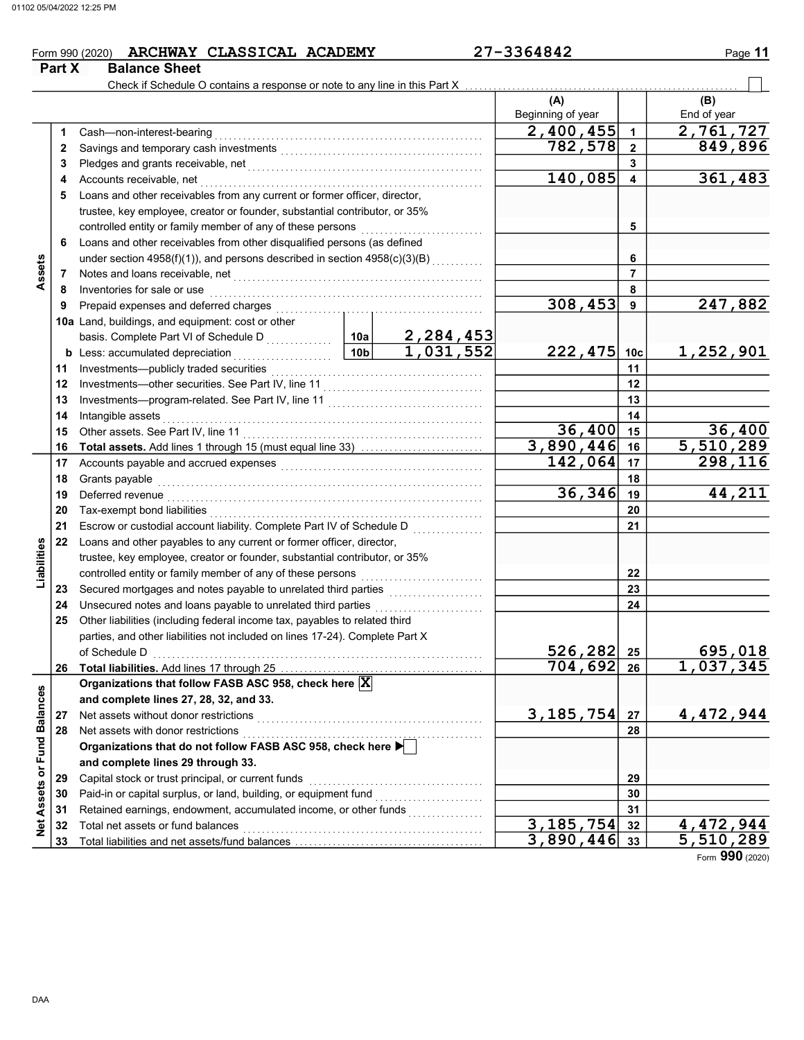**Part X** Balance Sheet

# $From 990 (2020)$   $\bf{ARCHWAY}$   $\bf{CLASSICAL}$   $\bf{ACADEMY}$   $27-3364842$  Page 11

|                             |    | Check if Schedule O contains a response or note to any line in this Part X                                                                                                                                                           |        |                                  |                          |                 |                           |
|-----------------------------|----|--------------------------------------------------------------------------------------------------------------------------------------------------------------------------------------------------------------------------------------|--------|----------------------------------|--------------------------|-----------------|---------------------------|
|                             |    |                                                                                                                                                                                                                                      |        |                                  | (A)<br>Beginning of year |                 | (B)<br>End of year        |
|                             | 1  | Cash-non-interest-bearing                                                                                                                                                                                                            |        |                                  | 2,400,455                | $\mathbf{1}$    | 2,761,727                 |
|                             | 2  |                                                                                                                                                                                                                                      |        |                                  | 782,578                  | $\overline{2}$  | 849,896                   |
|                             | 3  |                                                                                                                                                                                                                                      |        |                                  |                          | 3               |                           |
|                             | 4  | Accounts receivable, net                                                                                                                                                                                                             |        | 140,085                          | $\overline{\mathbf{4}}$  | 361,483         |                           |
|                             | 5  | Loans and other receivables from any current or former officer, director,                                                                                                                                                            |        |                                  |                          |                 |                           |
|                             |    | trustee, key employee, creator or founder, substantial contributor, or 35%                                                                                                                                                           |        |                                  |                          |                 |                           |
|                             |    | controlled entity or family member of any of these persons                                                                                                                                                                           |        |                                  |                          | 5               |                           |
|                             | 6  | Loans and other receivables from other disqualified persons (as defined                                                                                                                                                              |        |                                  |                          |                 |                           |
|                             |    | under section 4958(f)(1)), and persons described in section 4958(c)(3)(B)                                                                                                                                                            |        |                                  |                          | 6               |                           |
| Assets                      | 7  | Notes and loans receivable, net <b>consider the constant of the constant of the constant of the constant of the constant of the constant of the constant of the constant of the constant of the constant of the constant of the </b> |        |                                  |                          | $\overline{7}$  |                           |
|                             | 8  | Inventories for sale or use                                                                                                                                                                                                          |        |                                  |                          | 8               |                           |
|                             | 9  |                                                                                                                                                                                                                                      |        |                                  | 308,453                  | 9               | 247,882                   |
|                             |    | 10a Land, buildings, and equipment: cost or other                                                                                                                                                                                    |        |                                  |                          |                 |                           |
|                             |    | basis. Complete Part VI of Schedule D<br>Less: accumulated depreciation<br>10b 1, 031, 552                                                                                                                                           |        |                                  |                          |                 |                           |
|                             |    | <b>b</b> Less: accumulated depreciation<br>.                                                                                                                                                                                         |        |                                  | 222, 475                 | 10 <sub>c</sub> | 1,252,901                 |
|                             | 11 |                                                                                                                                                                                                                                      |        |                                  |                          | 11              |                           |
|                             | 12 |                                                                                                                                                                                                                                      |        |                                  |                          | 12              |                           |
|                             | 13 |                                                                                                                                                                                                                                      |        |                                  |                          | 13              |                           |
|                             | 14 | Intangible assets                                                                                                                                                                                                                    |        | 14                               |                          |                 |                           |
|                             | 15 | Other assets. See Part IV, line 11                                                                                                                                                                                                   | 36,400 | 15                               | 36,400                   |                 |                           |
|                             | 16 |                                                                                                                                                                                                                                      |        |                                  | 3,890,446                | 16              | 5,510,289                 |
|                             | 17 | Accounts payable and accrued expenses [[11] [11] Accounts payable and accrued expenses [[11] [11] Accounts are not accrued a low and accrued a low and accrued a low and accrued a low accredit a low accredit a low accredit        |        |                                  | 142,064                  | 17              | 298,116                   |
|                             | 18 | Grants payable                                                                                                                                                                                                                       |        | 18                               |                          |                 |                           |
|                             | 19 | Deferred revenue                                                                                                                                                                                                                     | 36,346 | 19                               | 44,211                   |                 |                           |
|                             | 20 | Tax-exempt bond liabilities                                                                                                                                                                                                          |        | 20                               |                          |                 |                           |
|                             | 21 | Escrow or custodial account liability. Complete Part IV of Schedule D                                                                                                                                                                |        | <u> 1999 - Johann John Stone</u> |                          | 21              |                           |
|                             | 22 | Loans and other payables to any current or former officer, director,                                                                                                                                                                 |        |                                  |                          |                 |                           |
| Liabilities                 |    | trustee, key employee, creator or founder, substantial contributor, or 35%                                                                                                                                                           |        |                                  |                          |                 |                           |
|                             |    | controlled entity or family member of any of these persons                                                                                                                                                                           |        |                                  |                          | 22              |                           |
|                             | 23 | Secured mortgages and notes payable to unrelated third parties<br>[[[[[[[[[[[[[[[[[[[[[]]]]]]]                                                                                                                                       |        |                                  |                          | 23              |                           |
|                             | 24 | Unsecured notes and loans payable to unrelated third parties                                                                                                                                                                         |        |                                  |                          | 24              |                           |
|                             | 25 | Other liabilities (including federal income tax, payables to related third                                                                                                                                                           |        |                                  |                          |                 |                           |
|                             |    | parties, and other liabilities not included on lines 17-24). Complete Part X                                                                                                                                                         |        |                                  |                          |                 |                           |
|                             |    | of Schedule D<br>$\begin{array}{ccc}\n\hline\n\end{array}$                                                                                                                                                                           |        |                                  | 526, 282                 | 25              | 695,018                   |
|                             |    | 26 Total liabilities. Add lines 17 through 25                                                                                                                                                                                        |        |                                  | 704,692                  | 26              | 1,037,345                 |
|                             |    | Organizations that follow FASB ASC 958, check here  X                                                                                                                                                                                |        |                                  |                          |                 |                           |
|                             |    | and complete lines 27, 28, 32, and 33.                                                                                                                                                                                               |        |                                  |                          |                 |                           |
|                             | 27 | Net assets without donor restrictions                                                                                                                                                                                                |        |                                  | 3, 185, 754              | 27              | 4, 472, 944               |
|                             | 28 | Net assets with donor restrictions                                                                                                                                                                                                   |        |                                  |                          | 28              |                           |
|                             |    | Organizations that do not follow FASB ASC 958, check here                                                                                                                                                                            |        |                                  |                          |                 |                           |
|                             |    | and complete lines 29 through 33.                                                                                                                                                                                                    |        |                                  |                          |                 |                           |
|                             | 29 | Capital stock or trust principal, or current funds                                                                                                                                                                                   |        |                                  |                          | 29              |                           |
| Net Assets or Fund Balances | 30 | Paid-in or capital surplus, or land, building, or equipment fund                                                                                                                                                                     |        |                                  |                          | 30              |                           |
|                             | 31 | Retained earnings, endowment, accumulated income, or other funds                                                                                                                                                                     |        |                                  |                          | 31              |                           |
|                             | 32 | Total net assets or fund balances                                                                                                                                                                                                    |        |                                  | $\overline{3,185,754}$   | 32              | $\overline{4}$ , 472, 944 |
|                             | 33 |                                                                                                                                                                                                                                      |        |                                  | $3,890,446$ 33           |                 | 5,510,289                 |

Form 990 (2020)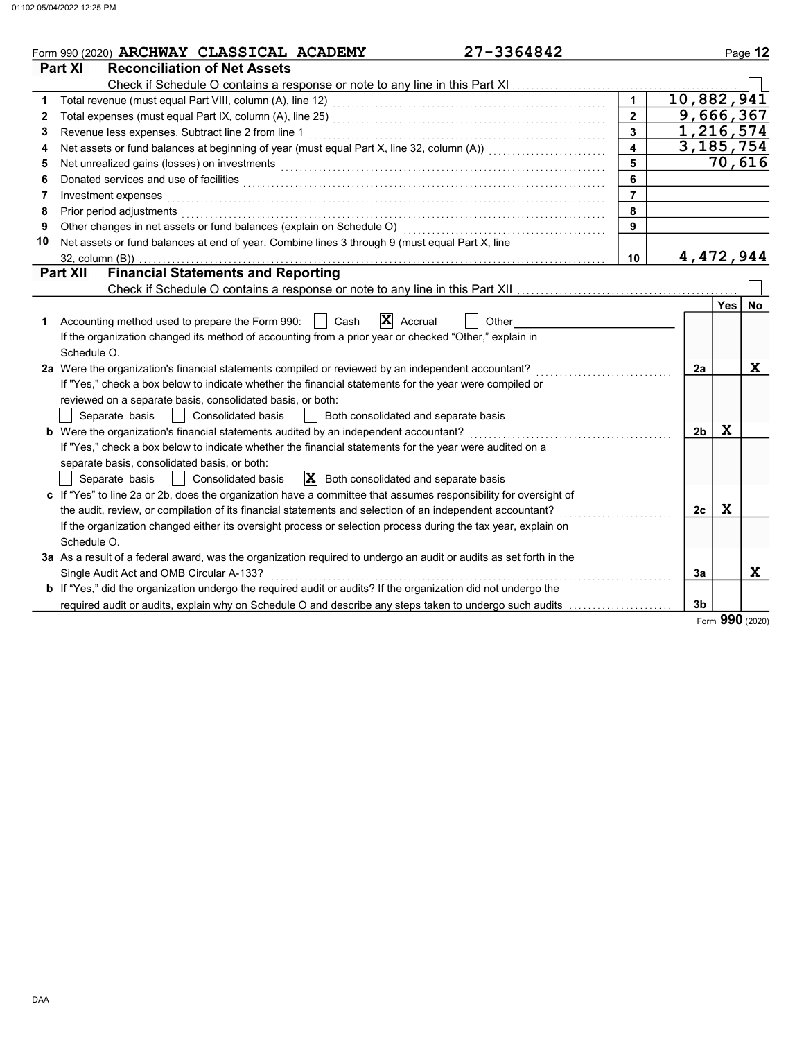| <b>Reconciliation of Net Assets</b><br>Part XI<br>Check if Schedule O contains a response or note to any line in this Part XI<br>10,882,941<br>$\mathbf{1}$<br>1<br>9,666,367<br>$\overline{2}$<br>2<br>1,216,574<br>$\overline{3}$<br>Revenue less expenses. Subtract line 2 from line 1<br>3<br>3, 185, 754<br>Net assets or fund balances at beginning of year (must equal Part X, line 32, column (A))<br>$\overline{\mathbf{4}}$<br>4<br>70,616<br>5<br>Net unrealized gains (losses) on investments<br>5<br>6<br>Donated services and use of facilities <b>constructs</b> and the service of the service of the services and use of facilities<br>6<br>$\overline{7}$<br>Investment expenses<br>7<br>8<br>Prior period adjustments<br>8<br>Other changes in net assets or fund balances (explain on Schedule O)<br>9<br>9<br>Net assets or fund balances at end of year. Combine lines 3 through 9 (must equal Part X, line<br>10<br>4,472,944<br>10<br>$32$ , column $(B)$ )<br><b>Financial Statements and Reporting</b><br><b>Part XII</b><br>Check if Schedule O contains a response or note to any line in this Part XII<br><b>Yes</b><br>X<br>Accounting method used to prepare the Form 990:<br>Cash<br>Accrual<br>Other<br>1<br>If the organization changed its method of accounting from a prior year or checked "Other," explain in<br>Schedule O.<br>X<br>2a Were the organization's financial statements compiled or reviewed by an independent accountant?<br>2a<br>If "Yes," check a box below to indicate whether the financial statements for the year were compiled or<br>reviewed on a separate basis, consolidated basis, or both:<br>Separate basis<br><b>Consolidated basis</b><br>Both consolidated and separate basis<br><b>b</b> Were the organization's financial statements audited by an independent accountant?<br>X<br>2 <sub>b</sub><br>If "Yes," check a box below to indicate whether the financial statements for the year were audited on a<br>separate basis, consolidated basis, or both:<br>$ \mathbf{X} $ Both consolidated and separate basis<br><b>Consolidated basis</b><br>Separate basis<br>c If "Yes" to line 2a or 2b, does the organization have a committee that assumes responsibility for oversight of<br>X<br>the audit, review, or compilation of its financial statements and selection of an independent accountant?<br>2c | 27-3364842<br>Form 990 (2020) ARCHWAY CLASSICAL ACADEMY |  | Page 12   |
|---------------------------------------------------------------------------------------------------------------------------------------------------------------------------------------------------------------------------------------------------------------------------------------------------------------------------------------------------------------------------------------------------------------------------------------------------------------------------------------------------------------------------------------------------------------------------------------------------------------------------------------------------------------------------------------------------------------------------------------------------------------------------------------------------------------------------------------------------------------------------------------------------------------------------------------------------------------------------------------------------------------------------------------------------------------------------------------------------------------------------------------------------------------------------------------------------------------------------------------------------------------------------------------------------------------------------------------------------------------------------------------------------------------------------------------------------------------------------------------------------------------------------------------------------------------------------------------------------------------------------------------------------------------------------------------------------------------------------------------------------------------------------------------------------------------------------------------------------------------------------------------------------------------------------------------------------------------------------------------------------------------------------------------------------------------------------------------------------------------------------------------------------------------------------------------------------------------------------------------------------------------------------------------------------------------------------------------------------------------------------------------|---------------------------------------------------------|--|-----------|
|                                                                                                                                                                                                                                                                                                                                                                                                                                                                                                                                                                                                                                                                                                                                                                                                                                                                                                                                                                                                                                                                                                                                                                                                                                                                                                                                                                                                                                                                                                                                                                                                                                                                                                                                                                                                                                                                                                                                                                                                                                                                                                                                                                                                                                                                                                                                                                                       |                                                         |  |           |
|                                                                                                                                                                                                                                                                                                                                                                                                                                                                                                                                                                                                                                                                                                                                                                                                                                                                                                                                                                                                                                                                                                                                                                                                                                                                                                                                                                                                                                                                                                                                                                                                                                                                                                                                                                                                                                                                                                                                                                                                                                                                                                                                                                                                                                                                                                                                                                                       |                                                         |  |           |
|                                                                                                                                                                                                                                                                                                                                                                                                                                                                                                                                                                                                                                                                                                                                                                                                                                                                                                                                                                                                                                                                                                                                                                                                                                                                                                                                                                                                                                                                                                                                                                                                                                                                                                                                                                                                                                                                                                                                                                                                                                                                                                                                                                                                                                                                                                                                                                                       |                                                         |  |           |
|                                                                                                                                                                                                                                                                                                                                                                                                                                                                                                                                                                                                                                                                                                                                                                                                                                                                                                                                                                                                                                                                                                                                                                                                                                                                                                                                                                                                                                                                                                                                                                                                                                                                                                                                                                                                                                                                                                                                                                                                                                                                                                                                                                                                                                                                                                                                                                                       |                                                         |  |           |
|                                                                                                                                                                                                                                                                                                                                                                                                                                                                                                                                                                                                                                                                                                                                                                                                                                                                                                                                                                                                                                                                                                                                                                                                                                                                                                                                                                                                                                                                                                                                                                                                                                                                                                                                                                                                                                                                                                                                                                                                                                                                                                                                                                                                                                                                                                                                                                                       |                                                         |  |           |
|                                                                                                                                                                                                                                                                                                                                                                                                                                                                                                                                                                                                                                                                                                                                                                                                                                                                                                                                                                                                                                                                                                                                                                                                                                                                                                                                                                                                                                                                                                                                                                                                                                                                                                                                                                                                                                                                                                                                                                                                                                                                                                                                                                                                                                                                                                                                                                                       |                                                         |  |           |
|                                                                                                                                                                                                                                                                                                                                                                                                                                                                                                                                                                                                                                                                                                                                                                                                                                                                                                                                                                                                                                                                                                                                                                                                                                                                                                                                                                                                                                                                                                                                                                                                                                                                                                                                                                                                                                                                                                                                                                                                                                                                                                                                                                                                                                                                                                                                                                                       |                                                         |  |           |
|                                                                                                                                                                                                                                                                                                                                                                                                                                                                                                                                                                                                                                                                                                                                                                                                                                                                                                                                                                                                                                                                                                                                                                                                                                                                                                                                                                                                                                                                                                                                                                                                                                                                                                                                                                                                                                                                                                                                                                                                                                                                                                                                                                                                                                                                                                                                                                                       |                                                         |  |           |
|                                                                                                                                                                                                                                                                                                                                                                                                                                                                                                                                                                                                                                                                                                                                                                                                                                                                                                                                                                                                                                                                                                                                                                                                                                                                                                                                                                                                                                                                                                                                                                                                                                                                                                                                                                                                                                                                                                                                                                                                                                                                                                                                                                                                                                                                                                                                                                                       |                                                         |  |           |
|                                                                                                                                                                                                                                                                                                                                                                                                                                                                                                                                                                                                                                                                                                                                                                                                                                                                                                                                                                                                                                                                                                                                                                                                                                                                                                                                                                                                                                                                                                                                                                                                                                                                                                                                                                                                                                                                                                                                                                                                                                                                                                                                                                                                                                                                                                                                                                                       |                                                         |  |           |
|                                                                                                                                                                                                                                                                                                                                                                                                                                                                                                                                                                                                                                                                                                                                                                                                                                                                                                                                                                                                                                                                                                                                                                                                                                                                                                                                                                                                                                                                                                                                                                                                                                                                                                                                                                                                                                                                                                                                                                                                                                                                                                                                                                                                                                                                                                                                                                                       |                                                         |  |           |
|                                                                                                                                                                                                                                                                                                                                                                                                                                                                                                                                                                                                                                                                                                                                                                                                                                                                                                                                                                                                                                                                                                                                                                                                                                                                                                                                                                                                                                                                                                                                                                                                                                                                                                                                                                                                                                                                                                                                                                                                                                                                                                                                                                                                                                                                                                                                                                                       |                                                         |  |           |
|                                                                                                                                                                                                                                                                                                                                                                                                                                                                                                                                                                                                                                                                                                                                                                                                                                                                                                                                                                                                                                                                                                                                                                                                                                                                                                                                                                                                                                                                                                                                                                                                                                                                                                                                                                                                                                                                                                                                                                                                                                                                                                                                                                                                                                                                                                                                                                                       |                                                         |  |           |
|                                                                                                                                                                                                                                                                                                                                                                                                                                                                                                                                                                                                                                                                                                                                                                                                                                                                                                                                                                                                                                                                                                                                                                                                                                                                                                                                                                                                                                                                                                                                                                                                                                                                                                                                                                                                                                                                                                                                                                                                                                                                                                                                                                                                                                                                                                                                                                                       |                                                         |  |           |
|                                                                                                                                                                                                                                                                                                                                                                                                                                                                                                                                                                                                                                                                                                                                                                                                                                                                                                                                                                                                                                                                                                                                                                                                                                                                                                                                                                                                                                                                                                                                                                                                                                                                                                                                                                                                                                                                                                                                                                                                                                                                                                                                                                                                                                                                                                                                                                                       |                                                         |  |           |
|                                                                                                                                                                                                                                                                                                                                                                                                                                                                                                                                                                                                                                                                                                                                                                                                                                                                                                                                                                                                                                                                                                                                                                                                                                                                                                                                                                                                                                                                                                                                                                                                                                                                                                                                                                                                                                                                                                                                                                                                                                                                                                                                                                                                                                                                                                                                                                                       |                                                         |  | <b>No</b> |
|                                                                                                                                                                                                                                                                                                                                                                                                                                                                                                                                                                                                                                                                                                                                                                                                                                                                                                                                                                                                                                                                                                                                                                                                                                                                                                                                                                                                                                                                                                                                                                                                                                                                                                                                                                                                                                                                                                                                                                                                                                                                                                                                                                                                                                                                                                                                                                                       |                                                         |  |           |
|                                                                                                                                                                                                                                                                                                                                                                                                                                                                                                                                                                                                                                                                                                                                                                                                                                                                                                                                                                                                                                                                                                                                                                                                                                                                                                                                                                                                                                                                                                                                                                                                                                                                                                                                                                                                                                                                                                                                                                                                                                                                                                                                                                                                                                                                                                                                                                                       |                                                         |  |           |
|                                                                                                                                                                                                                                                                                                                                                                                                                                                                                                                                                                                                                                                                                                                                                                                                                                                                                                                                                                                                                                                                                                                                                                                                                                                                                                                                                                                                                                                                                                                                                                                                                                                                                                                                                                                                                                                                                                                                                                                                                                                                                                                                                                                                                                                                                                                                                                                       |                                                         |  |           |
|                                                                                                                                                                                                                                                                                                                                                                                                                                                                                                                                                                                                                                                                                                                                                                                                                                                                                                                                                                                                                                                                                                                                                                                                                                                                                                                                                                                                                                                                                                                                                                                                                                                                                                                                                                                                                                                                                                                                                                                                                                                                                                                                                                                                                                                                                                                                                                                       |                                                         |  |           |
|                                                                                                                                                                                                                                                                                                                                                                                                                                                                                                                                                                                                                                                                                                                                                                                                                                                                                                                                                                                                                                                                                                                                                                                                                                                                                                                                                                                                                                                                                                                                                                                                                                                                                                                                                                                                                                                                                                                                                                                                                                                                                                                                                                                                                                                                                                                                                                                       |                                                         |  |           |
|                                                                                                                                                                                                                                                                                                                                                                                                                                                                                                                                                                                                                                                                                                                                                                                                                                                                                                                                                                                                                                                                                                                                                                                                                                                                                                                                                                                                                                                                                                                                                                                                                                                                                                                                                                                                                                                                                                                                                                                                                                                                                                                                                                                                                                                                                                                                                                                       |                                                         |  |           |
|                                                                                                                                                                                                                                                                                                                                                                                                                                                                                                                                                                                                                                                                                                                                                                                                                                                                                                                                                                                                                                                                                                                                                                                                                                                                                                                                                                                                                                                                                                                                                                                                                                                                                                                                                                                                                                                                                                                                                                                                                                                                                                                                                                                                                                                                                                                                                                                       |                                                         |  |           |
|                                                                                                                                                                                                                                                                                                                                                                                                                                                                                                                                                                                                                                                                                                                                                                                                                                                                                                                                                                                                                                                                                                                                                                                                                                                                                                                                                                                                                                                                                                                                                                                                                                                                                                                                                                                                                                                                                                                                                                                                                                                                                                                                                                                                                                                                                                                                                                                       |                                                         |  |           |
|                                                                                                                                                                                                                                                                                                                                                                                                                                                                                                                                                                                                                                                                                                                                                                                                                                                                                                                                                                                                                                                                                                                                                                                                                                                                                                                                                                                                                                                                                                                                                                                                                                                                                                                                                                                                                                                                                                                                                                                                                                                                                                                                                                                                                                                                                                                                                                                       |                                                         |  |           |
|                                                                                                                                                                                                                                                                                                                                                                                                                                                                                                                                                                                                                                                                                                                                                                                                                                                                                                                                                                                                                                                                                                                                                                                                                                                                                                                                                                                                                                                                                                                                                                                                                                                                                                                                                                                                                                                                                                                                                                                                                                                                                                                                                                                                                                                                                                                                                                                       |                                                         |  |           |
|                                                                                                                                                                                                                                                                                                                                                                                                                                                                                                                                                                                                                                                                                                                                                                                                                                                                                                                                                                                                                                                                                                                                                                                                                                                                                                                                                                                                                                                                                                                                                                                                                                                                                                                                                                                                                                                                                                                                                                                                                                                                                                                                                                                                                                                                                                                                                                                       |                                                         |  |           |
|                                                                                                                                                                                                                                                                                                                                                                                                                                                                                                                                                                                                                                                                                                                                                                                                                                                                                                                                                                                                                                                                                                                                                                                                                                                                                                                                                                                                                                                                                                                                                                                                                                                                                                                                                                                                                                                                                                                                                                                                                                                                                                                                                                                                                                                                                                                                                                                       |                                                         |  |           |
|                                                                                                                                                                                                                                                                                                                                                                                                                                                                                                                                                                                                                                                                                                                                                                                                                                                                                                                                                                                                                                                                                                                                                                                                                                                                                                                                                                                                                                                                                                                                                                                                                                                                                                                                                                                                                                                                                                                                                                                                                                                                                                                                                                                                                                                                                                                                                                                       |                                                         |  |           |
| If the organization changed either its oversight process or selection process during the tax year, explain on                                                                                                                                                                                                                                                                                                                                                                                                                                                                                                                                                                                                                                                                                                                                                                                                                                                                                                                                                                                                                                                                                                                                                                                                                                                                                                                                                                                                                                                                                                                                                                                                                                                                                                                                                                                                                                                                                                                                                                                                                                                                                                                                                                                                                                                                         |                                                         |  |           |
| Schedule O.                                                                                                                                                                                                                                                                                                                                                                                                                                                                                                                                                                                                                                                                                                                                                                                                                                                                                                                                                                                                                                                                                                                                                                                                                                                                                                                                                                                                                                                                                                                                                                                                                                                                                                                                                                                                                                                                                                                                                                                                                                                                                                                                                                                                                                                                                                                                                                           |                                                         |  |           |
| 3a As a result of a federal award, was the organization required to undergo an audit or audits as set forth in the                                                                                                                                                                                                                                                                                                                                                                                                                                                                                                                                                                                                                                                                                                                                                                                                                                                                                                                                                                                                                                                                                                                                                                                                                                                                                                                                                                                                                                                                                                                                                                                                                                                                                                                                                                                                                                                                                                                                                                                                                                                                                                                                                                                                                                                                    |                                                         |  |           |
| X<br>Single Audit Act and OMB Circular A-133?<br>3a                                                                                                                                                                                                                                                                                                                                                                                                                                                                                                                                                                                                                                                                                                                                                                                                                                                                                                                                                                                                                                                                                                                                                                                                                                                                                                                                                                                                                                                                                                                                                                                                                                                                                                                                                                                                                                                                                                                                                                                                                                                                                                                                                                                                                                                                                                                                   |                                                         |  |           |
| <b>b</b> If "Yes," did the organization undergo the required audit or audits? If the organization did not undergo the                                                                                                                                                                                                                                                                                                                                                                                                                                                                                                                                                                                                                                                                                                                                                                                                                                                                                                                                                                                                                                                                                                                                                                                                                                                                                                                                                                                                                                                                                                                                                                                                                                                                                                                                                                                                                                                                                                                                                                                                                                                                                                                                                                                                                                                                 |                                                         |  |           |
| required audit or audits, explain why on Schedule O and describe any steps taken to undergo such audits<br>3b<br>nnn                                                                                                                                                                                                                                                                                                                                                                                                                                                                                                                                                                                                                                                                                                                                                                                                                                                                                                                                                                                                                                                                                                                                                                                                                                                                                                                                                                                                                                                                                                                                                                                                                                                                                                                                                                                                                                                                                                                                                                                                                                                                                                                                                                                                                                                                  |                                                         |  |           |

Form 990 (2020)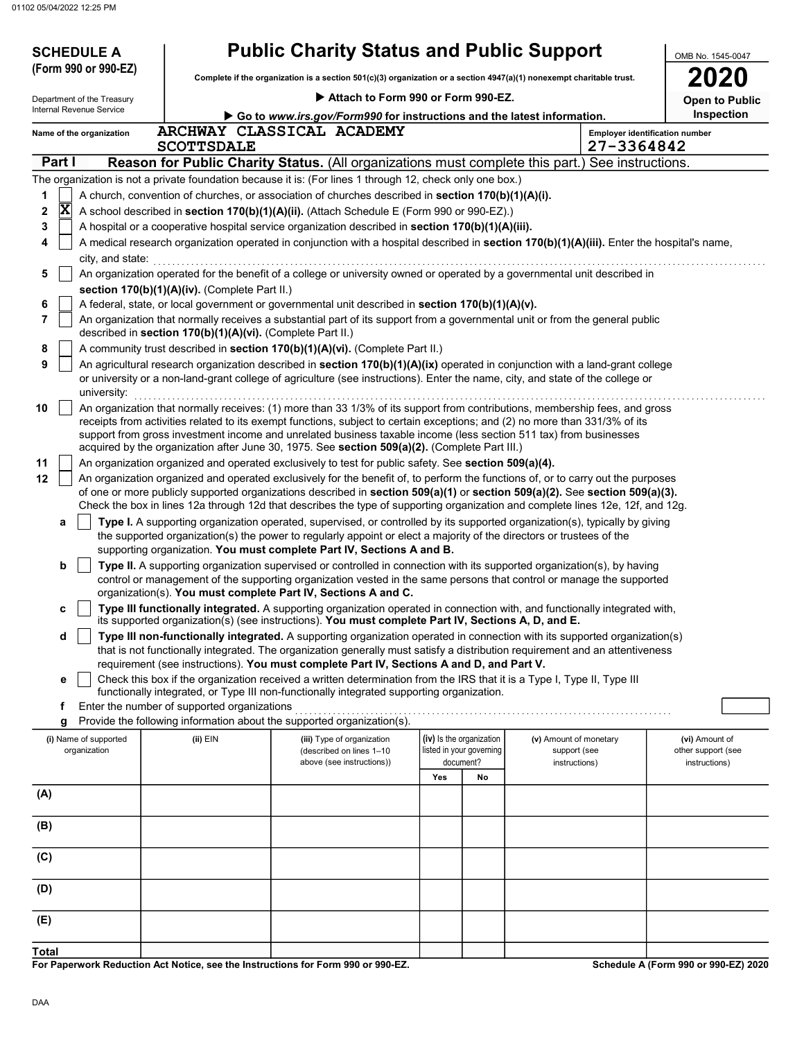| <b>SCHEDULE A</b>          |                                                            | <b>Public Charity Status and Public Support</b>                                                                      |                                       |                                                                                                                                                                                                                                                                | OMB No. 1545-0047                     |
|----------------------------|------------------------------------------------------------|----------------------------------------------------------------------------------------------------------------------|---------------------------------------|----------------------------------------------------------------------------------------------------------------------------------------------------------------------------------------------------------------------------------------------------------------|---------------------------------------|
| (Form 990 or 990-EZ)       |                                                            | Complete if the organization is a section 501(c)(3) organization or a section 4947(a)(1) nonexempt charitable trust. |                                       |                                                                                                                                                                                                                                                                |                                       |
| Department of the Treasury |                                                            | Attach to Form 990 or Form 990-EZ.                                                                                   |                                       |                                                                                                                                                                                                                                                                |                                       |
| Internal Revenue Service   |                                                            | Go to www.irs.gov/Form990 for instructions and the latest information.                                               | <b>Open to Public</b><br>Inspection   |                                                                                                                                                                                                                                                                |                                       |
| Name of the organization   |                                                            | ARCHWAY CLASSICAL ACADEMY                                                                                            |                                       |                                                                                                                                                                                                                                                                | <b>Employer identification number</b> |
|                            | <b>SCOTTSDALE</b>                                          |                                                                                                                      |                                       | 27-3364842                                                                                                                                                                                                                                                     |                                       |
| Part I                     |                                                            |                                                                                                                      |                                       | <b>Reason for Public Charity Status.</b> (All organizations must complete this part.) See instructions.                                                                                                                                                        |                                       |
|                            |                                                            | The organization is not a private foundation because it is: (For lines 1 through 12, check only one box.)            |                                       |                                                                                                                                                                                                                                                                |                                       |
| 1                          |                                                            | A church, convention of churches, or association of churches described in section 170(b)(1)(A)(i).                   |                                       |                                                                                                                                                                                                                                                                |                                       |
| $ {\bf X} $<br>2           |                                                            | A school described in section 170(b)(1)(A)(ii). (Attach Schedule E (Form 990 or 990-EZ).)                            |                                       |                                                                                                                                                                                                                                                                |                                       |
| 3                          |                                                            | A hospital or a cooperative hospital service organization described in section 170(b)(1)(A)(iii).                    |                                       |                                                                                                                                                                                                                                                                |                                       |
| 4                          |                                                            |                                                                                                                      |                                       | A medical research organization operated in conjunction with a hospital described in section 170(b)(1)(A)(iii). Enter the hospital's name,                                                                                                                     |                                       |
| city, and state:           |                                                            |                                                                                                                      |                                       |                                                                                                                                                                                                                                                                |                                       |
| 5                          |                                                            |                                                                                                                      |                                       | An organization operated for the benefit of a college or university owned or operated by a governmental unit described in                                                                                                                                      |                                       |
| 6                          | section 170(b)(1)(A)(iv). (Complete Part II.)              | A federal, state, or local government or governmental unit described in section 170(b)(1)(A)(v).                     |                                       |                                                                                                                                                                                                                                                                |                                       |
| 7                          |                                                            |                                                                                                                      |                                       | An organization that normally receives a substantial part of its support from a governmental unit or from the general public                                                                                                                                   |                                       |
|                            | described in section 170(b)(1)(A)(vi). (Complete Part II.) |                                                                                                                      |                                       |                                                                                                                                                                                                                                                                |                                       |
| 8                          |                                                            | A community trust described in section 170(b)(1)(A)(vi). (Complete Part II.)                                         |                                       |                                                                                                                                                                                                                                                                |                                       |
| 9                          |                                                            |                                                                                                                      |                                       | An agricultural research organization described in section 170(b)(1)(A)(ix) operated in conjunction with a land-grant college                                                                                                                                  |                                       |
|                            |                                                            |                                                                                                                      |                                       | or university or a non-land-grant college of agriculture (see instructions). Enter the name, city, and state of the college or                                                                                                                                 |                                       |
| university:                |                                                            |                                                                                                                      |                                       |                                                                                                                                                                                                                                                                |                                       |
| 10                         |                                                            |                                                                                                                      |                                       | An organization that normally receives: (1) more than 33 1/3% of its support from contributions, membership fees, and gross<br>receipts from activities related to its exempt functions, subject to certain exceptions; and (2) no more than 331/3% of its     |                                       |
|                            |                                                            |                                                                                                                      |                                       | support from gross investment income and unrelated business taxable income (less section 511 tax) from businesses                                                                                                                                              |                                       |
|                            |                                                            | acquired by the organization after June 30, 1975. See section 509(a)(2). (Complete Part III.)                        |                                       |                                                                                                                                                                                                                                                                |                                       |
| 11                         |                                                            | An organization organized and operated exclusively to test for public safety. See section 509(a)(4).                 |                                       |                                                                                                                                                                                                                                                                |                                       |
| 12                         |                                                            |                                                                                                                      |                                       | An organization organized and operated exclusively for the benefit of, to perform the functions of, or to carry out the purposes                                                                                                                               |                                       |
|                            |                                                            |                                                                                                                      |                                       | of one or more publicly supported organizations described in section 509(a)(1) or section 509(a)(2). See section 509(a)(3).<br>Check the box in lines 12a through 12d that describes the type of supporting organization and complete lines 12e, 12f, and 12g. |                                       |
| a                          |                                                            |                                                                                                                      |                                       | Type I. A supporting organization operated, supervised, or controlled by its supported organization(s), typically by giving                                                                                                                                    |                                       |
|                            |                                                            | the supported organization(s) the power to regularly appoint or elect a majority of the directors or trustees of the |                                       |                                                                                                                                                                                                                                                                |                                       |
|                            |                                                            | supporting organization. You must complete Part IV, Sections A and B.                                                |                                       |                                                                                                                                                                                                                                                                |                                       |
| b                          |                                                            |                                                                                                                      |                                       | Type II. A supporting organization supervised or controlled in connection with its supported organization(s), by having                                                                                                                                        |                                       |
|                            |                                                            | organization(s). You must complete Part IV, Sections A and C.                                                        |                                       | control or management of the supporting organization vested in the same persons that control or manage the supported                                                                                                                                           |                                       |
| c                          |                                                            |                                                                                                                      |                                       | Type III functionally integrated. A supporting organization operated in connection with, and functionally integrated with,                                                                                                                                     |                                       |
|                            |                                                            | its supported organization(s) (see instructions). You must complete Part IV, Sections A, D, and E.                   |                                       |                                                                                                                                                                                                                                                                |                                       |
| d                          |                                                            |                                                                                                                      |                                       | Type III non-functionally integrated. A supporting organization operated in connection with its supported organization(s)                                                                                                                                      |                                       |
|                            |                                                            |                                                                                                                      |                                       | that is not functionally integrated. The organization generally must satisfy a distribution requirement and an attentiveness                                                                                                                                   |                                       |
|                            |                                                            | requirement (see instructions). You must complete Part IV, Sections A and D, and Part V.                             |                                       |                                                                                                                                                                                                                                                                |                                       |
| е                          |                                                            | functionally integrated, or Type III non-functionally integrated supporting organization.                            |                                       | Check this box if the organization received a written determination from the IRS that it is a Type I, Type II, Type III                                                                                                                                        |                                       |
| f                          | Enter the number of supported organizations                |                                                                                                                      |                                       |                                                                                                                                                                                                                                                                |                                       |
|                            |                                                            | Provide the following information about the supported organization(s).                                               |                                       |                                                                                                                                                                                                                                                                |                                       |
| (i) Name of supported      | $(ii)$ EIN                                                 | (iii) Type of organization                                                                                           | (iv) Is the organization              | (v) Amount of monetary                                                                                                                                                                                                                                         | (vi) Amount of                        |
| organization               |                                                            | (described on lines 1-10<br>above (see instructions))                                                                | listed in your governing<br>document? | support (see<br>instructions)                                                                                                                                                                                                                                  | other support (see<br>instructions)   |
|                            |                                                            |                                                                                                                      | Yes<br>No                             |                                                                                                                                                                                                                                                                |                                       |
| (A)                        |                                                            |                                                                                                                      |                                       |                                                                                                                                                                                                                                                                |                                       |
|                            |                                                            |                                                                                                                      |                                       |                                                                                                                                                                                                                                                                |                                       |
| (B)                        |                                                            |                                                                                                                      |                                       |                                                                                                                                                                                                                                                                |                                       |
|                            |                                                            |                                                                                                                      |                                       |                                                                                                                                                                                                                                                                |                                       |
| (C)                        |                                                            |                                                                                                                      |                                       |                                                                                                                                                                                                                                                                |                                       |
|                            |                                                            |                                                                                                                      |                                       |                                                                                                                                                                                                                                                                |                                       |
| (D)                        |                                                            |                                                                                                                      |                                       |                                                                                                                                                                                                                                                                |                                       |
|                            |                                                            |                                                                                                                      |                                       |                                                                                                                                                                                                                                                                |                                       |
| (E)                        |                                                            |                                                                                                                      |                                       |                                                                                                                                                                                                                                                                |                                       |
| <b>Total</b>               |                                                            |                                                                                                                      |                                       |                                                                                                                                                                                                                                                                |                                       |

For Paperwork Reduction Act Notice, see the Instructions for Form 990 or 990-EZ.

Schedule A (Form 990 or 990-EZ) 2020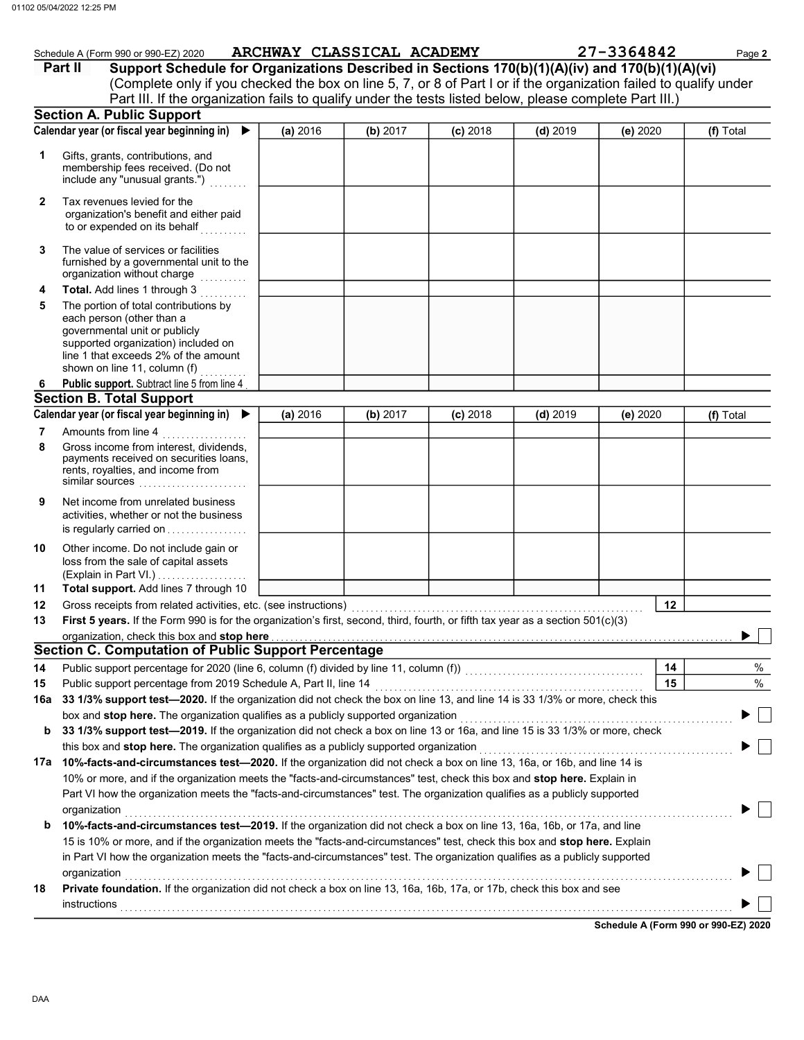|              | Schedule A (Form 990 or 990-EZ) 2020                                                                                                                                                                                                                                                                                                                                               |          | ARCHWAY CLASSICAL ACADEMY |            |            | 27-3364842 | Page 2    |
|--------------|------------------------------------------------------------------------------------------------------------------------------------------------------------------------------------------------------------------------------------------------------------------------------------------------------------------------------------------------------------------------------------|----------|---------------------------|------------|------------|------------|-----------|
|              | Support Schedule for Organizations Described in Sections 170(b)(1)(A)(iv) and 170(b)(1)(A)(vi)<br><b>Part II</b>                                                                                                                                                                                                                                                                   |          |                           |            |            |            |           |
|              | (Complete only if you checked the box on line 5, 7, or 8 of Part I or if the organization failed to qualify under                                                                                                                                                                                                                                                                  |          |                           |            |            |            |           |
|              | Part III. If the organization fails to qualify under the tests listed below, please complete Part III.)                                                                                                                                                                                                                                                                            |          |                           |            |            |            |           |
|              | <b>Section A. Public Support</b>                                                                                                                                                                                                                                                                                                                                                   |          |                           |            |            |            |           |
|              | Calendar year (or fiscal year beginning in)                                                                                                                                                                                                                                                                                                                                        | (a) 2016 | (b) $2017$                | $(c)$ 2018 | $(d)$ 2019 | (e) 2020   | (f) Total |
| 1            | Gifts, grants, contributions, and<br>membership fees received. (Do not<br>include any "unusual grants.")                                                                                                                                                                                                                                                                           |          |                           |            |            |            |           |
| $\mathbf{2}$ | Tax revenues levied for the<br>organization's benefit and either paid<br>to or expended on its behalf                                                                                                                                                                                                                                                                              |          |                           |            |            |            |           |
| 3            | The value of services or facilities<br>furnished by a governmental unit to the<br>organization without charge                                                                                                                                                                                                                                                                      |          |                           |            |            |            |           |
| 4            | Total. Add lines 1 through 3                                                                                                                                                                                                                                                                                                                                                       |          |                           |            |            |            |           |
| 5            | The portion of total contributions by<br>each person (other than a<br>governmental unit or publicly<br>supported organization) included on<br>line 1 that exceeds 2% of the amount<br>shown on line 11, column (f) $\ldots$                                                                                                                                                        |          |                           |            |            |            |           |
| 6            | Public support. Subtract line 5 from line 4                                                                                                                                                                                                                                                                                                                                        |          |                           |            |            |            |           |
|              | <b>Section B. Total Support</b>                                                                                                                                                                                                                                                                                                                                                    |          |                           |            |            |            |           |
|              | Calendar year (or fiscal year beginning in)                                                                                                                                                                                                                                                                                                                                        | (a) 2016 | (b) 2017                  | $(c)$ 2018 | $(d)$ 2019 | (e) 2020   | (f) Total |
| 7            | Amounts from line 4                                                                                                                                                                                                                                                                                                                                                                |          |                           |            |            |            |           |
| 8            | Gross income from interest, dividends,<br>payments received on securities loans,<br>rents, royalties, and income from<br>similar sources                                                                                                                                                                                                                                           |          |                           |            |            |            |           |
| 9            | Net income from unrelated business<br>activities, whether or not the business<br>is regularly carried on                                                                                                                                                                                                                                                                           |          |                           |            |            |            |           |
| 10           | Other income. Do not include gain or<br>loss from the sale of capital assets                                                                                                                                                                                                                                                                                                       |          |                           |            |            |            |           |
| 11           | Total support. Add lines 7 through 10                                                                                                                                                                                                                                                                                                                                              |          |                           |            |            |            |           |
| 12           |                                                                                                                                                                                                                                                                                                                                                                                    |          |                           |            |            | 12         |           |
| 13           | First 5 years. If the Form 990 is for the organization's first, second, third, fourth, or fifth tax year as a section 501(c)(3)                                                                                                                                                                                                                                                    |          |                           |            |            |            |           |
|              | organization, check this box and stop here                                                                                                                                                                                                                                                                                                                                         |          |                           |            |            |            |           |
|              | <b>Section C. Computation of Public Support Percentage</b>                                                                                                                                                                                                                                                                                                                         |          |                           |            |            |            |           |
| 14           |                                                                                                                                                                                                                                                                                                                                                                                    |          |                           |            |            | 14         | %         |
| 15           | Public support percentage from 2019 Schedule A, Part II, line 14                                                                                                                                                                                                                                                                                                                   |          |                           |            |            | 15         | %         |
| 16a          | 33 1/3% support test-2020. If the organization did not check the box on line 13, and line 14 is 33 1/3% or more, check this                                                                                                                                                                                                                                                        |          |                           |            |            |            |           |
|              | box and stop here. The organization qualifies as a publicly supported organization                                                                                                                                                                                                                                                                                                 |          |                           |            |            |            |           |
| b            | 33 1/3% support test-2019. If the organization did not check a box on line 13 or 16a, and line 15 is 33 1/3% or more, check                                                                                                                                                                                                                                                        |          |                           |            |            |            |           |
|              | this box and stop here. The organization qualifies as a publicly supported organization                                                                                                                                                                                                                                                                                            |          |                           |            |            |            |           |
|              | 17a 10%-facts-and-circumstances test-2020. If the organization did not check a box on line 13, 16a, or 16b, and line 14 is<br>10% or more, and if the organization meets the "facts-and-circumstances" test, check this box and stop here. Explain in<br>Part VI how the organization meets the "facts-and-circumstances" test. The organization qualifies as a publicly supported |          |                           |            |            |            |           |
|              | organization                                                                                                                                                                                                                                                                                                                                                                       |          |                           |            |            |            |           |
| b            | 10%-facts-and-circumstances test-2019. If the organization did not check a box on line 13, 16a, 16b, or 17a, and line                                                                                                                                                                                                                                                              |          |                           |            |            |            |           |
|              | 15 is 10% or more, and if the organization meets the "facts-and-circumstances" test, check this box and stop here. Explain                                                                                                                                                                                                                                                         |          |                           |            |            |            |           |
|              | in Part VI how the organization meets the "facts-and-circumstances" test. The organization qualifies as a publicly supported<br>organization                                                                                                                                                                                                                                       |          |                           |            |            |            |           |
| 18           | Private foundation. If the organization did not check a box on line 13, 16a, 16b, 17a, or 17b, check this box and see                                                                                                                                                                                                                                                              |          |                           |            |            |            |           |

Schedule A (Form 990 or 990-EZ) 2020 instructions . . . . . . . . . . . . . . . . . . . . . . . . . . . . . . . . . . . . . . . . . . . . . . . . . . . . . . . . . . . . . . . . . . . . . . . . . . . . . . . . . . . . . . . . . . . . . . . . . . . . . . . . . . . . . . . . . . . . . . . . . . . . . . . . . .

 $\blacktriangleright$   $\Box$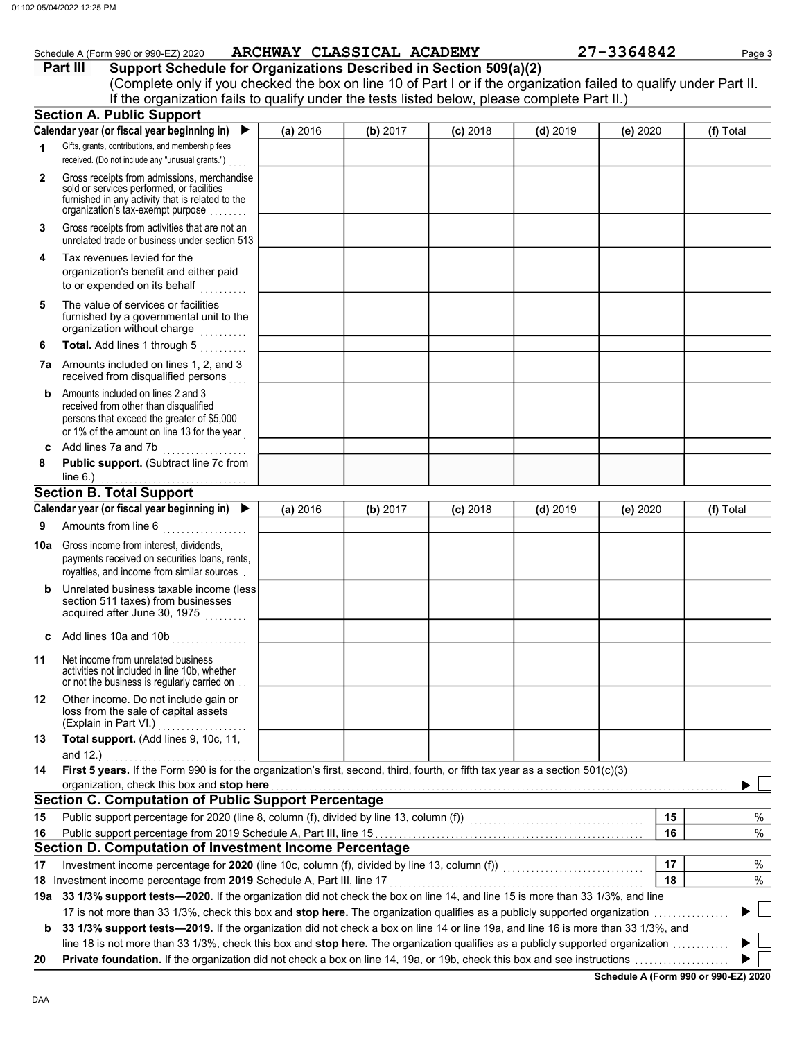|              | 2 05/04/2022 12:25 PM                                                                                                                                                                                                                       |          |                           |            |            |            |           |
|--------------|---------------------------------------------------------------------------------------------------------------------------------------------------------------------------------------------------------------------------------------------|----------|---------------------------|------------|------------|------------|-----------|
|              | Schedule A (Form 990 or 990-EZ) 2020<br>Part III<br>Support Schedule for Organizations Described in Section 509(a)(2)<br>(Complete only if you checked the box on line 10 of Part I or if the organization failed to qualify under Part II. |          | ARCHWAY CLASSICAL ACADEMY |            |            | 27-3364842 | Page 3    |
|              | If the organization fails to qualify under the tests listed below, please complete Part II.)                                                                                                                                                |          |                           |            |            |            |           |
|              | <b>Section A. Public Support</b><br>Calendar year (or fiscal year beginning in)<br>▶                                                                                                                                                        |          |                           |            |            |            |           |
|              | Gifts, grants, contributions, and membership fees                                                                                                                                                                                           | (a) 2016 | (b) 2017                  | $(c)$ 2018 | $(d)$ 2019 | (e) 2020   | (f) Total |
| 1            | received. (Do not include any "unusual grants.")                                                                                                                                                                                            |          |                           |            |            |            |           |
| $\mathbf{2}$ | Gross receipts from admissions, merchandise<br>sold or services performed, or facilities<br>furnished in any activity that is related to the<br>organization's tax-exempt purpose                                                           |          |                           |            |            |            |           |
| 3            | Gross receipts from activities that are not an<br>unrelated trade or business under section 513                                                                                                                                             |          |                           |            |            |            |           |
| 4            | Tax revenues levied for the<br>organization's benefit and either paid<br>to or expended on its behalf                                                                                                                                       |          |                           |            |            |            |           |
| 5            | The value of services or facilities<br>furnished by a governmental unit to the<br>organization without charge                                                                                                                               |          |                           |            |            |            |           |
| 6            | Total. Add lines 1 through 5<br>.                                                                                                                                                                                                           |          |                           |            |            |            |           |
|              | 7a Amounts included on lines 1, 2, and 3<br>received from disqualified persons                                                                                                                                                              |          |                           |            |            |            |           |
| b            | Amounts included on lines 2 and 3<br>received from other than disqualified<br>persons that exceed the greater of \$5,000<br>or 1% of the amount on line 13 for the year                                                                     |          |                           |            |            |            |           |
|              | c Add lines 7a and 7b<br>.                                                                                                                                                                                                                  |          |                           |            |            |            |           |
| 8            | Public support. (Subtract line 7c from                                                                                                                                                                                                      |          |                           |            |            |            |           |
|              | line $6.$ )                                                                                                                                                                                                                                 |          |                           |            |            |            |           |
|              | <b>Section B. Total Support</b><br>Calendar year (or fiscal year beginning in)<br>$\blacktriangleright$                                                                                                                                     |          |                           |            |            |            |           |
| 9            | Amounts from line 6                                                                                                                                                                                                                         | (a) 2016 | (b) 2017                  | $(c)$ 2018 | $(d)$ 2019 | (e) 2020   | (f) Total |
|              | and a straightful contract and a straightful contract and a straightful contract and a straightful contract and                                                                                                                             |          |                           |            |            |            |           |
|              | <b>10a</b> Gross income from interest, dividends,<br>payments received on securities loans, rents,<br>royalties, and income from similar sources.                                                                                           |          |                           |            |            |            |           |
| b            | Unrelated business taxable income (less<br>section 511 taxes) from businesses<br>acquired after June 30, 1975                                                                                                                               |          |                           |            |            |            |           |
| c            | Add lines 10a and 10b                                                                                                                                                                                                                       |          |                           |            |            |            |           |
| 11           | Net income from unrelated business<br>activities not included in line 10b, whether<br>or not the business is regularly carried on                                                                                                           |          |                           |            |            |            |           |
| 12           | Other income. Do not include gain or<br>loss from the sale of capital assets<br>(Explain in Part VI.)                                                                                                                                       |          |                           |            |            |            |           |
| 13           | Total support. (Add lines 9, 10c, 11,<br>and 12.) $\ldots$ $\ldots$ $\ldots$ $\ldots$                                                                                                                                                       |          |                           |            |            |            |           |
| 14           | First 5 years. If the Form 990 is for the organization's first, second, third, fourth, or fifth tax year as a section 501(c)(3)                                                                                                             |          |                           |            |            |            |           |
|              | organization, check this box and stop here <b>consumer and the consumer and the consumer and starting of the consumer and stop here</b>                                                                                                     |          |                           |            |            |            |           |
|              | <b>Section C. Computation of Public Support Percentage</b>                                                                                                                                                                                  |          |                           |            |            |            |           |
| 15           | Public support percentage for 2020 (line 8, column (f), divided by line 13, column (f)) [[[[[[[[[[[[[[[[[[[[[                                                                                                                               |          |                           |            |            | 15         | %         |
| 16           | Section D. Computation of Investment Income Percentage                                                                                                                                                                                      |          |                           |            |            | 16         | %         |
| 17           |                                                                                                                                                                                                                                             |          |                           |            |            | 17         | %         |
|              | 18 Investment income percentage from 2019 Schedule A, Part III, line 17                                                                                                                                                                     |          |                           |            |            | 18         | %         |
|              | 19a 33 1/3% support tests-2020. If the organization did not check the box on line 14, and line 15 is more than 33 1/3%, and line                                                                                                            |          |                           |            |            |            |           |
|              | 17 is not more than 33 1/3%, check this box and stop here. The organization qualifies as a publicly supported organization                                                                                                                  |          |                           |            |            |            |           |

b 33 1/3% support tests-2019. If the organization did not check a box on line 14 or line 19a, and line 16 is more than 33 1/3%, and line 18 is not more than 33 1/3%, check this box and stop here. The organization qualifies as a publicly supported organization ............

20 Private foundation. If the organization did not check a box on line 14, 19a, or 19b, check this box and see instructions . . . . . . . . . . . . . . . . . . . .

Schedule A (Form 990 or 990-EZ) 2020

 $\blacktriangleright$  $\blacktriangleright$   $\|\cdot\|$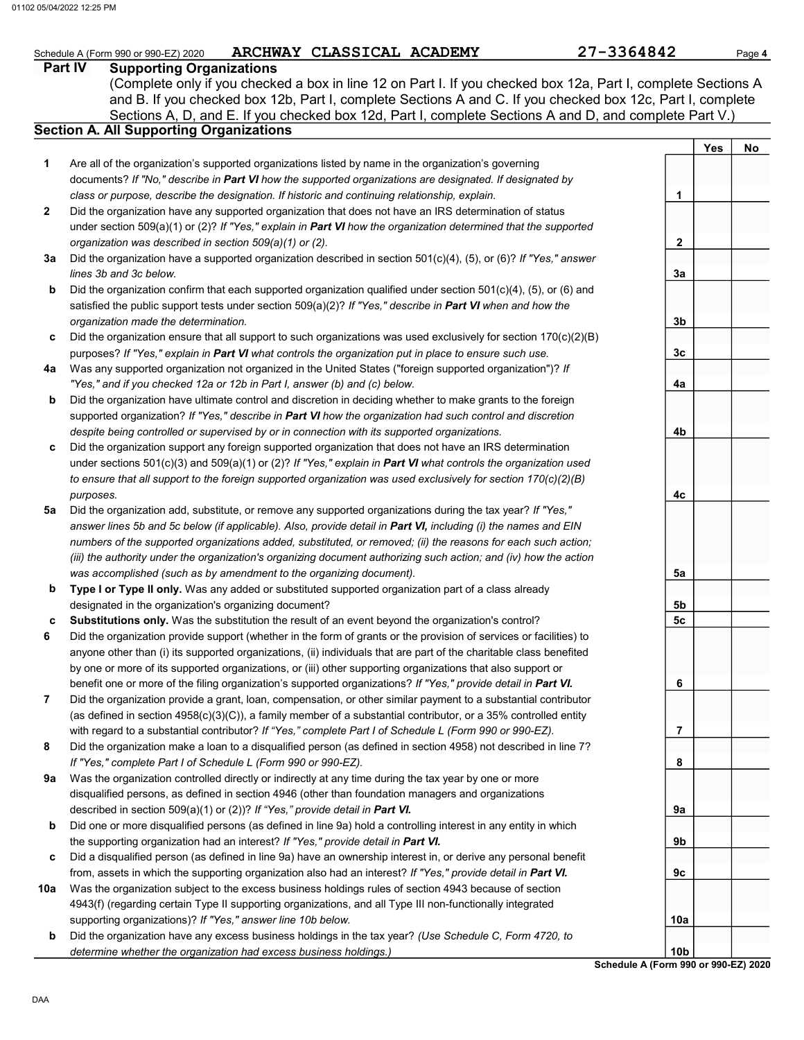|              | ARCHWAY CLASSICAL ACADEMY<br>Schedule A (Form 990 or 990-EZ) 2020                                                   | 27-3364842      |     | Page 4 |
|--------------|---------------------------------------------------------------------------------------------------------------------|-----------------|-----|--------|
|              | <b>Supporting Organizations</b><br><b>Part IV</b>                                                                   |                 |     |        |
|              | (Complete only if you checked a box in line 12 on Part I. If you checked box 12a, Part I, complete Sections A       |                 |     |        |
|              | and B. If you checked box 12b, Part I, complete Sections A and C. If you checked box 12c, Part I, complete          |                 |     |        |
|              | Sections A, D, and E. If you checked box 12d, Part I, complete Sections A and D, and complete Part V.)              |                 |     |        |
|              | <b>Section A. All Supporting Organizations</b>                                                                      |                 |     |        |
|              |                                                                                                                     |                 | Yes | No     |
| 1            | Are all of the organization's supported organizations listed by name in the organization's governing                |                 |     |        |
|              | documents? If "No," describe in Part VI how the supported organizations are designated. If designated by            |                 |     |        |
|              | class or purpose, describe the designation. If historic and continuing relationship, explain.                       | 1               |     |        |
| $\mathbf{2}$ | Did the organization have any supported organization that does not have an IRS determination of status              |                 |     |        |
|              | under section 509(a)(1) or (2)? If "Yes," explain in Part VI how the organization determined that the supported     |                 |     |        |
|              | organization was described in section 509(a)(1) or (2).                                                             | $\mathbf{2}$    |     |        |
| За           | Did the organization have a supported organization described in section 501(c)(4), (5), or (6)? If "Yes," answer    |                 |     |        |
|              | lines 3b and 3c below.                                                                                              | За              |     |        |
| b            | Did the organization confirm that each supported organization qualified under section 501(c)(4), (5), or (6) and    |                 |     |        |
|              | satisfied the public support tests under section $509(a)(2)$ ? If "Yes," describe in Part VI when and how the       |                 |     |        |
|              | organization made the determination.                                                                                | 3b              |     |        |
| c            | Did the organization ensure that all support to such organizations was used exclusively for section 170(c)(2)(B)    |                 |     |        |
|              | purposes? If "Yes," explain in Part VI what controls the organization put in place to ensure such use.              | 3 <sub>c</sub>  |     |        |
| 4a           | Was any supported organization not organized in the United States ("foreign supported organization")? If            |                 |     |        |
|              | "Yes," and if you checked 12a or 12b in Part I, answer (b) and (c) below.                                           | 4a              |     |        |
| b            | Did the organization have ultimate control and discretion in deciding whether to make grants to the foreign         |                 |     |        |
|              | supported organization? If "Yes," describe in Part VI how the organization had such control and discretion          |                 |     |        |
|              | despite being controlled or supervised by or in connection with its supported organizations.                        | 4b              |     |        |
| c            | Did the organization support any foreign supported organization that does not have an IRS determination             |                 |     |        |
|              | under sections $501(c)(3)$ and $509(a)(1)$ or (2)? If "Yes," explain in Part VI what controls the organization used |                 |     |        |
|              | to ensure that all support to the foreign supported organization was used exclusively for section $170(c)(2)(B)$    |                 |     |        |
|              | purposes.                                                                                                           | 4с              |     |        |
| 5а           | Did the organization add, substitute, or remove any supported organizations during the tax year? If "Yes,"          |                 |     |        |
|              | answer lines 5b and 5c below (if applicable). Also, provide detail in Part VI, including (i) the names and EIN      |                 |     |        |
|              | numbers of the supported organizations added, substituted, or removed; (ii) the reasons for each such action;       |                 |     |        |
|              | (iii) the authority under the organization's organizing document authorizing such action; and (iv) how the action   |                 |     |        |
|              | was accomplished (such as by amendment to the organizing document).                                                 | 5a              |     |        |
| b            | Type I or Type II only. Was any added or substituted supported organization part of a class already                 |                 |     |        |
|              | designated in the organization's organizing document?                                                               | 5b              |     |        |
| c            | Substitutions only. Was the substitution the result of an event beyond the organization's control?                  | 5c              |     |        |
| 6            | Did the organization provide support (whether in the form of grants or the provision of services or facilities) to  |                 |     |        |
|              | anyone other than (i) its supported organizations, (ii) individuals that are part of the charitable class benefited |                 |     |        |
|              | by one or more of its supported organizations, or (iii) other supporting organizations that also support or         |                 |     |        |
|              | benefit one or more of the filing organization's supported organizations? If "Yes," provide detail in Part VI.      | 6               |     |        |
| 7            | Did the organization provide a grant, loan, compensation, or other similar payment to a substantial contributor     |                 |     |        |
|              | (as defined in section $4958(c)(3)(C)$ ), a family member of a substantial contributor, or a 35% controlled entity  |                 |     |        |
|              | with regard to a substantial contributor? If "Yes," complete Part I of Schedule L (Form 990 or 990-EZ).             | 7               |     |        |
| 8            | Did the organization make a loan to a disqualified person (as defined in section 4958) not described in line 7?     |                 |     |        |
|              | If "Yes," complete Part I of Schedule L (Form 990 or 990-EZ).                                                       | 8               |     |        |
| 9a           | Was the organization controlled directly or indirectly at any time during the tax year by one or more               |                 |     |        |
|              | disqualified persons, as defined in section 4946 (other than foundation managers and organizations                  |                 |     |        |
|              | described in section 509(a)(1) or (2))? If "Yes," provide detail in Part VI.                                        | 9a              |     |        |
| b            | Did one or more disqualified persons (as defined in line 9a) hold a controlling interest in any entity in which     |                 |     |        |
|              | the supporting organization had an interest? If "Yes," provide detail in Part VI.                                   | 9b              |     |        |
| c            | Did a disqualified person (as defined in line 9a) have an ownership interest in, or derive any personal benefit     |                 |     |        |
|              | from, assets in which the supporting organization also had an interest? If "Yes," provide detail in Part VI.        | 9c              |     |        |
| 10a          | Was the organization subject to the excess business holdings rules of section 4943 because of section               |                 |     |        |
|              | 4943(f) (regarding certain Type II supporting organizations, and all Type III non-functionally integrated           |                 |     |        |
|              | supporting organizations)? If "Yes," answer line 10b below.                                                         | 10a             |     |        |
| b            | Did the organization have any excess business holdings in the tax year? (Use Schedule C, Form 4720, to              |                 |     |        |
|              | determine whether the organization had excess business holdings.)                                                   | 10 <sub>b</sub> |     |        |

Schedule A (Form 990 or 990-EZ) 2020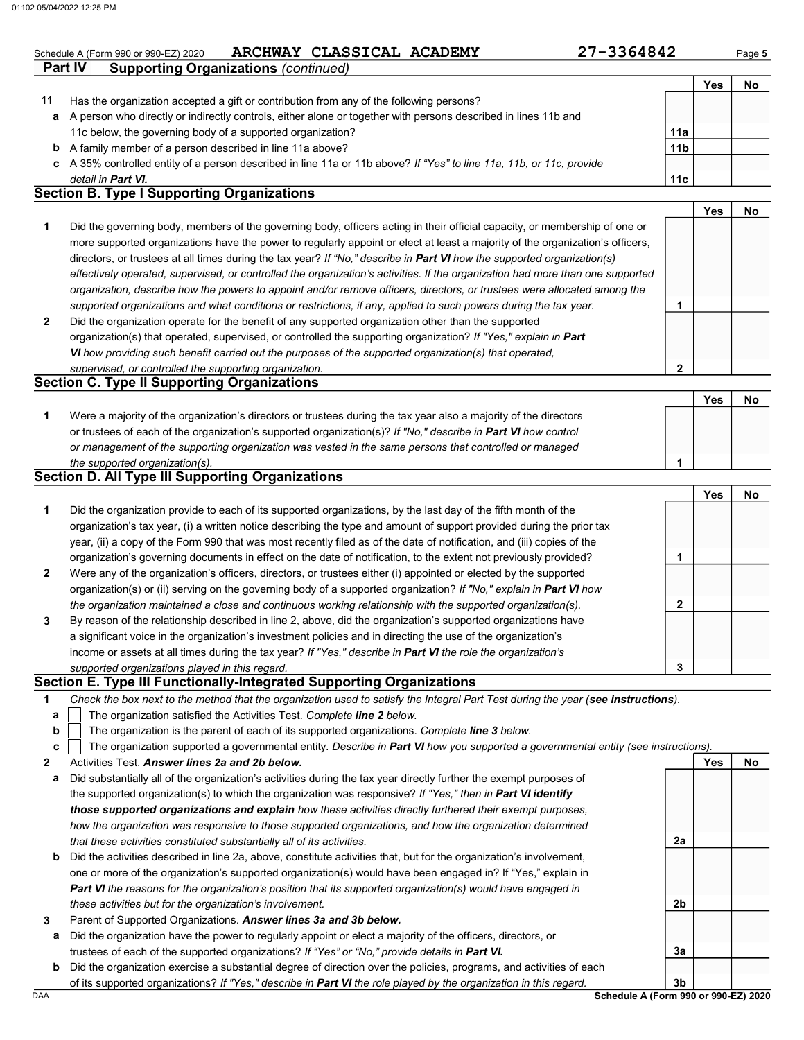# Schedule A (Form 990 or 990-EZ) 2020 ARCHWAY CLASSICAL ACADEMY 27-3364842 Page 5

|  | 3364842 |  |  |
|--|---------|--|--|

2

|    |                                                                                                                      |                 | Yes | No |
|----|----------------------------------------------------------------------------------------------------------------------|-----------------|-----|----|
| 11 | Has the organization accepted a gift or contribution from any of the following persons?                              |                 |     |    |
| a  | A person who directly or indirectly controls, either alone or together with persons described in lines 11b and       |                 |     |    |
|    | 11c below, the governing body of a supported organization?                                                           | 11a             |     |    |
| b  | A family member of a person described in line 11a above?                                                             | 11 <sub>b</sub> |     |    |
|    | c A 35% controlled entity of a person described in line 11a or 11b above? If "Yes" to line 11a, 11b, or 11c, provide |                 |     |    |
|    | detail in <b>Part VI.</b>                                                                                            | 11c             |     |    |

## ection B. Type I Supporting Organizations

**Part IV** Supporting Organizations (continued)

|                |                                                                                                                                | Yes | No |
|----------------|--------------------------------------------------------------------------------------------------------------------------------|-----|----|
| -1             | Did the governing body, members of the governing body, officers acting in their official capacity, or membership of one or     |     |    |
|                | more supported organizations have the power to regularly appoint or elect at least a majority of the organization's officers,  |     |    |
|                | directors, or trustees at all times during the tax year? If "No," describe in Part VI how the supported organization(s)        |     |    |
|                | effectively operated, supervised, or controlled the organization's activities. If the organization had more than one supported |     |    |
|                | organization, describe how the powers to appoint and/or remove officers, directors, or trustees were allocated among the       |     |    |
|                | supported organizations and what conditions or restrictions, if any, applied to such powers during the tax year.               |     |    |
| $\overline{2}$ | Did the organization operate for the benefit of any supported organization other than the supported                            |     |    |
|                | organization(s) that operated, supervised, or controlled the supporting organization? If "Yes," explain in Part                |     |    |

VI how providing such benefit carried out the purposes of the supported organization(s) that operated,

### supervised, or controlled the supporting organization. Section C. Type II Supporting Organizations

|                                                                                                                      |  | No |
|----------------------------------------------------------------------------------------------------------------------|--|----|
| Were a majority of the organization's directors or trustees during the tax year also a majority of the directors     |  |    |
| or trustees of each of the organization's supported organization(s)? If "No," describe in <b>Part VI</b> how control |  |    |
| or management of the supporting organization was vested in the same persons that controlled or managed               |  |    |
| the supported organization(s).                                                                                       |  |    |

## Section D. All Type III Supporting Organizations

|                |                                                                                                                        |   | Yes | No |
|----------------|------------------------------------------------------------------------------------------------------------------------|---|-----|----|
| 1              | Did the organization provide to each of its supported organizations, by the last day of the fifth month of the         |   |     |    |
|                | organization's tax year, (i) a written notice describing the type and amount of support provided during the prior tax  |   |     |    |
|                | year, (ii) a copy of the Form 990 that was most recently filed as of the date of notification, and (iii) copies of the |   |     |    |
|                | organization's governing documents in effect on the date of notification, to the extent not previously provided?       |   |     |    |
| $\overline{2}$ | Were any of the organization's officers, directors, or trustees either (i) appointed or elected by the supported       |   |     |    |
|                | organization(s) or (ii) serving on the governing body of a supported organization? If "No," explain in Part VI how     |   |     |    |
|                | the organization maintained a close and continuous working relationship with the supported organization(s).            | 2 |     |    |
| $\mathbf{3}$   | By reason of the relationship described in line 2, above, did the organization's supported organizations have          |   |     |    |
|                | a significant voice in the organization's investment policies and in directing the use of the organization's           |   |     |    |
|                | income or assets at all times during the tax year? If "Yes," describe in Part VI the role the organization's           |   |     |    |
|                | supported organizations played in this regard.                                                                         | 3 |     |    |

## Section E. Type III Functionally-Integrated Supporting Organizations

| Check the box next to the method that the organization used to satisfy the Integral Part Test during the year (see instructions). |  |
|-----------------------------------------------------------------------------------------------------------------------------------|--|
|-----------------------------------------------------------------------------------------------------------------------------------|--|

- The organization satisfied the Activities Test. Complete line 2 below. a
- The organization is the parent of each of its supported organizations. Complete line 3 below. b

|  |  | ∠   The organization supported a governmental entity. Describe in Part VI how you supported a governmental entity (see instructions) |  |  |  |  |  |
|--|--|--------------------------------------------------------------------------------------------------------------------------------------|--|--|--|--|--|
|--|--|--------------------------------------------------------------------------------------------------------------------------------------|--|--|--|--|--|

- 2 Activities Test. Answer lines 2a and 2b below.
- a Did substantially all of the organization's activities during the tax year directly further the exempt purposes of the supported organization(s) to which the organization was responsive? If "Yes," then in Part VI identify those supported organizations and explain how these activities directly furthered their exempt purposes, how the organization was responsive to those supported organizations, and how the organization determined that these activities constituted substantially all of its activities.
- b Did the activities described in line 2a, above, constitute activities that, but for the organization's involvement, one or more of the organization's supported organization(s) would have been engaged in? If "Yes," explain in Part VI the reasons for the organization's position that its supported organization(s) would have engaged in these activities but for the organization's involvement.
- 3 Parent of Supported Organizations. Answer lines 3a and 3b below.
	- a Did the organization have the power to regularly appoint or elect a majority of the officers, directors, or trustees of each of the supported organizations? If "Yes" or "No," provide details in Part VI.
	- b Did the organization exercise a substantial degree of direction over the policies, programs, and activities of each of its supported organizations? If "Yes," describe in Part VI the role played by the organization in this regard.

DAA Schedule A (Form 990 or 990-EZ) 2020 3b

2a

2b

3a

Yes No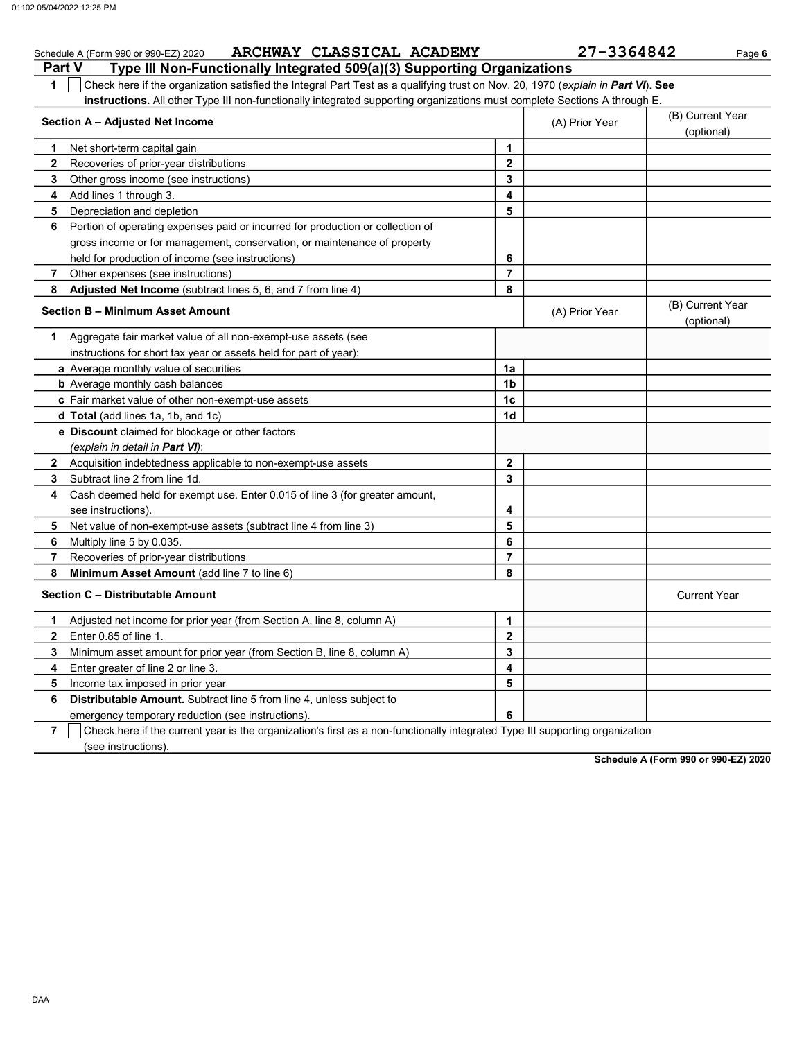| ARCHWAY CLASSICAL ACADEMY<br>Schedule A (Form 990 or 990-EZ) 2020                                                                              |                | 27-3364842     | Page 6                         |
|------------------------------------------------------------------------------------------------------------------------------------------------|----------------|----------------|--------------------------------|
| Type III Non-Functionally Integrated 509(a)(3) Supporting Organizations<br><b>Part V</b>                                                       |                |                |                                |
| 1<br>Check here if the organization satisfied the Integral Part Test as a qualifying trust on Nov. 20, 1970 (explain in Part VI). See          |                |                |                                |
| instructions. All other Type III non-functionally integrated supporting organizations must complete Sections A through E.                      |                |                |                                |
| Section A - Adjusted Net Income                                                                                                                |                | (A) Prior Year | (B) Current Year               |
|                                                                                                                                                |                |                | (optional)                     |
| Net short-term capital gain<br>1                                                                                                               | 1              |                |                                |
| Recoveries of prior-year distributions<br>$\mathbf{2}$                                                                                         | $\mathbf{2}$   |                |                                |
| 3<br>Other gross income (see instructions)                                                                                                     | 3              |                |                                |
| Add lines 1 through 3.<br>4                                                                                                                    | 4              |                |                                |
| Depreciation and depletion<br>5                                                                                                                | 5              |                |                                |
| Portion of operating expenses paid or incurred for production or collection of<br>6                                                            |                |                |                                |
| gross income or for management, conservation, or maintenance of property                                                                       |                |                |                                |
| held for production of income (see instructions)                                                                                               | 6              |                |                                |
| Other expenses (see instructions)<br>7                                                                                                         | 7              |                |                                |
| Adjusted Net Income (subtract lines 5, 6, and 7 from line 4)<br>8                                                                              | 8              |                |                                |
| Section B - Minimum Asset Amount                                                                                                               |                | (A) Prior Year | (B) Current Year<br>(optional) |
| Aggregate fair market value of all non-exempt-use assets (see<br>1.                                                                            |                |                |                                |
| instructions for short tax year or assets held for part of year):                                                                              |                |                |                                |
| a Average monthly value of securities                                                                                                          | 1a             |                |                                |
| <b>b</b> Average monthly cash balances                                                                                                         | 1b             |                |                                |
| c Fair market value of other non-exempt-use assets                                                                                             | 1 <sub>c</sub> |                |                                |
| d Total (add lines 1a, 1b, and 1c)                                                                                                             | 1d             |                |                                |
| e Discount claimed for blockage or other factors                                                                                               |                |                |                                |
| (explain in detail in Part VI):                                                                                                                |                |                |                                |
| Acquisition indebtedness applicable to non-exempt-use assets<br>$\mathbf{2}$                                                                   | $\mathbf{2}$   |                |                                |
| 3<br>Subtract line 2 from line 1d.                                                                                                             | 3              |                |                                |
| Cash deemed held for exempt use. Enter 0.015 of line 3 (for greater amount,<br>4                                                               |                |                |                                |
| see instructions).                                                                                                                             | 4              |                |                                |
| Net value of non-exempt-use assets (subtract line 4 from line 3)<br>5                                                                          | 5              |                |                                |
| Multiply line 5 by 0.035.<br>6                                                                                                                 | 6              |                |                                |
| 7<br>Recoveries of prior-year distributions                                                                                                    | $\overline{7}$ |                |                                |
| Minimum Asset Amount (add line 7 to line 6)<br>8                                                                                               | 8              |                |                                |
| Section C - Distributable Amount                                                                                                               |                |                | <b>Current Year</b>            |
| Adjusted net income for prior year (from Section A, line 8, column A)<br>1.                                                                    | 1              |                |                                |
| Enter 0.85 of line 1.<br>2                                                                                                                     | 2              |                |                                |
| 3<br>Minimum asset amount for prior year (from Section B, line 8, column A)                                                                    | 3              |                |                                |
| Enter greater of line 2 or line 3.<br>4                                                                                                        | 4              |                |                                |
| 5<br>Income tax imposed in prior year                                                                                                          | 5              |                |                                |
| Distributable Amount. Subtract line 5 from line 4, unless subject to<br>6                                                                      |                |                |                                |
| emergency temporary reduction (see instructions).                                                                                              | 6              |                |                                |
| $\overline{7}$<br>Check here if the current year is the organization's first as a non-functionally integrated Type III supporting organization |                |                |                                |

(see instructions).

Schedule A (Form 990 or 990-EZ) 2020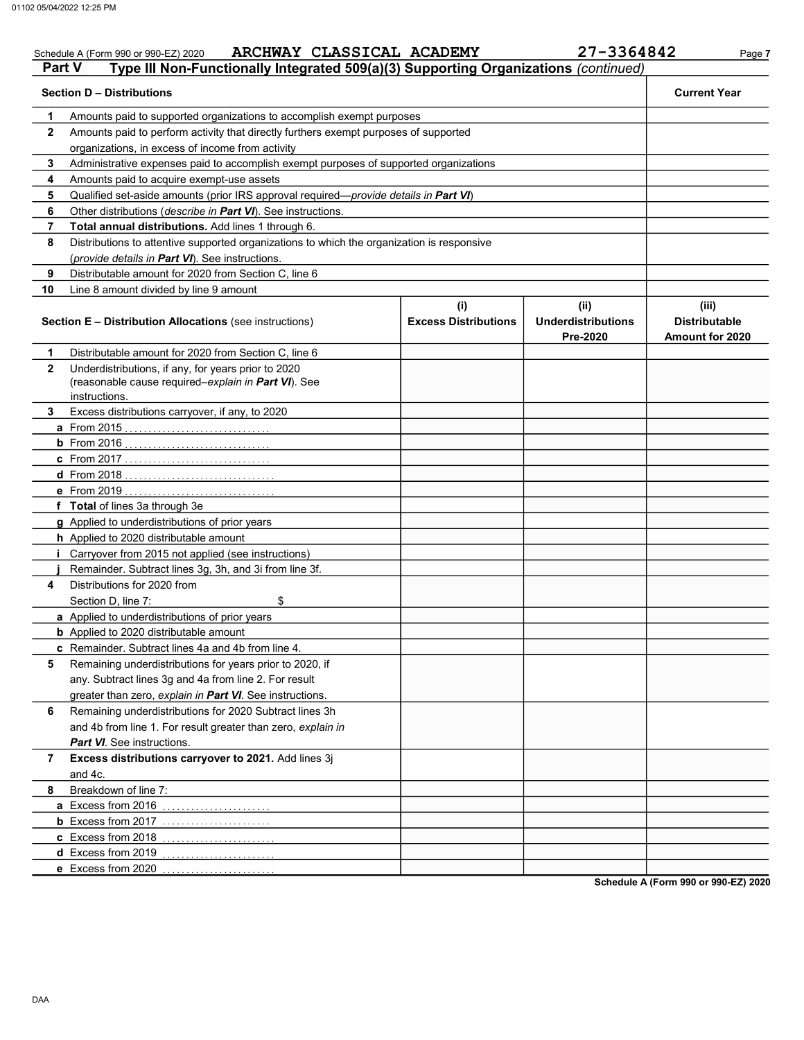| <b>Part V</b>  | ARCHWAY CLASSICAL ACADEMY<br>Schedule A (Form 990 or 990-EZ) 2020<br>Type III Non-Functionally Integrated 509(a)(3) Supporting Organizations (continued) |                             | 27-3364842                            | Page 7                                         |
|----------------|----------------------------------------------------------------------------------------------------------------------------------------------------------|-----------------------------|---------------------------------------|------------------------------------------------|
|                | Section D – Distributions                                                                                                                                |                             |                                       | <b>Current Year</b>                            |
| 1              | Amounts paid to supported organizations to accomplish exempt purposes                                                                                    |                             |                                       |                                                |
| $\mathbf{2}$   | Amounts paid to perform activity that directly furthers exempt purposes of supported                                                                     |                             |                                       |                                                |
|                | organizations, in excess of income from activity                                                                                                         |                             |                                       |                                                |
| 3              | Administrative expenses paid to accomplish exempt purposes of supported organizations                                                                    |                             |                                       |                                                |
| 4              | Amounts paid to acquire exempt-use assets                                                                                                                |                             |                                       |                                                |
| 5              | Qualified set-aside amounts (prior IRS approval required-provide details in Part VI)                                                                     |                             |                                       |                                                |
| 6              | Other distributions (describe in Part VI). See instructions.                                                                                             |                             |                                       |                                                |
| $\overline{7}$ | Total annual distributions. Add lines 1 through 6.                                                                                                       |                             |                                       |                                                |
| 8              | Distributions to attentive supported organizations to which the organization is responsive                                                               |                             |                                       |                                                |
|                | (provide details in Part VI). See instructions.                                                                                                          |                             |                                       |                                                |
| 9              | Distributable amount for 2020 from Section C, line 6                                                                                                     |                             |                                       |                                                |
| 10             | Line 8 amount divided by line 9 amount                                                                                                                   |                             |                                       |                                                |
|                |                                                                                                                                                          | (i)                         | (ii)                                  | (iii)                                          |
|                | <b>Section E - Distribution Allocations (see instructions)</b>                                                                                           | <b>Excess Distributions</b> | <b>Underdistributions</b><br>Pre-2020 | <b>Distributable</b><br><b>Amount for 2020</b> |
| 1              | Distributable amount for 2020 from Section C, line 6                                                                                                     |                             |                                       |                                                |
| $\mathbf{2}$   | Underdistributions, if any, for years prior to 2020                                                                                                      |                             |                                       |                                                |
|                | (reasonable cause required-explain in Part VI). See                                                                                                      |                             |                                       |                                                |
|                | instructions.                                                                                                                                            |                             |                                       |                                                |
| 3              | Excess distributions carryover, if any, to 2020                                                                                                          |                             |                                       |                                                |
|                |                                                                                                                                                          |                             |                                       |                                                |
|                |                                                                                                                                                          |                             |                                       |                                                |
|                |                                                                                                                                                          |                             |                                       |                                                |
|                |                                                                                                                                                          |                             |                                       |                                                |
|                | e From 2019                                                                                                                                              |                             |                                       |                                                |
|                | f Total of lines 3a through 3e                                                                                                                           |                             |                                       |                                                |
|                | g Applied to underdistributions of prior years                                                                                                           |                             |                                       |                                                |
|                | h Applied to 2020 distributable amount                                                                                                                   |                             |                                       |                                                |
|                | Carryover from 2015 not applied (see instructions)                                                                                                       |                             |                                       |                                                |
|                | Remainder. Subtract lines 3g, 3h, and 3i from line 3f.                                                                                                   |                             |                                       |                                                |
| 4              | Distributions for 2020 from                                                                                                                              |                             |                                       |                                                |
|                | \$<br>Section D, line 7:                                                                                                                                 |                             |                                       |                                                |
|                | a Applied to underdistributions of prior years                                                                                                           |                             |                                       |                                                |
|                | <b>b</b> Applied to 2020 distributable amount                                                                                                            |                             |                                       |                                                |
|                | c Remainder. Subtract lines 4a and 4b from line 4.                                                                                                       |                             |                                       |                                                |
| 5              | Remaining underdistributions for years prior to 2020, if                                                                                                 |                             |                                       |                                                |
|                | any. Subtract lines 3g and 4a from line 2. For result                                                                                                    |                             |                                       |                                                |
|                | greater than zero, explain in Part VI. See instructions.                                                                                                 |                             |                                       |                                                |
| 6              | Remaining underdistributions for 2020 Subtract lines 3h                                                                                                  |                             |                                       |                                                |
|                | and 4b from line 1. For result greater than zero, explain in                                                                                             |                             |                                       |                                                |
|                | <b>Part VI.</b> See instructions.                                                                                                                        |                             |                                       |                                                |
| 7              | Excess distributions carryover to 2021. Add lines 3j                                                                                                     |                             |                                       |                                                |
| 8              | and 4c.<br>Breakdown of line 7:                                                                                                                          |                             |                                       |                                                |
|                | a Excess from 2016                                                                                                                                       |                             |                                       |                                                |
|                | <b>b</b> Excess from 2017 $\ldots$                                                                                                                       |                             |                                       |                                                |
|                | c Excess from 2018                                                                                                                                       |                             |                                       |                                                |
|                | d Excess from 2019                                                                                                                                       |                             |                                       |                                                |
|                | e Excess from 2020                                                                                                                                       |                             |                                       |                                                |
|                |                                                                                                                                                          |                             |                                       |                                                |

Schedule A (Form 990 or 990-EZ) 2020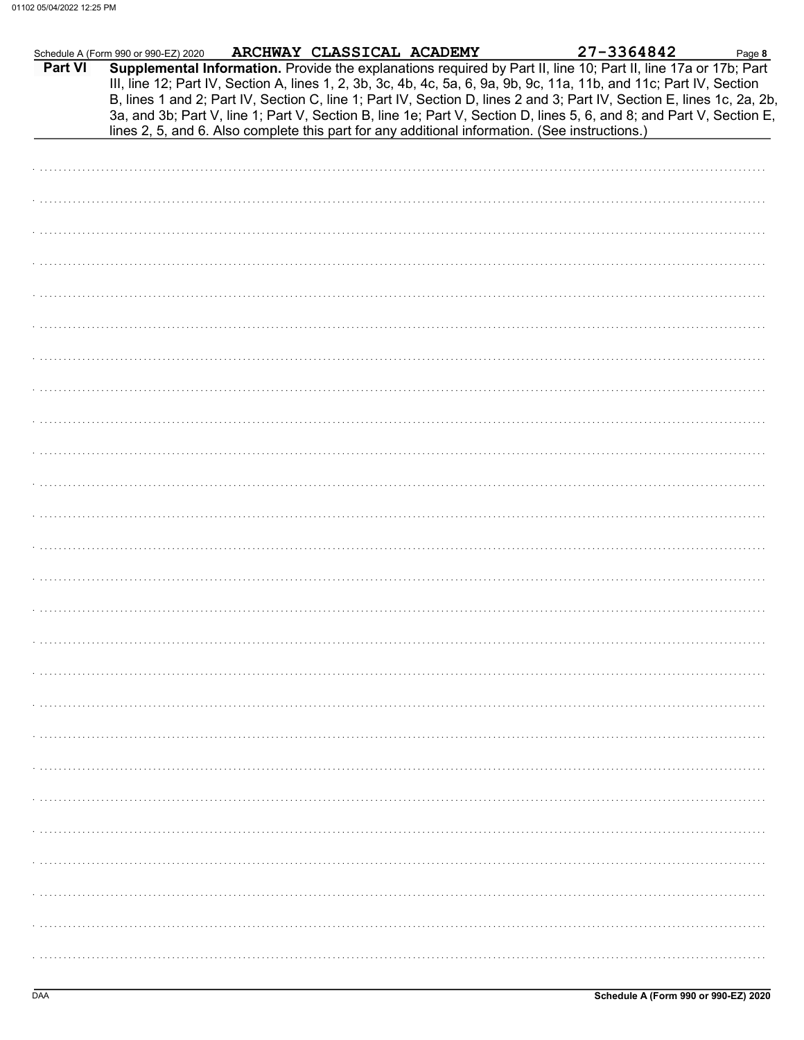|         | Schedule A (Form 990 or 990-EZ) 2020                                                           | ARCHWAY CLASSICAL ACADEMY |  | 27-3364842                                                                                                                                                                                                                                                                                                                                                                                                                                                                                | Page 8 |
|---------|------------------------------------------------------------------------------------------------|---------------------------|--|-------------------------------------------------------------------------------------------------------------------------------------------------------------------------------------------------------------------------------------------------------------------------------------------------------------------------------------------------------------------------------------------------------------------------------------------------------------------------------------------|--------|
| Part VI |                                                                                                |                           |  | Supplemental Information. Provide the explanations required by Part II, line 10; Part II, line 17a or 17b; Part<br>III, line 12; Part IV, Section A, lines 1, 2, 3b, 3c, 4b, 4c, 5a, 6, 9a, 9b, 9c, 11a, 11b, and 11c; Part IV, Section<br>B, lines 1 and 2; Part IV, Section C, line 1; Part IV, Section D, lines 2 and 3; Part IV, Section E, lines 1c, 2a, 2b,<br>3a, and 3b; Part V, line 1; Part V, Section B, line 1e; Part V, Section D, lines 5, 6, and 8; and Part V, Section E, |        |
|         | lines 2, 5, and 6. Also complete this part for any additional information. (See instructions.) |                           |  |                                                                                                                                                                                                                                                                                                                                                                                                                                                                                           |        |
|         |                                                                                                |                           |  |                                                                                                                                                                                                                                                                                                                                                                                                                                                                                           |        |
|         |                                                                                                |                           |  |                                                                                                                                                                                                                                                                                                                                                                                                                                                                                           |        |
|         |                                                                                                |                           |  |                                                                                                                                                                                                                                                                                                                                                                                                                                                                                           |        |
|         |                                                                                                |                           |  |                                                                                                                                                                                                                                                                                                                                                                                                                                                                                           |        |
|         |                                                                                                |                           |  |                                                                                                                                                                                                                                                                                                                                                                                                                                                                                           |        |
|         |                                                                                                |                           |  |                                                                                                                                                                                                                                                                                                                                                                                                                                                                                           |        |
|         |                                                                                                |                           |  |                                                                                                                                                                                                                                                                                                                                                                                                                                                                                           |        |
|         |                                                                                                |                           |  |                                                                                                                                                                                                                                                                                                                                                                                                                                                                                           |        |
|         |                                                                                                |                           |  |                                                                                                                                                                                                                                                                                                                                                                                                                                                                                           |        |
|         |                                                                                                |                           |  |                                                                                                                                                                                                                                                                                                                                                                                                                                                                                           |        |
|         |                                                                                                |                           |  |                                                                                                                                                                                                                                                                                                                                                                                                                                                                                           |        |
|         |                                                                                                |                           |  |                                                                                                                                                                                                                                                                                                                                                                                                                                                                                           |        |
|         |                                                                                                |                           |  |                                                                                                                                                                                                                                                                                                                                                                                                                                                                                           |        |
|         |                                                                                                |                           |  |                                                                                                                                                                                                                                                                                                                                                                                                                                                                                           |        |
|         |                                                                                                |                           |  |                                                                                                                                                                                                                                                                                                                                                                                                                                                                                           |        |
|         |                                                                                                |                           |  |                                                                                                                                                                                                                                                                                                                                                                                                                                                                                           |        |
|         |                                                                                                |                           |  |                                                                                                                                                                                                                                                                                                                                                                                                                                                                                           |        |
|         |                                                                                                |                           |  |                                                                                                                                                                                                                                                                                                                                                                                                                                                                                           |        |
|         |                                                                                                |                           |  |                                                                                                                                                                                                                                                                                                                                                                                                                                                                                           |        |
|         |                                                                                                |                           |  |                                                                                                                                                                                                                                                                                                                                                                                                                                                                                           |        |
|         |                                                                                                |                           |  |                                                                                                                                                                                                                                                                                                                                                                                                                                                                                           |        |
|         |                                                                                                |                           |  |                                                                                                                                                                                                                                                                                                                                                                                                                                                                                           |        |
|         |                                                                                                |                           |  |                                                                                                                                                                                                                                                                                                                                                                                                                                                                                           |        |
|         |                                                                                                |                           |  |                                                                                                                                                                                                                                                                                                                                                                                                                                                                                           |        |
|         |                                                                                                |                           |  |                                                                                                                                                                                                                                                                                                                                                                                                                                                                                           |        |
|         |                                                                                                |                           |  |                                                                                                                                                                                                                                                                                                                                                                                                                                                                                           |        |
|         |                                                                                                |                           |  |                                                                                                                                                                                                                                                                                                                                                                                                                                                                                           |        |
|         |                                                                                                |                           |  |                                                                                                                                                                                                                                                                                                                                                                                                                                                                                           |        |
|         |                                                                                                |                           |  |                                                                                                                                                                                                                                                                                                                                                                                                                                                                                           |        |
|         |                                                                                                |                           |  |                                                                                                                                                                                                                                                                                                                                                                                                                                                                                           |        |
|         |                                                                                                |                           |  |                                                                                                                                                                                                                                                                                                                                                                                                                                                                                           |        |
|         |                                                                                                |                           |  |                                                                                                                                                                                                                                                                                                                                                                                                                                                                                           |        |
|         |                                                                                                |                           |  |                                                                                                                                                                                                                                                                                                                                                                                                                                                                                           |        |
|         |                                                                                                |                           |  |                                                                                                                                                                                                                                                                                                                                                                                                                                                                                           |        |
|         |                                                                                                |                           |  |                                                                                                                                                                                                                                                                                                                                                                                                                                                                                           |        |
|         |                                                                                                |                           |  |                                                                                                                                                                                                                                                                                                                                                                                                                                                                                           |        |
|         |                                                                                                |                           |  |                                                                                                                                                                                                                                                                                                                                                                                                                                                                                           |        |
|         |                                                                                                |                           |  |                                                                                                                                                                                                                                                                                                                                                                                                                                                                                           |        |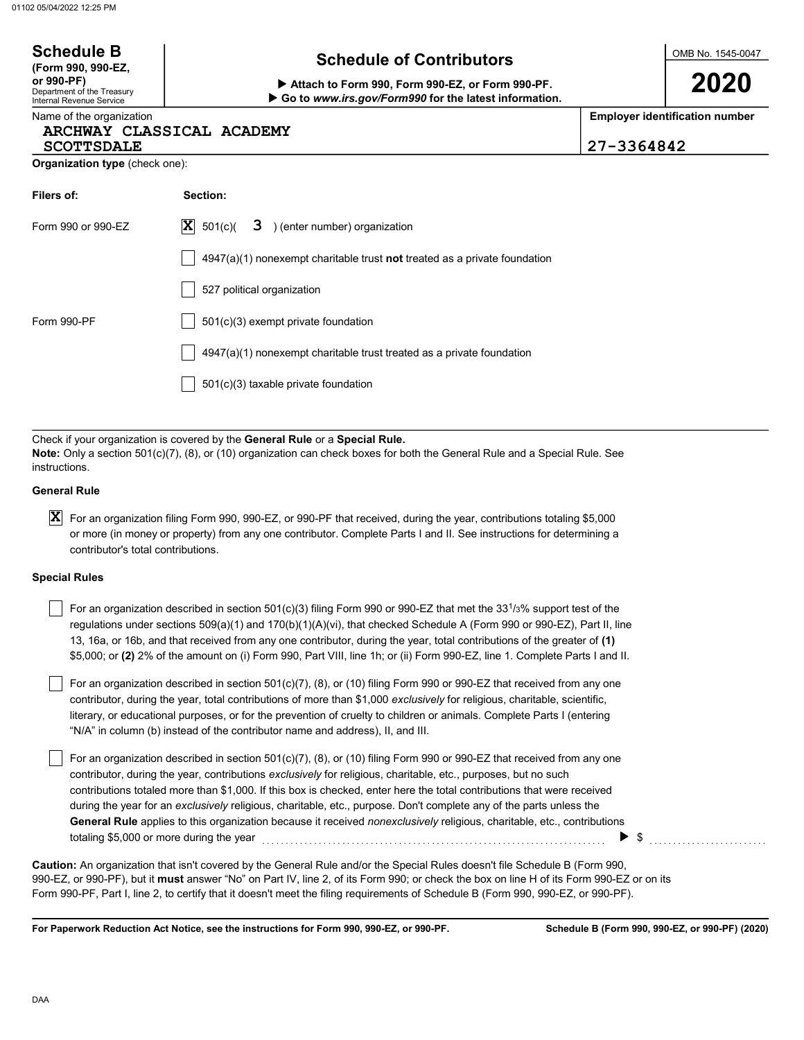## Schedule B  $\overline{S}$  Schedule of Contributors

or 990-PF) Attach to Form 990, Form 990-EZ, or Form 990-PF. Go to www.irs.gov/Form990 for the latest information. OMB No. 1545-0047

2020

Employer identification number

Name of the organization

Department of the Treasury Internal Revenue Service

(Form 990, 990-EZ,

## ARCHWAY CLASSICAL ACADEMY <u>SCOTTSDALE 2000 27-3364842</u>

| <b>SCOTTSDALE</b>              |  |  |
|--------------------------------|--|--|
| Organization type (check one): |  |  |

| Filers of:         | Section:                                                                           |
|--------------------|------------------------------------------------------------------------------------|
| Form 990 or 990-EZ | $ \mathbf{X} $ 501(c)(<br>$3$ ) (enter number) organization                        |
|                    | $4947(a)(1)$ nonexempt charitable trust <b>not</b> treated as a private foundation |
|                    | 527 political organization                                                         |
| Form 990-PF        | $501(c)(3)$ exempt private foundation                                              |
|                    | 4947(a)(1) nonexempt charitable trust treated as a private foundation              |
|                    | 501(c)(3) taxable private foundation                                               |

Check if your organization is covered by the General Rule or a Special Rule. Note: Only a section 501(c)(7), (8), or (10) organization can check boxes for both the General Rule and a Special Rule. See instructions.

## General Rule

 $\bm{X}$  For an organization filing Form 990, 990-EZ, or 990-PF that received, during the year, contributions totaling \$5,000 or more (in money or property) from any one contributor. Complete Parts I and II. See instructions for determining a contributor's total contributions.

## Special Rules

| For an organization described in section 501(c)(3) filing Form 990 or 990-EZ that met the 33 <sup>1</sup> /3% support test of the |
|-----------------------------------------------------------------------------------------------------------------------------------|
| regulations under sections $509(a)(1)$ and $170(b)(1)(A)(vi)$ , that checked Schedule A (Form 990 or 990-EZ), Part II, line       |
| 13, 16a, or 16b, and that received from any one contributor, during the year, total contributions of the greater of (1)           |
| \$5,000; or (2) 2% of the amount on (i) Form 990, Part VIII, line 1h; or (ii) Form 990-EZ, line 1. Complete Parts I and II.       |

literary, or educational purposes, or for the prevention of cruelty to children or animals. Complete Parts I (entering For an organization described in section 501(c)(7), (8), or (10) filing Form 990 or 990-EZ that received from any one contributor, during the year, total contributions of more than \$1,000 exclusively for religious, charitable, scientific, "N/A" in column (b) instead of the contributor name and address), II, and III.

For an organization described in section 501(c)(7), (8), or (10) filing Form 990 or 990-EZ that received from any one contributor, during the year, contributions exclusively for religious, charitable, etc., purposes, but no such contributions totaled more than \$1,000. If this box is checked, enter here the total contributions that were received during the year for an exclusively religious, charitable, etc., purpose. Don't complete any of the parts unless the General Rule applies to this organization because it received nonexclusively religious, charitable, etc., contributions  $\text{totaling }$  \$5,000 or more during the year  $\ldots$   $\ldots$   $\ldots$   $\ldots$   $\ldots$   $\ldots$   $\ldots$   $\ldots$   $\ldots$   $\ldots$   $\blacksquare$ 

990-EZ, or 990-PF), but it must answer "No" on Part IV, line 2, of its Form 990; or check the box on line H of its Form 990-EZ or on its Form 990-PF, Part I, line 2, to certify that it doesn't meet the filing requirements of Schedule B (Form 990, 990-EZ, or 990-PF). Caution: An organization that isn't covered by the General Rule and/or the Special Rules doesn't file Schedule B (Form 990,

For Paperwork Reduction Act Notice, see the instructions for Form 990, 990-EZ, or 990-PF.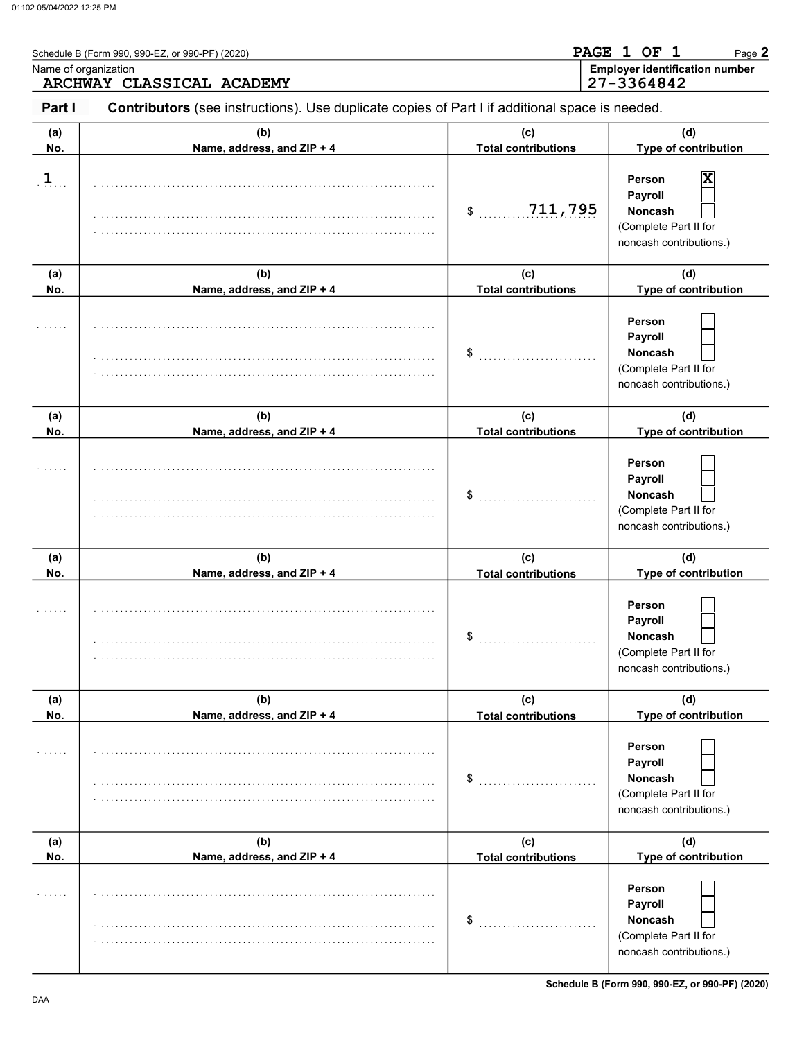|                      | Schedule B (Form 990, 990-EZ, or 990-PF) (2020)                                                |                                   | PAGE 1 OF 1<br>Page 2                                                                   |
|----------------------|------------------------------------------------------------------------------------------------|-----------------------------------|-----------------------------------------------------------------------------------------|
| Name of organization | ARCHWAY CLASSICAL ACADEMY                                                                      |                                   | <b>Employer identification number</b><br>27-3364842                                     |
| Part I               | Contributors (see instructions). Use duplicate copies of Part I if additional space is needed. |                                   |                                                                                         |
| (a)<br>No.           | (b)<br>Name, address, and ZIP + 4                                                              | (c)<br><b>Total contributions</b> | (d)<br>Type of contribution                                                             |
| $\frac{1}{2}$        |                                                                                                | 711,795<br>\$                     | X<br>Person<br>Payroll<br>Noncash<br>(Complete Part II for<br>noncash contributions.)   |
| (a)                  | (b)                                                                                            | (c)                               | (d)                                                                                     |
| No.                  | Name, address, and ZIP + 4                                                                     | <b>Total contributions</b>        | Type of contribution                                                                    |
|                      |                                                                                                | \$                                | Person<br><b>Payroll</b><br>Noncash<br>(Complete Part II for<br>noncash contributions.) |
| (a)                  | (b)                                                                                            | (c)                               | (d)                                                                                     |
| No.                  | Name, address, and ZIP + 4                                                                     | <b>Total contributions</b>        | Type of contribution                                                                    |
|                      |                                                                                                | \$                                | Person<br>Payroll<br>Noncash<br>(Complete Part II for<br>noncash contributions.)        |
| (a)                  | (b)                                                                                            | (c)                               | (d)                                                                                     |
| No.                  | Name, address, and ZIP + 4                                                                     | <b>Total contributions</b>        | Type of contribution                                                                    |
|                      |                                                                                                | \$                                | Person<br>Payroll<br>Noncash<br>(Complete Part II for<br>noncash contributions.)        |
| (a)                  | (b)                                                                                            | (c)                               | (d)                                                                                     |
| No.                  | Name, address, and ZIP + 4                                                                     | <b>Total contributions</b>        | Type of contribution                                                                    |
|                      |                                                                                                | \$                                | Person<br>Payroll<br><b>Noncash</b><br>(Complete Part II for<br>noncash contributions.) |
| (a)                  | (b)                                                                                            | (c)                               | (d)                                                                                     |
| No.                  | Name, address, and ZIP + 4                                                                     | <b>Total contributions</b>        | Type of contribution                                                                    |
|                      |                                                                                                | \$                                | Person<br>Payroll<br><b>Noncash</b><br>(Complete Part II for<br>noncash contributions.) |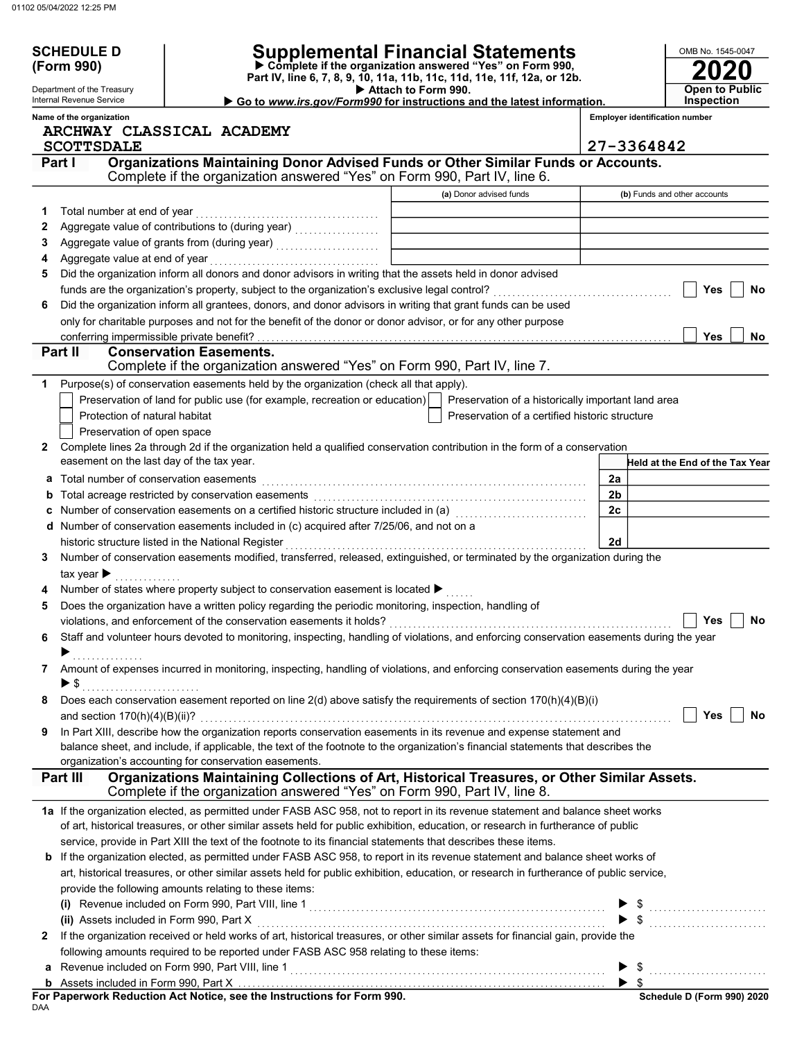SCHEDULE D<br>(Form 990)

Department of the Treasury

## SCHEDULE D | Supplemental Financial Statements

 Attach to Form 990. Part IV, line 6, 7, 8, 9, 10, 11a, 11b, 11c, 11d, 11e, 11f, 12a, or 12b. Complete if the organization answered "Yes" on Form 990,

|              | Internal Revenue Service                  | Go to www.irs.gov/Form990 for instructions and the latest information.                                                                                                                                                        |                                                    |                                       | <b>Inspection</b>                                                                                                                                                                                                                                                                                                                                                                                                                                                                                    |
|--------------|-------------------------------------------|-------------------------------------------------------------------------------------------------------------------------------------------------------------------------------------------------------------------------------|----------------------------------------------------|---------------------------------------|------------------------------------------------------------------------------------------------------------------------------------------------------------------------------------------------------------------------------------------------------------------------------------------------------------------------------------------------------------------------------------------------------------------------------------------------------------------------------------------------------|
|              | Name of the organization                  |                                                                                                                                                                                                                               |                                                    | <b>Employer identification number</b> |                                                                                                                                                                                                                                                                                                                                                                                                                                                                                                      |
|              |                                           | ARCHWAY CLASSICAL ACADEMY                                                                                                                                                                                                     |                                                    |                                       |                                                                                                                                                                                                                                                                                                                                                                                                                                                                                                      |
|              | <b>SCOTTSDALE</b>                         |                                                                                                                                                                                                                               |                                                    | 27-3364842                            |                                                                                                                                                                                                                                                                                                                                                                                                                                                                                                      |
|              | Part I                                    | Organizations Maintaining Donor Advised Funds or Other Similar Funds or Accounts.                                                                                                                                             |                                                    |                                       |                                                                                                                                                                                                                                                                                                                                                                                                                                                                                                      |
|              |                                           | Complete if the organization answered "Yes" on Form 990, Part IV, line 6.                                                                                                                                                     |                                                    |                                       |                                                                                                                                                                                                                                                                                                                                                                                                                                                                                                      |
|              |                                           |                                                                                                                                                                                                                               | (a) Donor advised funds                            |                                       | (b) Funds and other accounts                                                                                                                                                                                                                                                                                                                                                                                                                                                                         |
|              |                                           |                                                                                                                                                                                                                               |                                                    |                                       |                                                                                                                                                                                                                                                                                                                                                                                                                                                                                                      |
| 1            | Total number at end of year               |                                                                                                                                                                                                                               |                                                    |                                       |                                                                                                                                                                                                                                                                                                                                                                                                                                                                                                      |
| 2            |                                           |                                                                                                                                                                                                                               |                                                    |                                       |                                                                                                                                                                                                                                                                                                                                                                                                                                                                                                      |
| 3            |                                           |                                                                                                                                                                                                                               |                                                    |                                       |                                                                                                                                                                                                                                                                                                                                                                                                                                                                                                      |
| 4            | Aggregate value at end of year            |                                                                                                                                                                                                                               |                                                    |                                       |                                                                                                                                                                                                                                                                                                                                                                                                                                                                                                      |
| 5            |                                           | Did the organization inform all donors and donor advisors in writing that the assets held in donor advised                                                                                                                    |                                                    |                                       |                                                                                                                                                                                                                                                                                                                                                                                                                                                                                                      |
|              |                                           | funds are the organization's property, subject to the organization's exclusive legal control?                                                                                                                                 |                                                    |                                       | Yes<br>No                                                                                                                                                                                                                                                                                                                                                                                                                                                                                            |
| 6            |                                           | Did the organization inform all grantees, donors, and donor advisors in writing that grant funds can be used                                                                                                                  |                                                    |                                       |                                                                                                                                                                                                                                                                                                                                                                                                                                                                                                      |
|              |                                           | only for charitable purposes and not for the benefit of the donor or donor advisor, or for any other purpose                                                                                                                  |                                                    |                                       |                                                                                                                                                                                                                                                                                                                                                                                                                                                                                                      |
|              |                                           |                                                                                                                                                                                                                               |                                                    |                                       | Yes<br><b>No</b>                                                                                                                                                                                                                                                                                                                                                                                                                                                                                     |
|              | Part II                                   | <b>Conservation Easements.</b>                                                                                                                                                                                                |                                                    |                                       |                                                                                                                                                                                                                                                                                                                                                                                                                                                                                                      |
|              |                                           | Complete if the organization answered "Yes" on Form 990, Part IV, line 7.                                                                                                                                                     |                                                    |                                       |                                                                                                                                                                                                                                                                                                                                                                                                                                                                                                      |
| 1            |                                           | Purpose(s) of conservation easements held by the organization (check all that apply).                                                                                                                                         |                                                    |                                       |                                                                                                                                                                                                                                                                                                                                                                                                                                                                                                      |
|              |                                           | Preservation of land for public use (for example, recreation or education)                                                                                                                                                    | Preservation of a historically important land area |                                       |                                                                                                                                                                                                                                                                                                                                                                                                                                                                                                      |
|              | Protection of natural habitat             |                                                                                                                                                                                                                               | Preservation of a certified historic structure     |                                       |                                                                                                                                                                                                                                                                                                                                                                                                                                                                                                      |
|              | Preservation of open space                |                                                                                                                                                                                                                               |                                                    |                                       |                                                                                                                                                                                                                                                                                                                                                                                                                                                                                                      |
| $\mathbf{2}$ |                                           | Complete lines 2a through 2d if the organization held a qualified conservation contribution in the form of a conservation                                                                                                     |                                                    |                                       |                                                                                                                                                                                                                                                                                                                                                                                                                                                                                                      |
|              | easement on the last day of the tax year. |                                                                                                                                                                                                                               |                                                    |                                       | Held at the End of the Tax Year                                                                                                                                                                                                                                                                                                                                                                                                                                                                      |
| а            | Total number of conservation easements    |                                                                                                                                                                                                                               |                                                    | 2a                                    |                                                                                                                                                                                                                                                                                                                                                                                                                                                                                                      |
| b            |                                           |                                                                                                                                                                                                                               |                                                    | 2b                                    |                                                                                                                                                                                                                                                                                                                                                                                                                                                                                                      |
|              |                                           | Number of conservation easements on a certified historic structure included in (a) [[[[[[[[[[[[[[[[[[[[[[[[[]]]]]]]                                                                                                           |                                                    | 2c                                    |                                                                                                                                                                                                                                                                                                                                                                                                                                                                                                      |
| d            |                                           | Number of conservation easements included in (c) acquired after 7/25/06, and not on a                                                                                                                                         |                                                    |                                       |                                                                                                                                                                                                                                                                                                                                                                                                                                                                                                      |
|              |                                           | historic structure listed in the National Register                                                                                                                                                                            |                                                    | 2d                                    |                                                                                                                                                                                                                                                                                                                                                                                                                                                                                                      |
|              |                                           | Number of conservation easements modified, transferred, released, extinguished, or terminated by the organization during the                                                                                                  |                                                    |                                       |                                                                                                                                                                                                                                                                                                                                                                                                                                                                                                      |
| 3            |                                           |                                                                                                                                                                                                                               |                                                    |                                       |                                                                                                                                                                                                                                                                                                                                                                                                                                                                                                      |
|              | tax year $\blacktriangleright$            |                                                                                                                                                                                                                               |                                                    |                                       |                                                                                                                                                                                                                                                                                                                                                                                                                                                                                                      |
|              |                                           | Number of states where property subject to conservation easement is located ▶                                                                                                                                                 |                                                    |                                       |                                                                                                                                                                                                                                                                                                                                                                                                                                                                                                      |
| 5            |                                           | Does the organization have a written policy regarding the periodic monitoring, inspection, handling of                                                                                                                        |                                                    |                                       |                                                                                                                                                                                                                                                                                                                                                                                                                                                                                                      |
|              |                                           | violations, and enforcement of the conservation easements it holds?                                                                                                                                                           |                                                    |                                       | Yes<br>No                                                                                                                                                                                                                                                                                                                                                                                                                                                                                            |
| 6            |                                           | Staff and volunteer hours devoted to monitoring, inspecting, handling of violations, and enforcing conservation easements during the year                                                                                     |                                                    |                                       |                                                                                                                                                                                                                                                                                                                                                                                                                                                                                                      |
|              |                                           |                                                                                                                                                                                                                               |                                                    |                                       |                                                                                                                                                                                                                                                                                                                                                                                                                                                                                                      |
| 7            |                                           | Amount of expenses incurred in monitoring, inspecting, handling of violations, and enforcing conservation easements during the year                                                                                           |                                                    |                                       |                                                                                                                                                                                                                                                                                                                                                                                                                                                                                                      |
|              | ▶ \$                                      |                                                                                                                                                                                                                               |                                                    |                                       |                                                                                                                                                                                                                                                                                                                                                                                                                                                                                                      |
| 8            |                                           | Does each conservation easement reported on line $2(d)$ above satisfy the requirements of section $170(h)(4)(B)(i)$                                                                                                           |                                                    |                                       |                                                                                                                                                                                                                                                                                                                                                                                                                                                                                                      |
|              |                                           |                                                                                                                                                                                                                               |                                                    |                                       | Yes<br>No                                                                                                                                                                                                                                                                                                                                                                                                                                                                                            |
| 9            |                                           | In Part XIII, describe how the organization reports conservation easements in its revenue and expense statement and                                                                                                           |                                                    |                                       |                                                                                                                                                                                                                                                                                                                                                                                                                                                                                                      |
|              |                                           | balance sheet, and include, if applicable, the text of the footnote to the organization's financial statements that describes the                                                                                             |                                                    |                                       |                                                                                                                                                                                                                                                                                                                                                                                                                                                                                                      |
|              |                                           | organization's accounting for conservation easements.                                                                                                                                                                         |                                                    |                                       |                                                                                                                                                                                                                                                                                                                                                                                                                                                                                                      |
|              | Part III                                  | Organizations Maintaining Collections of Art, Historical Treasures, or Other Similar Assets.                                                                                                                                  |                                                    |                                       |                                                                                                                                                                                                                                                                                                                                                                                                                                                                                                      |
|              |                                           | Complete if the organization answered "Yes" on Form 990, Part IV, line 8.                                                                                                                                                     |                                                    |                                       |                                                                                                                                                                                                                                                                                                                                                                                                                                                                                                      |
|              |                                           | 1a If the organization elected, as permitted under FASB ASC 958, not to report in its revenue statement and balance sheet works                                                                                               |                                                    |                                       |                                                                                                                                                                                                                                                                                                                                                                                                                                                                                                      |
|              |                                           | of art, historical treasures, or other similar assets held for public exhibition, education, or research in furtherance of public                                                                                             |                                                    |                                       |                                                                                                                                                                                                                                                                                                                                                                                                                                                                                                      |
|              |                                           | service, provide in Part XIII the text of the footnote to its financial statements that describes these items.                                                                                                                |                                                    |                                       |                                                                                                                                                                                                                                                                                                                                                                                                                                                                                                      |
| b            |                                           | If the organization elected, as permitted under FASB ASC 958, to report in its revenue statement and balance sheet works of                                                                                                   |                                                    |                                       |                                                                                                                                                                                                                                                                                                                                                                                                                                                                                                      |
|              |                                           | art, historical treasures, or other similar assets held for public exhibition, education, or research in furtherance of public service,                                                                                       |                                                    |                                       |                                                                                                                                                                                                                                                                                                                                                                                                                                                                                                      |
|              |                                           | provide the following amounts relating to these items:                                                                                                                                                                        |                                                    |                                       |                                                                                                                                                                                                                                                                                                                                                                                                                                                                                                      |
|              |                                           |                                                                                                                                                                                                                               |                                                    |                                       |                                                                                                                                                                                                                                                                                                                                                                                                                                                                                                      |
|              |                                           |                                                                                                                                                                                                                               |                                                    |                                       | $\begin{array}{c} \triangleright \ \ \ \text{\$} \quad \quad \  \  \text{\_} \quad \quad \  \  \text{\_} \quad \quad \  \  \text{\_} \quad \quad \  \  \text{\_} \quad \quad \  \  \text{\_} \quad \quad \  \  \text{\_} \quad \quad \  \  \text{\_} \quad \quad \  \  \text{\_} \quad \quad \  \  \text{\_} \quad \quad \  \  \text{\_} \quad \quad \  \  \text{\_} \quad \quad \  \  \text{\_} \quad \quad \  \  \text{\_} \quad \quad \  \  \text{\_} \quad \quad \  \  \text{\_} \quad \quad \ $ |
|              |                                           | (ii) Assets included in Form 990, Part X [11] Conservation contracts and all the Section of Assets included in Form 990, Part X [11] Assets in the Section of Assets in the Section of Assets in the Section of Assets in the |                                                    |                                       |                                                                                                                                                                                                                                                                                                                                                                                                                                                                                                      |
| $\mathbf{z}$ |                                           | If the organization received or held works of art, historical treasures, or other similar assets for financial gain, provide the                                                                                              |                                                    |                                       |                                                                                                                                                                                                                                                                                                                                                                                                                                                                                                      |
|              |                                           | following amounts required to be reported under FASB ASC 958 relating to these items:                                                                                                                                         |                                                    |                                       |                                                                                                                                                                                                                                                                                                                                                                                                                                                                                                      |
| а            |                                           |                                                                                                                                                                                                                               |                                                    |                                       | $\frac{1}{2}$                                                                                                                                                                                                                                                                                                                                                                                                                                                                                        |
|              |                                           |                                                                                                                                                                                                                               |                                                    |                                       |                                                                                                                                                                                                                                                                                                                                                                                                                                                                                                      |

2020

**Open to Public** 

OMB No. 1545-0047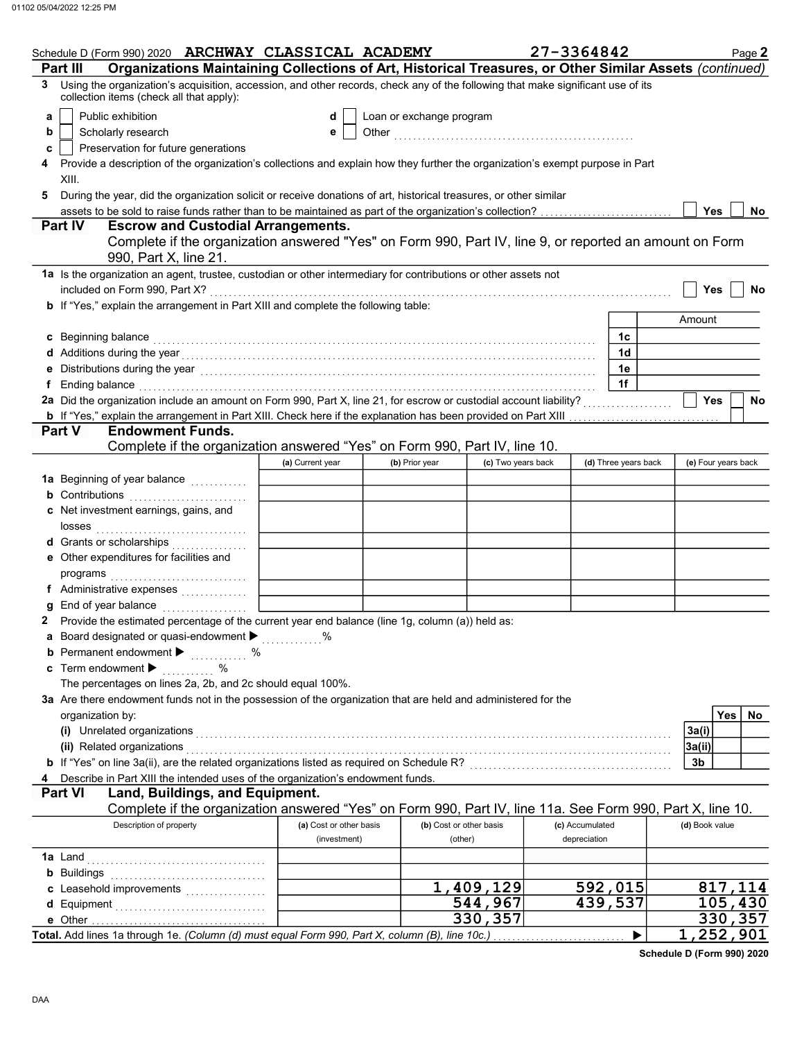|   | Schedule D (Form 990) 2020 ARCHWAY CLASSICAL ACADEMY                                                                                                                                                                                 |                         |                          |                         | 27-3364842      |                      |                     | Page 2  |
|---|--------------------------------------------------------------------------------------------------------------------------------------------------------------------------------------------------------------------------------------|-------------------------|--------------------------|-------------------------|-----------------|----------------------|---------------------|---------|
|   | Organizations Maintaining Collections of Art, Historical Treasures, or Other Similar Assets (continued)<br>Part III                                                                                                                  |                         |                          |                         |                 |                      |                     |         |
| 3 | Using the organization's acquisition, accession, and other records, check any of the following that make significant use of its<br>collection items (check all that apply):                                                          |                         |                          |                         |                 |                      |                     |         |
| a | Public exhibition                                                                                                                                                                                                                    | d                       | Loan or exchange program |                         |                 |                      |                     |         |
| b | Scholarly research                                                                                                                                                                                                                   | е                       |                          |                         |                 |                      |                     |         |
| c | Preservation for future generations                                                                                                                                                                                                  |                         |                          |                         |                 |                      |                     |         |
|   | Provide a description of the organization's collections and explain how they further the organization's exempt purpose in Part                                                                                                       |                         |                          |                         |                 |                      |                     |         |
|   | XIII.                                                                                                                                                                                                                                |                         |                          |                         |                 |                      |                     |         |
| 5 | During the year, did the organization solicit or receive donations of art, historical treasures, or other similar                                                                                                                    |                         |                          |                         |                 |                      |                     |         |
|   |                                                                                                                                                                                                                                      |                         |                          |                         |                 |                      | Yes                 | No.     |
|   | <b>Part IV</b><br><b>Escrow and Custodial Arrangements.</b>                                                                                                                                                                          |                         |                          |                         |                 |                      |                     |         |
|   | Complete if the organization answered "Yes" on Form 990, Part IV, line 9, or reported an amount on Form<br>990, Part X, line 21.                                                                                                     |                         |                          |                         |                 |                      |                     |         |
|   | 1a Is the organization an agent, trustee, custodian or other intermediary for contributions or other assets not                                                                                                                      |                         |                          |                         |                 |                      |                     |         |
|   | included on Form 990, Part X?                                                                                                                                                                                                        |                         |                          |                         |                 |                      | Yes                 | No      |
|   | b If "Yes," explain the arrangement in Part XIII and complete the following table:                                                                                                                                                   |                         |                          |                         |                 |                      |                     |         |
|   |                                                                                                                                                                                                                                      |                         |                          |                         |                 |                      | Amount              |         |
|   | c Beginning balance                                                                                                                                                                                                                  |                         |                          |                         |                 | 1c                   |                     |         |
|   |                                                                                                                                                                                                                                      |                         |                          |                         |                 | 1d                   |                     |         |
| е | Distributions during the year manufactured contains and contained a state of the year manufactured with the state of the state of the state of the state of the state of the state of the state of the state of the state of t       |                         |                          |                         |                 | 1e                   |                     |         |
| f | Ending balance with a construction of the construction of the construction of the construction of the construction of the construction of the construction of the construction of the construction of the construction of the        |                         |                          |                         |                 | 1f                   |                     |         |
|   | 2a Did the organization include an amount on Form 990, Part X, line 21, for escrow or custodial account liability?                                                                                                                   |                         |                          |                         |                 |                      | <b>Yes</b>          | No      |
|   |                                                                                                                                                                                                                                      |                         |                          |                         |                 |                      |                     |         |
|   | <b>Endowment Funds.</b><br><b>Part V</b>                                                                                                                                                                                             |                         |                          |                         |                 |                      |                     |         |
|   | Complete if the organization answered "Yes" on Form 990, Part IV, line 10.                                                                                                                                                           |                         |                          |                         |                 |                      |                     |         |
|   |                                                                                                                                                                                                                                      | (a) Current year        | (b) Prior year           | (c) Two years back      |                 | (d) Three years back | (e) Four years back |         |
|   | 1a Beginning of year balance <i>[[[[[[[[[[[[[[[[[[[[[[[[[[[[]]]]</i>                                                                                                                                                                 |                         |                          |                         |                 |                      |                     |         |
|   | <b>b</b> Contributions <b>contributions</b>                                                                                                                                                                                          |                         |                          |                         |                 |                      |                     |         |
|   | c Net investment earnings, gains, and                                                                                                                                                                                                |                         |                          |                         |                 |                      |                     |         |
|   |                                                                                                                                                                                                                                      |                         |                          |                         |                 |                      |                     |         |
|   | d Grants or scholarships                                                                                                                                                                                                             |                         |                          |                         |                 |                      |                     |         |
|   | e Other expenditures for facilities and                                                                                                                                                                                              |                         |                          |                         |                 |                      |                     |         |
|   | programs                                                                                                                                                                                                                             |                         |                          |                         |                 |                      |                     |         |
|   | f Administrative expenses                                                                                                                                                                                                            |                         |                          |                         |                 |                      |                     |         |
| g | End of year balance                                                                                                                                                                                                                  |                         |                          |                         |                 |                      |                     |         |
| 2 | Provide the estimated percentage of the current year end balance (line 1g, column (a)) held as:                                                                                                                                      |                         |                          |                         |                 |                      |                     |         |
|   | a Board designated or quasi-endowment >                                                                                                                                                                                              | %                       |                          |                         |                 |                      |                     |         |
|   | <b>b</b> Permanent endowment $\blacktriangleright$<br>$\%$                                                                                                                                                                           |                         |                          |                         |                 |                      |                     |         |
|   | c Term endowment $\blacktriangleright$<br>$\%$                                                                                                                                                                                       |                         |                          |                         |                 |                      |                     |         |
|   | The percentages on lines 2a, 2b, and 2c should equal 100%.                                                                                                                                                                           |                         |                          |                         |                 |                      |                     |         |
|   | 3a Are there endowment funds not in the possession of the organization that are held and administered for the                                                                                                                        |                         |                          |                         |                 |                      |                     |         |
|   | organization by:                                                                                                                                                                                                                     |                         |                          |                         |                 |                      | <b>Yes</b>          | No      |
|   | (i) Unrelated organizations <i>contract and according to the contract of the contract of the contract of the contract of the contract of the contract of the contract of the contract of the contract of the contract of the con</i> |                         |                          |                         |                 |                      | 3a(i)               |         |
|   | (ii) Related organizations                                                                                                                                                                                                           |                         |                          |                         |                 |                      | 3a(ii)              |         |
|   | b If "Yes" on line 3a(ii), are the related organizations listed as required on Schedule R? [[[[[[[[[[[[[[[[[[[                                                                                                                       |                         |                          |                         |                 |                      | 3b                  |         |
|   | Describe in Part XIII the intended uses of the organization's endowment funds.<br>Land, Buildings, and Equipment.<br><b>Part VI</b>                                                                                                  |                         |                          |                         |                 |                      |                     |         |
|   | Complete if the organization answered "Yes" on Form 990, Part IV, line 11a. See Form 990, Part X, line 10.                                                                                                                           |                         |                          |                         |                 |                      |                     |         |
|   | Description of property                                                                                                                                                                                                              | (a) Cost or other basis |                          | (b) Cost or other basis | (c) Accumulated |                      | (d) Book value      |         |
|   |                                                                                                                                                                                                                                      | (investment)            |                          | (other)                 | depreciation    |                      |                     |         |
|   |                                                                                                                                                                                                                                      |                         |                          |                         |                 |                      |                     |         |
|   | <b>b</b> Buildings                                                                                                                                                                                                                   |                         |                          |                         |                 |                      |                     |         |
|   | c Leasehold improvements                                                                                                                                                                                                             |                         |                          | 1,409,129               |                 | 592,015              |                     | 817,114 |
|   |                                                                                                                                                                                                                                      |                         |                          | 544,967                 |                 | 439,537              |                     | 105,430 |
|   | e Other                                                                                                                                                                                                                              |                         |                          | 330,357                 |                 |                      |                     | 330,357 |
|   | Total. Add lines 1a through 1e. (Column (d) must equal Form 990, Part X, column (B), line 10c.)                                                                                                                                      |                         |                          |                         |                 |                      | 1,252,901           |         |

Schedule D (Form 990) 2020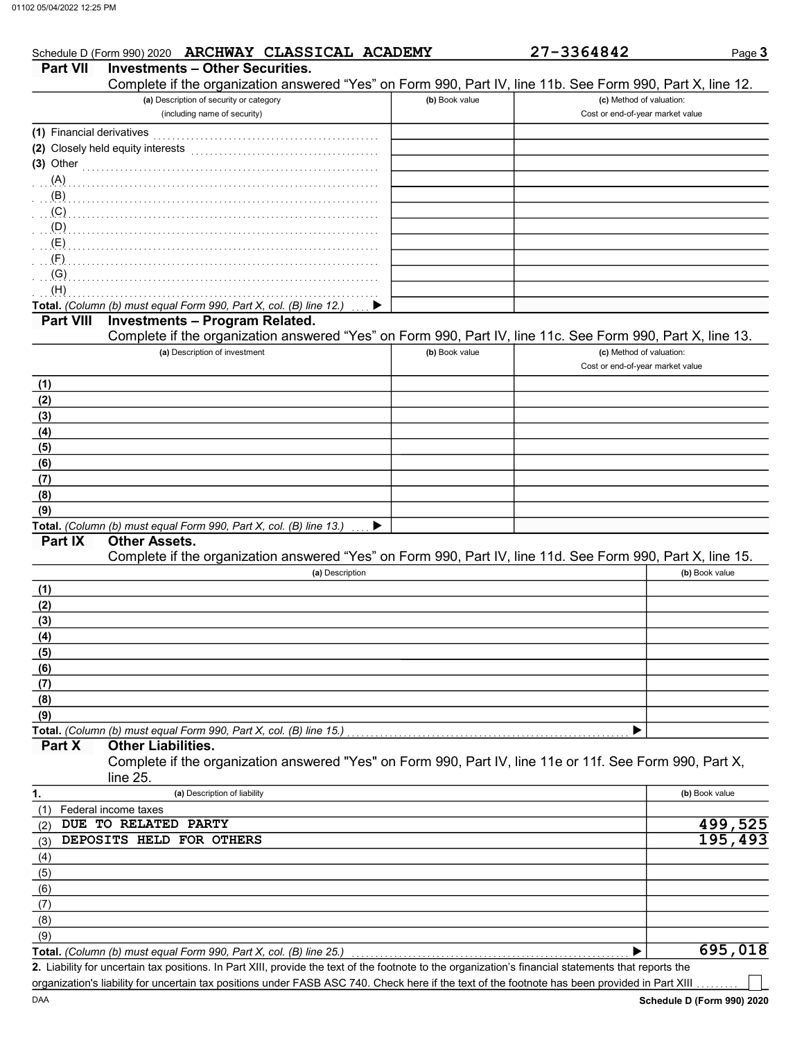| <b>Part VII</b>                                           | Schedule D (Form 990) 2020 ARCHWAY CLASSICAL ACADEMY<br><b>Investments - Other Securities.</b>               |                | 27-3364842                       | Page 3         |
|-----------------------------------------------------------|--------------------------------------------------------------------------------------------------------------|----------------|----------------------------------|----------------|
|                                                           |                                                                                                              |                |                                  |                |
|                                                           | Complete if the organization answered "Yes" on Form 990, Part IV, line 11b. See Form 990, Part X, line 12.   |                |                                  |                |
|                                                           | (a) Description of security or category<br>(including name of security)                                      | (b) Book value | (c) Method of valuation:         |                |
|                                                           |                                                                                                              |                | Cost or end-of-year market value |                |
| (1) Financial derivatives                                 |                                                                                                              |                |                                  |                |
|                                                           | (2) Closely held equity interests                                                                            |                |                                  |                |
|                                                           | (3) Other $\ldots$ $\ldots$ $\ldots$ $\ldots$ $\ldots$ $\ldots$ $\ldots$ $\ldots$ $\ldots$ $\ldots$ $\ldots$ |                |                                  |                |
|                                                           | (A)                                                                                                          |                |                                  |                |
|                                                           |                                                                                                              |                |                                  |                |
| $\ldots$ (C) $\ldots$ $\ldots$ $\ldots$ $\ldots$ $\ldots$ |                                                                                                              |                |                                  |                |
| $\ldots$ (D) $\ldots$ $\ldots$ $\ldots$ $\ldots$          |                                                                                                              |                |                                  |                |
|                                                           |                                                                                                              |                |                                  |                |
| (F)                                                       |                                                                                                              |                |                                  |                |
| (G)                                                       |                                                                                                              |                |                                  |                |
| (H)                                                       |                                                                                                              |                |                                  |                |
|                                                           | Total. (Column (b) must equal Form 990, Part X, col. (B) line 12.)                                           |                |                                  |                |
| <b>Part VIII</b>                                          | <b>Investments - Program Related.</b>                                                                        |                |                                  |                |
|                                                           | Complete if the organization answered "Yes" on Form 990, Part IV, line 11c. See Form 990, Part X, line 13.   |                |                                  |                |
|                                                           |                                                                                                              |                |                                  |                |
|                                                           | (a) Description of investment                                                                                | (b) Book value | (c) Method of valuation:         |                |
|                                                           |                                                                                                              |                | Cost or end-of-year market value |                |
| (1)                                                       |                                                                                                              |                |                                  |                |
| (2)                                                       |                                                                                                              |                |                                  |                |
| (3)                                                       |                                                                                                              |                |                                  |                |
| (4)                                                       |                                                                                                              |                |                                  |                |
| (5)                                                       |                                                                                                              |                |                                  |                |
| (6)                                                       |                                                                                                              |                |                                  |                |
| (7)                                                       |                                                                                                              |                |                                  |                |
| (8)                                                       |                                                                                                              |                |                                  |                |
| (9)                                                       |                                                                                                              |                |                                  |                |
|                                                           | Total. (Column (b) must equal Form 990, Part X, col. (B) line 13.)                                           |                |                                  |                |
| Part IX                                                   | <b>Other Assets.</b>                                                                                         |                |                                  |                |
|                                                           | Complete if the organization answered "Yes" on Form 990, Part IV, line 11d. See Form 990, Part X, line 15.   |                |                                  |                |
|                                                           | (a) Description                                                                                              |                |                                  | (b) Book value |
| (1)                                                       |                                                                                                              |                |                                  |                |
|                                                           |                                                                                                              |                |                                  |                |
| (2)                                                       |                                                                                                              |                |                                  |                |
| (3)                                                       |                                                                                                              |                |                                  |                |
| (4)                                                       |                                                                                                              |                |                                  |                |
| (5)                                                       |                                                                                                              |                |                                  |                |
| (6)                                                       |                                                                                                              |                |                                  |                |
| (7)                                                       |                                                                                                              |                |                                  |                |
| (8)                                                       |                                                                                                              |                |                                  |                |
| (9)                                                       |                                                                                                              |                |                                  |                |
|                                                           | Total. (Column (b) must equal Form 990, Part X, col. (B) line 15.)                                           |                |                                  |                |
| Part X                                                    | <b>Other Liabilities.</b>                                                                                    |                |                                  |                |
|                                                           | Complete if the organization answered "Yes" on Form 990, Part IV, line 11e or 11f. See Form 990, Part X,     |                |                                  |                |
|                                                           | line 25.                                                                                                     |                |                                  |                |
| 1.                                                        | (a) Description of liability                                                                                 |                |                                  | (b) Book value |
| (1)                                                       | Federal income taxes                                                                                         |                |                                  |                |
|                                                           | DUE TO RELATED PARTY                                                                                         |                |                                  | 499,525        |
| (2)                                                       |                                                                                                              |                |                                  |                |
| (3)                                                       | DEPOSITS HELD FOR OTHERS                                                                                     |                |                                  | 195,493        |
| (4)                                                       |                                                                                                              |                |                                  |                |
| (5)                                                       |                                                                                                              |                |                                  |                |
| (6)                                                       |                                                                                                              |                |                                  |                |
| (7)                                                       |                                                                                                              |                |                                  |                |
| (8)                                                       |                                                                                                              |                |                                  |                |
| (9)                                                       |                                                                                                              |                |                                  |                |
|                                                           | Total. (Column (b) must equal Form 990, Part X, col. (B) line 25.)                                           |                |                                  | 695,018        |
|                                                           |                                                                                                              |                |                                  |                |

Liability for uncertain tax positions. In Part XIII, provide the text of the footnote to the organization's financial statements that reports the 2. organization's liability for uncertain tax positions under FASB ASC 740. Check here if the text of the footnote has been provided in Part XIII

┐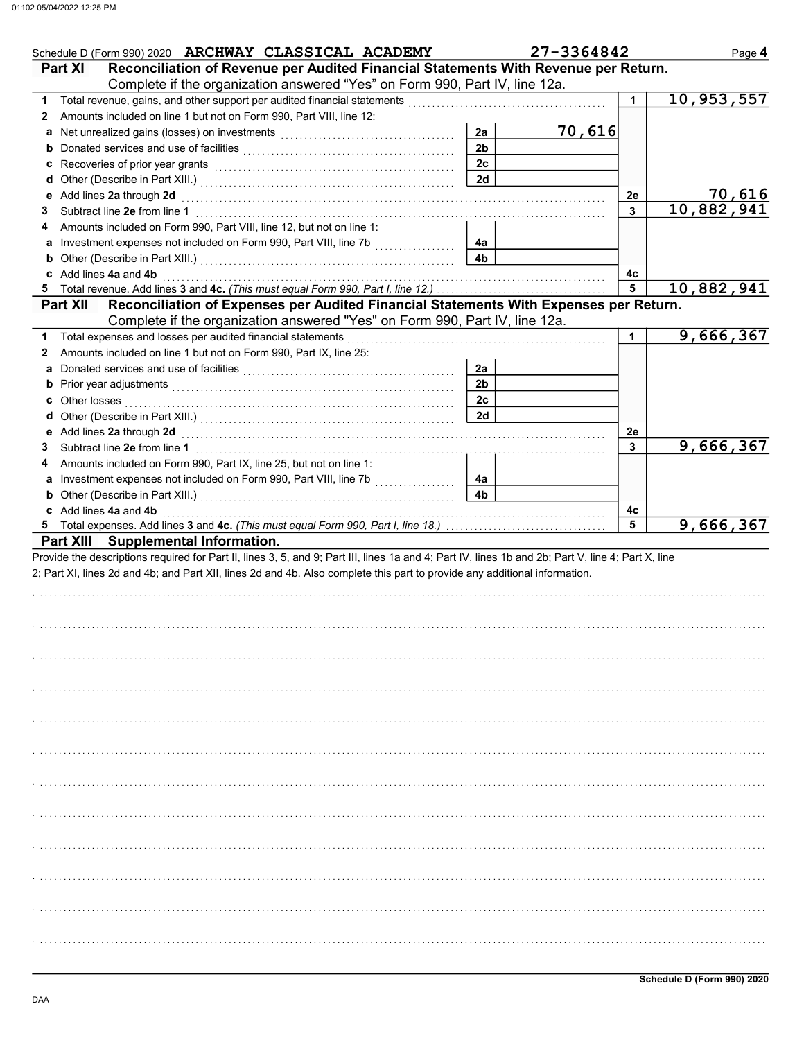| Schedule D (Form 990) 2020 ARCHWAY CLASSICAL ACADEMY                                                                                                                                                                           |                | 27-3364842 |    | Page 4                 |
|--------------------------------------------------------------------------------------------------------------------------------------------------------------------------------------------------------------------------------|----------------|------------|----|------------------------|
| Reconciliation of Revenue per Audited Financial Statements With Revenue per Return.<br><b>Part XI</b>                                                                                                                          |                |            |    |                        |
| Complete if the organization answered "Yes" on Form 990, Part IV, line 12a.                                                                                                                                                    |                |            |    |                        |
| 1.                                                                                                                                                                                                                             |                |            | 1. | 10,953,557             |
| Amounts included on line 1 but not on Form 990, Part VIII, line 12:<br>2                                                                                                                                                       |                |            |    |                        |
| a Net unrealized gains (losses) on investments [111] [11] Net unrealised by Ref.                                                                                                                                               | 2a             | 70,616     |    |                        |
|                                                                                                                                                                                                                                | 2 <sub>b</sub> |            |    |                        |
|                                                                                                                                                                                                                                | 2c             |            |    |                        |
|                                                                                                                                                                                                                                | 2d             |            |    |                        |
| e Add lines 2a through 2d (a) and the contract of the Add lines 2a through the Add lines 2a through 2d (a) and the Add and the Add and the Add and Add and Add and Add and Add and Add and Add and Add and Add and Add Add and |                |            | 2е | 70,616                 |
| 3                                                                                                                                                                                                                              |                |            | 3  | 10,882,941             |
| Amounts included on Form 990, Part VIII, line 12, but not on line 1:<br>4                                                                                                                                                      |                |            |    |                        |
| a Investment expenses not included on Form 990, Part VIII, line 7b                                                                                                                                                             | 4a             |            |    |                        |
| <b>b</b> Other (Describe in Part XIII.) <b>CONSERVING (2014)</b>                                                                                                                                                               | 4 <sub>b</sub> |            |    |                        |
| c Add lines 4a and 4b                                                                                                                                                                                                          |                |            | 4с |                        |
| 5.                                                                                                                                                                                                                             |                |            | 5  | 10,882,941             |
| Reconciliation of Expenses per Audited Financial Statements With Expenses per Return.<br><b>Part XII</b>                                                                                                                       |                |            |    |                        |
| Complete if the organization answered "Yes" on Form 990, Part IV, line 12a.                                                                                                                                                    |                |            |    |                        |
| Total expenses and losses per audited financial statements<br>1                                                                                                                                                                |                |            | 1  | $\overline{9,666,367}$ |
| Amounts included on line 1 but not on Form 990, Part IX, line 25:<br>2                                                                                                                                                         |                |            |    |                        |
| a Donated services and use of facilities [11] content to content the service of the service of the service of                                                                                                                  | 2a             |            |    |                        |
|                                                                                                                                                                                                                                | 2 <sub>b</sub> |            |    |                        |
|                                                                                                                                                                                                                                | 2c             |            |    |                        |
|                                                                                                                                                                                                                                | 2d             |            |    |                        |
| e Add lines 2a through 2d (a) and the contract of the Add lines 2a through 1                                                                                                                                                   |                |            | 2e |                        |
| 3                                                                                                                                                                                                                              |                |            | 3  | 9,666,367              |
| Amounts included on Form 990, Part IX, line 25, but not on line 1:<br>4                                                                                                                                                        |                |            |    |                        |
| a Investment expenses not included on Form 990, Part VIII, line 7b                                                                                                                                                             | 4a             |            |    |                        |
| <b>b</b> Other (Describe in Part XIII.) <b>CONSERVING (2014)</b>                                                                                                                                                               | 4 <sub>b</sub> |            |    |                        |
| c Add lines 4a and 4b                                                                                                                                                                                                          |                |            | 4с |                        |
| 5                                                                                                                                                                                                                              |                |            | 5  | 9,666,367              |
| Part XIII Supplemental Information.<br>Provide the descriptions required for Part II, lines 3, 5, and 9; Part III, lines 1a and 4; Part IV, lines 1b and 2b; Part V, line 4; Part X, line                                      |                |            |    |                        |
| 2; Part XI, lines 2d and 4b; and Part XII, lines 2d and 4b. Also complete this part to provide any additional information.                                                                                                     |                |            |    |                        |
|                                                                                                                                                                                                                                |                |            |    |                        |
|                                                                                                                                                                                                                                |                |            |    |                        |
|                                                                                                                                                                                                                                |                |            |    |                        |
|                                                                                                                                                                                                                                |                |            |    |                        |
|                                                                                                                                                                                                                                |                |            |    |                        |
|                                                                                                                                                                                                                                |                |            |    |                        |
|                                                                                                                                                                                                                                |                |            |    |                        |
|                                                                                                                                                                                                                                |                |            |    |                        |
|                                                                                                                                                                                                                                |                |            |    |                        |
|                                                                                                                                                                                                                                |                |            |    |                        |
|                                                                                                                                                                                                                                |                |            |    |                        |
|                                                                                                                                                                                                                                |                |            |    |                        |
|                                                                                                                                                                                                                                |                |            |    |                        |
|                                                                                                                                                                                                                                |                |            |    |                        |
|                                                                                                                                                                                                                                |                |            |    |                        |
|                                                                                                                                                                                                                                |                |            |    |                        |
|                                                                                                                                                                                                                                |                |            |    |                        |
|                                                                                                                                                                                                                                |                |            |    |                        |
|                                                                                                                                                                                                                                |                |            |    |                        |
|                                                                                                                                                                                                                                |                |            |    |                        |
|                                                                                                                                                                                                                                |                |            |    |                        |
|                                                                                                                                                                                                                                |                |            |    |                        |
|                                                                                                                                                                                                                                |                |            |    |                        |
|                                                                                                                                                                                                                                |                |            |    |                        |
|                                                                                                                                                                                                                                |                |            |    |                        |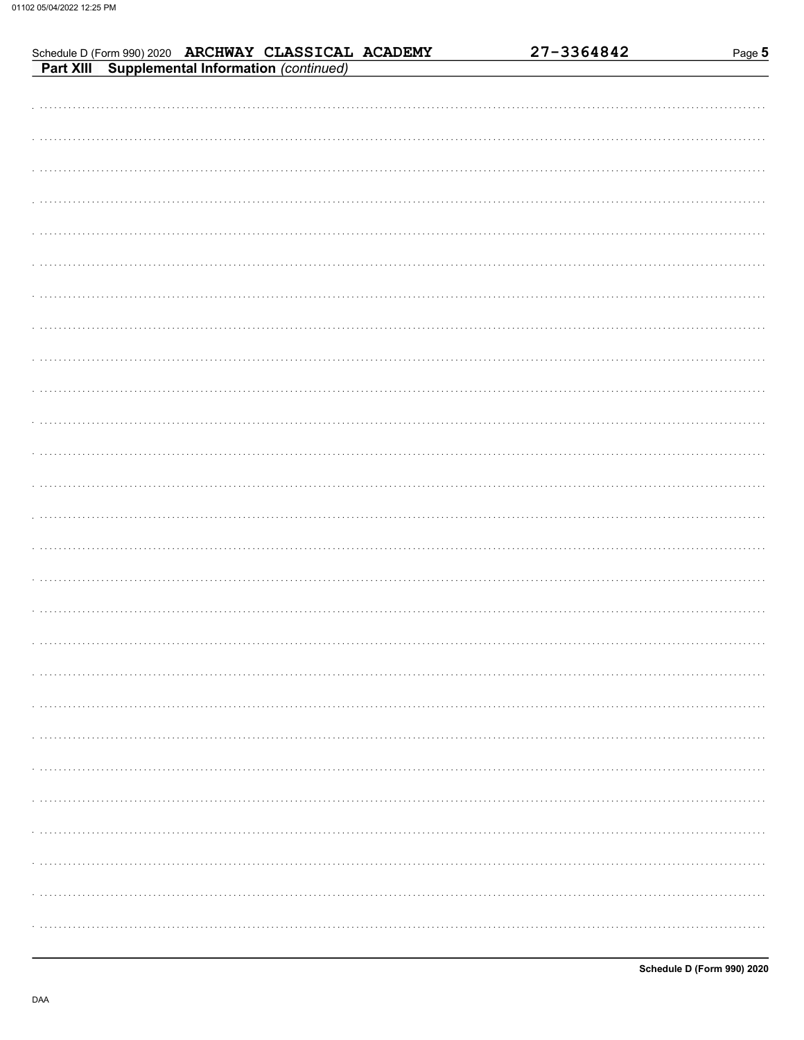| Schedule D (Form 990) 2020 ARCHWAY CLASSICAL ACADEMY<br>Part XIII Supplemental Information (continued) | 27-3364842 | Page 5 |
|--------------------------------------------------------------------------------------------------------|------------|--------|
|                                                                                                        |            |        |
|                                                                                                        |            |        |
|                                                                                                        |            |        |
|                                                                                                        |            |        |
|                                                                                                        |            |        |
|                                                                                                        |            |        |
|                                                                                                        |            |        |
|                                                                                                        |            |        |
|                                                                                                        |            |        |
|                                                                                                        |            |        |
|                                                                                                        |            |        |
|                                                                                                        |            |        |
|                                                                                                        |            |        |
|                                                                                                        |            |        |
|                                                                                                        |            |        |
|                                                                                                        |            |        |
|                                                                                                        |            |        |
|                                                                                                        |            |        |
|                                                                                                        |            |        |
|                                                                                                        |            |        |
|                                                                                                        |            |        |
|                                                                                                        |            |        |
|                                                                                                        |            |        |
|                                                                                                        |            |        |
|                                                                                                        |            |        |
|                                                                                                        |            |        |
|                                                                                                        |            |        |
|                                                                                                        |            |        |
|                                                                                                        |            |        |
|                                                                                                        |            |        |
|                                                                                                        |            |        |
|                                                                                                        |            |        |
|                                                                                                        |            |        |
|                                                                                                        |            |        |
|                                                                                                        |            |        |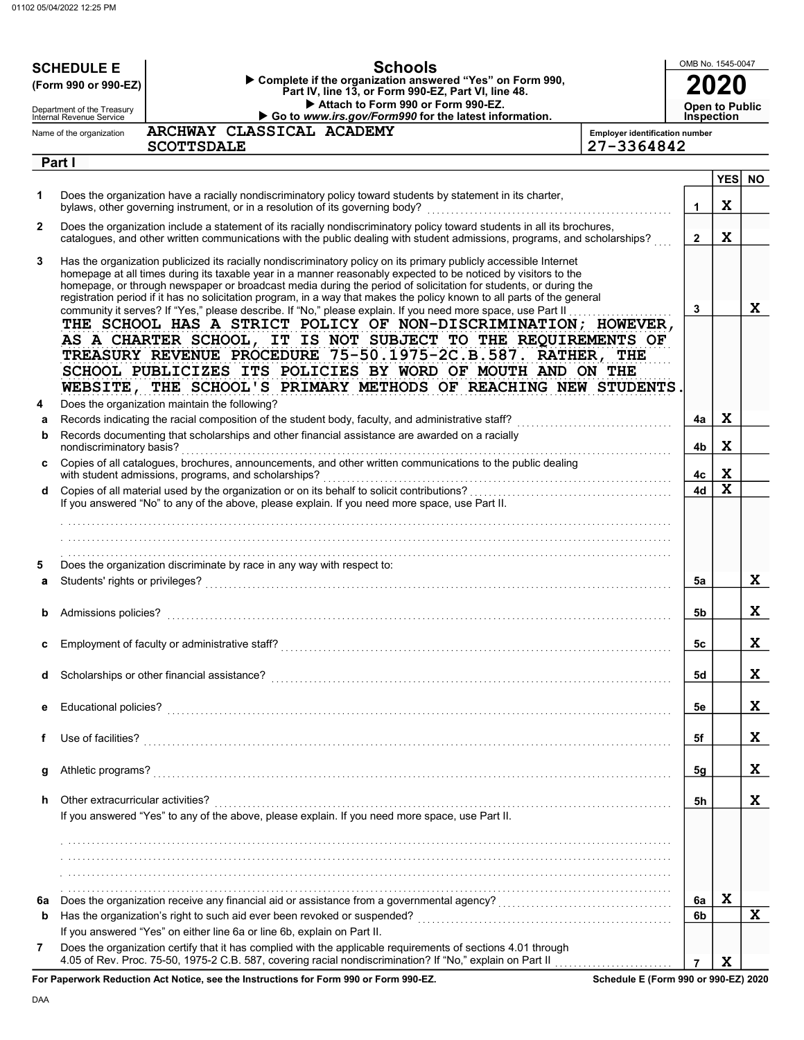|              | <b>Schools</b><br><b>SCHEDULE E</b><br>Complete if the organization answered "Yes" on Form 990,<br>(Form 990 or 990-EZ)<br>Part IV, line 13, or Form 990-EZ, Part VI, line 48.<br>Attach to Form 990 or Form 990-EZ. |                                                                                                                                                                                                                                                                                                                                                                                                                                                                                                                                                                                                                                                                                                                                                                                                                                                                                                                                     |                                                     |                   | OMB No. 1545-0047<br><b>Open to Public</b> |           |  |  |
|--------------|----------------------------------------------------------------------------------------------------------------------------------------------------------------------------------------------------------------------|-------------------------------------------------------------------------------------------------------------------------------------------------------------------------------------------------------------------------------------------------------------------------------------------------------------------------------------------------------------------------------------------------------------------------------------------------------------------------------------------------------------------------------------------------------------------------------------------------------------------------------------------------------------------------------------------------------------------------------------------------------------------------------------------------------------------------------------------------------------------------------------------------------------------------------------|-----------------------------------------------------|-------------------|--------------------------------------------|-----------|--|--|
|              | Department of the Treasury<br>Internal Revenue Service                                                                                                                                                               | Go to www.irs.gov/Form990 for the latest information.                                                                                                                                                                                                                                                                                                                                                                                                                                                                                                                                                                                                                                                                                                                                                                                                                                                                               |                                                     | <b>Inspection</b> |                                            |           |  |  |
|              | Name of the organization                                                                                                                                                                                             | ARCHWAY CLASSICAL ACADEMY<br><b>SCOTTSDALE</b>                                                                                                                                                                                                                                                                                                                                                                                                                                                                                                                                                                                                                                                                                                                                                                                                                                                                                      | <b>Employer identification number</b><br>27-3364842 |                   |                                            |           |  |  |
|              | Part I                                                                                                                                                                                                               |                                                                                                                                                                                                                                                                                                                                                                                                                                                                                                                                                                                                                                                                                                                                                                                                                                                                                                                                     |                                                     |                   |                                            |           |  |  |
|              |                                                                                                                                                                                                                      |                                                                                                                                                                                                                                                                                                                                                                                                                                                                                                                                                                                                                                                                                                                                                                                                                                                                                                                                     |                                                     |                   | <b>YES</b>                                 | <b>NO</b> |  |  |
| 1            |                                                                                                                                                                                                                      | Does the organization have a racially nondiscriminatory policy toward students by statement in its charter,                                                                                                                                                                                                                                                                                                                                                                                                                                                                                                                                                                                                                                                                                                                                                                                                                         |                                                     | $\mathbf{1}$      | X                                          |           |  |  |
| $\mathbf{2}$ |                                                                                                                                                                                                                      | Does the organization include a statement of its racially nondiscriminatory policy toward students in all its brochures,<br>catalogues, and other written communications with the public dealing with student admissions, programs, and scholarships?                                                                                                                                                                                                                                                                                                                                                                                                                                                                                                                                                                                                                                                                               |                                                     | $\mathbf{2}$      | $\mathbf x$                                |           |  |  |
| 3            |                                                                                                                                                                                                                      | Has the organization publicized its racially nondiscriminatory policy on its primary publicly accessible Internet<br>homepage at all times during its taxable year in a manner reasonably expected to be noticed by visitors to the<br>homepage, or through newspaper or broadcast media during the period of solicitation for students, or during the<br>registration period if it has no solicitation program, in a way that makes the policy known to all parts of the general<br>community it serves? If "Yes," please describe. If "No," please explain. If you need more space, use Part II<br>THE SCHOOL HAS A STRICT POLICY OF NON-DISCRIMINATION; HOWEVER,<br>AS A CHARTER SCHOOL, IT IS NOT SUBJECT TO THE REQUIREMENTS OF<br>TREASURY REVENUE PROCEDURE 75-50.1975-2C.B.587. RATHER, THE<br>SCHOOL PUBLICIZES ITS POLICIES BY WORD OF MOUTH AND ON THE<br>WEBSITE, THE SCHOOL'S PRIMARY METHODS OF REACHING NEW STUDENTS |                                                     | $\mathbf{3}$      |                                            | X         |  |  |
| 4            |                                                                                                                                                                                                                      | Does the organization maintain the following?                                                                                                                                                                                                                                                                                                                                                                                                                                                                                                                                                                                                                                                                                                                                                                                                                                                                                       |                                                     |                   |                                            |           |  |  |
| a            |                                                                                                                                                                                                                      |                                                                                                                                                                                                                                                                                                                                                                                                                                                                                                                                                                                                                                                                                                                                                                                                                                                                                                                                     |                                                     | 4a                | X                                          |           |  |  |
| b            |                                                                                                                                                                                                                      | Records documenting that scholarships and other financial assistance are awarded on a racially                                                                                                                                                                                                                                                                                                                                                                                                                                                                                                                                                                                                                                                                                                                                                                                                                                      |                                                     | 4b                | X                                          |           |  |  |
|              | nondiscriminatory basis?                                                                                                                                                                                             | Copies of all catalogues, brochures, announcements, and other written communications to the public dealing<br>with student admissions, programs, and scholarships?                                                                                                                                                                                                                                                                                                                                                                                                                                                                                                                                                                                                                                                                                                                                                                  |                                                     | 4с                | X                                          |           |  |  |
| d            |                                                                                                                                                                                                                      | If you answered "No" to any of the above, please explain. If you need more space, use Part II.                                                                                                                                                                                                                                                                                                                                                                                                                                                                                                                                                                                                                                                                                                                                                                                                                                      |                                                     | 4d                | X                                          |           |  |  |
| 5<br>a       | Students' rights or privileges?                                                                                                                                                                                      | Does the organization discriminate by race in any way with respect to:                                                                                                                                                                                                                                                                                                                                                                                                                                                                                                                                                                                                                                                                                                                                                                                                                                                              |                                                     | 5a                |                                            | X         |  |  |
| b            | Admissions policies?                                                                                                                                                                                                 |                                                                                                                                                                                                                                                                                                                                                                                                                                                                                                                                                                                                                                                                                                                                                                                                                                                                                                                                     |                                                     | 5b                |                                            | X.        |  |  |
|              |                                                                                                                                                                                                                      |                                                                                                                                                                                                                                                                                                                                                                                                                                                                                                                                                                                                                                                                                                                                                                                                                                                                                                                                     |                                                     | эc                |                                            | A         |  |  |
| d            |                                                                                                                                                                                                                      |                                                                                                                                                                                                                                                                                                                                                                                                                                                                                                                                                                                                                                                                                                                                                                                                                                                                                                                                     |                                                     | 5d                |                                            | X         |  |  |
| е            |                                                                                                                                                                                                                      |                                                                                                                                                                                                                                                                                                                                                                                                                                                                                                                                                                                                                                                                                                                                                                                                                                                                                                                                     |                                                     | <b>5e</b>         |                                            | X         |  |  |
| f            | Use of facilities?                                                                                                                                                                                                   |                                                                                                                                                                                                                                                                                                                                                                                                                                                                                                                                                                                                                                                                                                                                                                                                                                                                                                                                     |                                                     | 5f                |                                            | X         |  |  |
| g            | Athletic programs?                                                                                                                                                                                                   |                                                                                                                                                                                                                                                                                                                                                                                                                                                                                                                                                                                                                                                                                                                                                                                                                                                                                                                                     |                                                     | 5g                |                                            | X         |  |  |
| h            | Other extracurricular activities?                                                                                                                                                                                    | If you answered "Yes" to any of the above, please explain. If you need more space, use Part II.                                                                                                                                                                                                                                                                                                                                                                                                                                                                                                                                                                                                                                                                                                                                                                                                                                     |                                                     | 5h                |                                            | X         |  |  |
|              |                                                                                                                                                                                                                      |                                                                                                                                                                                                                                                                                                                                                                                                                                                                                                                                                                                                                                                                                                                                                                                                                                                                                                                                     |                                                     |                   |                                            |           |  |  |
| 6a           |                                                                                                                                                                                                                      |                                                                                                                                                                                                                                                                                                                                                                                                                                                                                                                                                                                                                                                                                                                                                                                                                                                                                                                                     |                                                     | 6a                | X                                          |           |  |  |
| b            |                                                                                                                                                                                                                      |                                                                                                                                                                                                                                                                                                                                                                                                                                                                                                                                                                                                                                                                                                                                                                                                                                                                                                                                     |                                                     | 6 <sub>b</sub>    |                                            | X         |  |  |
|              |                                                                                                                                                                                                                      | If you answered "Yes" on either line 6a or line 6b, explain on Part II.                                                                                                                                                                                                                                                                                                                                                                                                                                                                                                                                                                                                                                                                                                                                                                                                                                                             |                                                     |                   |                                            |           |  |  |
| 7            |                                                                                                                                                                                                                      | Does the organization certify that it has complied with the applicable requirements of sections 4.01 through<br>4.05 of Rev. Proc. 75-50, 1975-2 C.B. 587, covering racial nondiscrimination? If "No," explain on Part II                                                                                                                                                                                                                                                                                                                                                                                                                                                                                                                                                                                                                                                                                                           |                                                     | $\overline{7}$    | X                                          |           |  |  |
|              |                                                                                                                                                                                                                      | For Paperwork Reduction Act Notice, see the Instructions for Form 990 or Form 990-EZ.                                                                                                                                                                                                                                                                                                                                                                                                                                                                                                                                                                                                                                                                                                                                                                                                                                               | Schedule E (Form 990 or 990-EZ) 2020                |                   |                                            |           |  |  |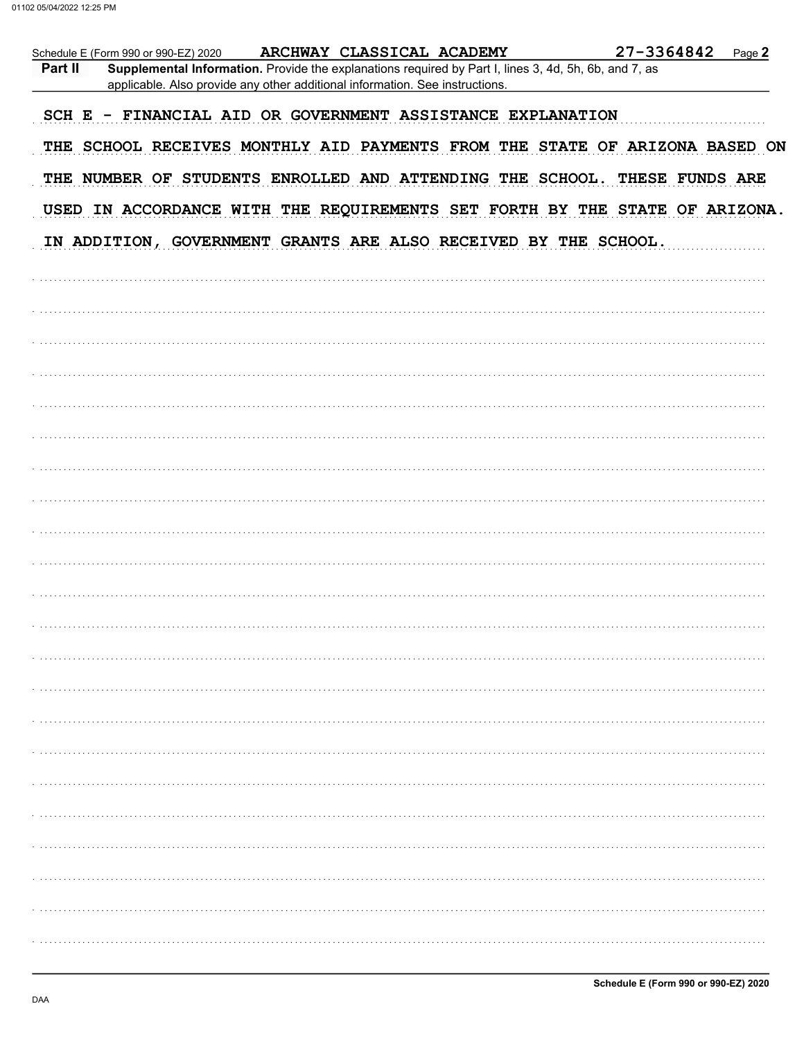| Schedule E (Form 990 or 990-EZ) 2020                                                                                                                                                             | ARCHWAY CLASSICAL ACADEMY | 27-3364842<br>Page 2 |
|--------------------------------------------------------------------------------------------------------------------------------------------------------------------------------------------------|---------------------------|----------------------|
| Part II<br>Supplemental Information. Provide the explanations required by Part I, lines 3, 4d, 5h, 6b, and 7, as<br>applicable. Also provide any other additional information. See instructions. |                           |                      |
| SCH E - FINANCIAL AID OR GOVERNMENT ASSISTANCE EXPLANATION                                                                                                                                       |                           |                      |
| THE SCHOOL RECEIVES MONTHLY AID PAYMENTS FROM THE STATE OF ARIZONA BASED ON                                                                                                                      |                           |                      |
| THE NUMBER OF STUDENTS ENROLLED AND ATTENDING THE SCHOOL. THESE FUNDS ARE                                                                                                                        |                           |                      |
| USED IN ACCORDANCE WITH THE REQUIREMENTS SET FORTH BY THE STATE OF ARIZONA.                                                                                                                      |                           |                      |
| IN ADDITION, GOVERNMENT GRANTS ARE ALSO RECEIVED BY THE SCHOOL.                                                                                                                                  |                           |                      |
|                                                                                                                                                                                                  |                           |                      |
|                                                                                                                                                                                                  |                           |                      |
|                                                                                                                                                                                                  |                           |                      |
|                                                                                                                                                                                                  |                           |                      |
|                                                                                                                                                                                                  |                           |                      |
|                                                                                                                                                                                                  |                           |                      |
|                                                                                                                                                                                                  |                           |                      |
|                                                                                                                                                                                                  |                           |                      |
|                                                                                                                                                                                                  |                           |                      |
|                                                                                                                                                                                                  |                           |                      |
|                                                                                                                                                                                                  |                           |                      |
|                                                                                                                                                                                                  |                           |                      |
|                                                                                                                                                                                                  |                           |                      |
|                                                                                                                                                                                                  |                           |                      |
|                                                                                                                                                                                                  |                           |                      |
|                                                                                                                                                                                                  |                           |                      |
|                                                                                                                                                                                                  |                           |                      |
|                                                                                                                                                                                                  |                           |                      |
|                                                                                                                                                                                                  |                           |                      |
|                                                                                                                                                                                                  |                           |                      |
|                                                                                                                                                                                                  |                           |                      |
|                                                                                                                                                                                                  |                           |                      |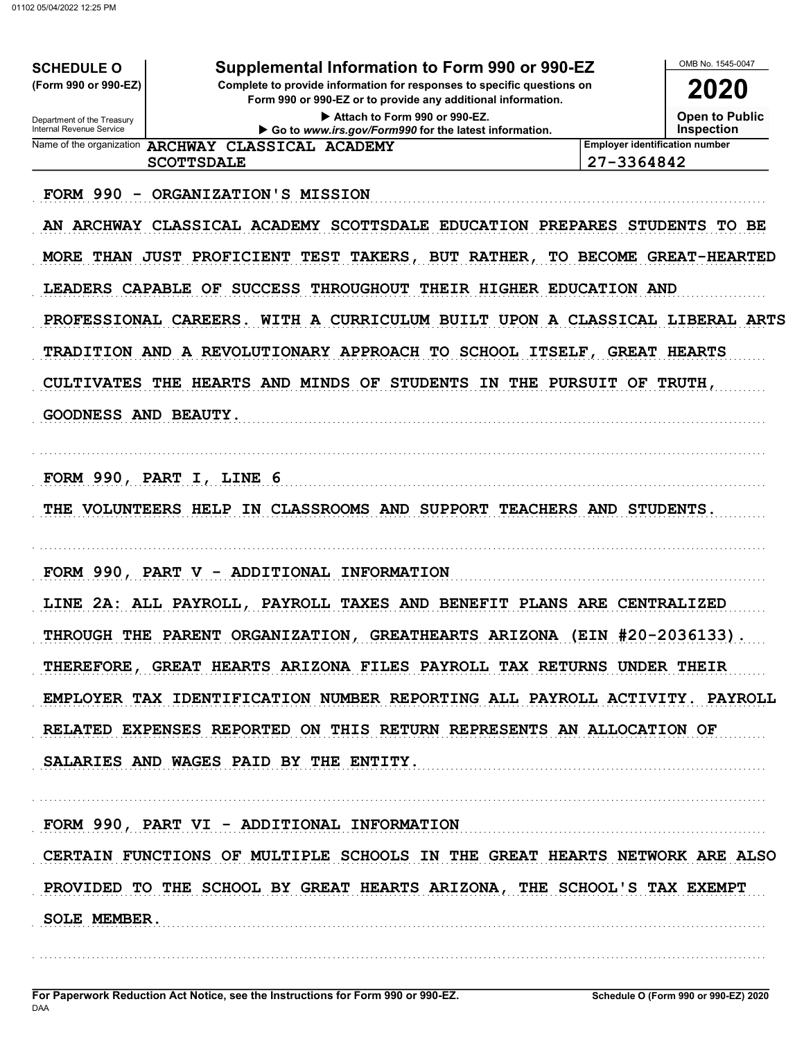| Supplemental Information to Form 990 or 990-EZ<br><b>SCHEDULE O</b><br>(Form 990 or 990-EZ)<br>Complete to provide information for responses to specific questions on<br>Form 990 or 990-EZ or to provide any additional information.<br>Attach to Form 990 or 990-EZ.<br>Department of the Treasury<br>Internal Revenue Service<br>Go to www.irs.gov/Form990 for the latest information.<br>Name of the organization ARCHWAY CLASSICAL ACADEMY<br><b>SCOTTSDALE</b><br>FORM 990<br>ORGANIZATION'S MISSION<br>$\overline{\phantom{a}}$<br>AN ARCHWAY CLASSICAL ACADEMY SCOTTSDALE EDUCATION PREPARES STUDENTS<br>MORE THAN JUST PROFICIENT TEST<br>TAKERS, BUT RATHER,<br>LEADERS CAPABLE OF SUCCESS<br><b>THROUGHOUT</b><br>THEIR HIGHER EDUCATION AND<br>PROFESSIONAL CAREERS. WITH A CURRICULUM BUILT UPON A CLASSICAL LIBERAL ARTS | <b>2020</b><br><b>Open to Public</b><br><b>Inspection</b><br><b>Employer identification number</b><br>27-3364842<br>TO BE<br>TO BECOME GREAT-HEARTED |
|----------------------------------------------------------------------------------------------------------------------------------------------------------------------------------------------------------------------------------------------------------------------------------------------------------------------------------------------------------------------------------------------------------------------------------------------------------------------------------------------------------------------------------------------------------------------------------------------------------------------------------------------------------------------------------------------------------------------------------------------------------------------------------------------------------------------------------------|------------------------------------------------------------------------------------------------------------------------------------------------------|
|                                                                                                                                                                                                                                                                                                                                                                                                                                                                                                                                                                                                                                                                                                                                                                                                                                        |                                                                                                                                                      |
|                                                                                                                                                                                                                                                                                                                                                                                                                                                                                                                                                                                                                                                                                                                                                                                                                                        |                                                                                                                                                      |
|                                                                                                                                                                                                                                                                                                                                                                                                                                                                                                                                                                                                                                                                                                                                                                                                                                        |                                                                                                                                                      |
|                                                                                                                                                                                                                                                                                                                                                                                                                                                                                                                                                                                                                                                                                                                                                                                                                                        |                                                                                                                                                      |
| TRADITION AND A REVOLUTIONARY APPROACH TO SCHOOL ITSELF, GREAT<br>HEARTS AND MINDS OF STUDENTS IN THE PURSUIT OF TRUTH,<br><b>CULTIVATES THE</b><br><b>GOODNESS AND BEAUTY.</b><br>FORM 990, PART I, LINE 6                                                                                                                                                                                                                                                                                                                                                                                                                                                                                                                                                                                                                            | <b>HEARTS</b>                                                                                                                                        |
| FORM 990,<br>PART V - ADDITIONAL INFORMATION<br>LINE 2A: ALL PAYROLL, PAYROLL TAXES AND BENEFIT PLANS ARE CENTRALIZED<br>THROUGH THE PARENT ORGANIZATION, GREATHEARTS ARIZONA (EIN #20-2036133).<br>THEREFORE, GREAT HEARTS ARIZONA FILES PAYROLL TAX RETURNS UNDER THEIR<br>EMPLOYER TAX IDENTIFICATION NUMBER REPORTING ALL PAYROLL ACTIVITY. PAYROLL<br>RELATED EXPENSES REPORTED ON THIS RETURN REPRESENTS AN ALLOCATION OF<br>SALARIES AND WAGES PAID BY THE ENTITY.<br>FORM 990, PART VI - ADDITIONAL INFORMATION                                                                                                                                                                                                                                                                                                                |                                                                                                                                                      |
| CERTAIN FUNCTIONS OF MULTIPLE SCHOOLS IN THE GREAT HEARTS NETWORK ARE ALSO                                                                                                                                                                                                                                                                                                                                                                                                                                                                                                                                                                                                                                                                                                                                                             |                                                                                                                                                      |
|                                                                                                                                                                                                                                                                                                                                                                                                                                                                                                                                                                                                                                                                                                                                                                                                                                        |                                                                                                                                                      |
|                                                                                                                                                                                                                                                                                                                                                                                                                                                                                                                                                                                                                                                                                                                                                                                                                                        |                                                                                                                                                      |
| PROVIDED TO THE SCHOOL BY GREAT HEARTS ARIZONA, THE SCHOOL'S TAX EXEMPT                                                                                                                                                                                                                                                                                                                                                                                                                                                                                                                                                                                                                                                                                                                                                                |                                                                                                                                                      |
| SOLE MEMBER.                                                                                                                                                                                                                                                                                                                                                                                                                                                                                                                                                                                                                                                                                                                                                                                                                           |                                                                                                                                                      |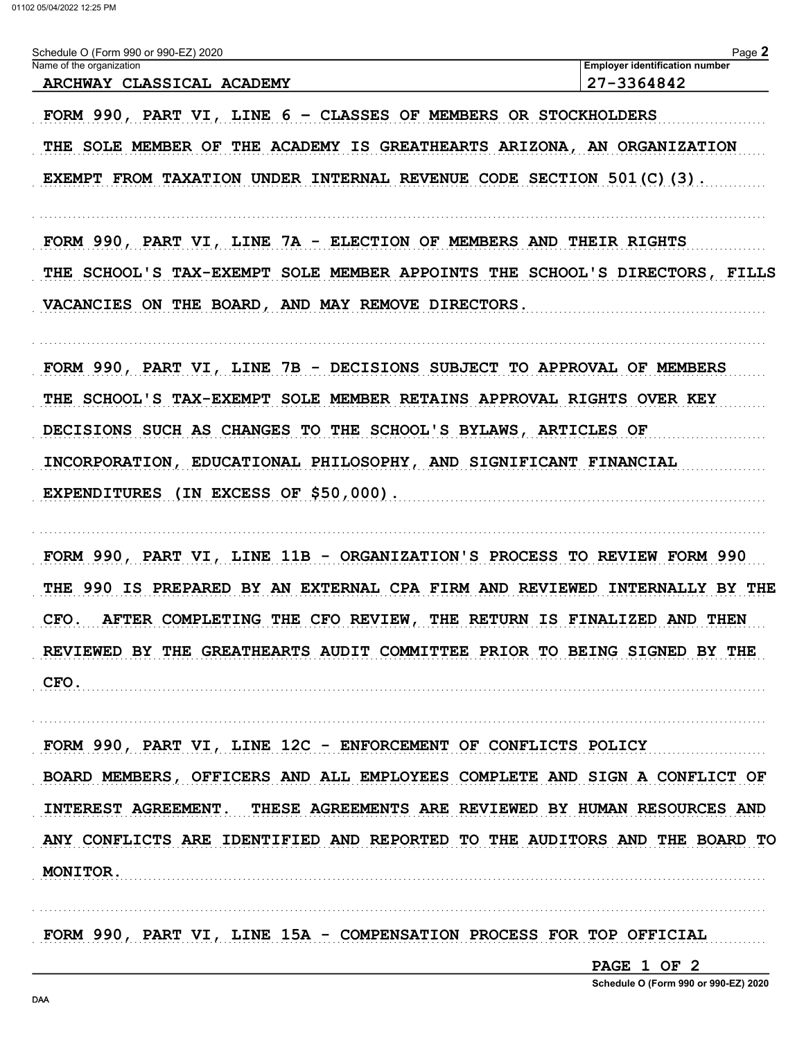$\sim$  4.1.  $\sim$  (F  $\sim$  000  $\sim$  000  $\sim$  000 000

| SCREQUIE O (FORM 990 OF 990-EZ) 2020          | Page.                                 |
|-----------------------------------------------|---------------------------------------|
| Name of the organization                      | <b>Employer identification number</b> |
| <b>ARCHWAY</b><br><b>ACADEMY</b><br>CLASSICAL | 3364842                               |

FORM 990, PART VI, LINE 6 - CLASSES OF MEMBERS OR STOCKHOLDERS THE SOLE MEMBER OF THE ACADEMY IS GREATHEARTS ARIZONA, AN ORGANIZATION EXEMPT FROM TAXATION UNDER INTERNAL REVENUE CODE SECTION 501(C)(3).

FORM 990, PART VI, LINE 7A - ELECTION OF MEMBERS AND THEIR RIGHTS THE SCHOOL'S TAX-EXEMPT SOLE MEMBER APPOINTS THE SCHOOL'S DIRECTORS, FILLS VACANCIES ON THE BOARD, AND MAY REMOVE DIRECTORS.

FORM 990, PART VI, LINE 7B - DECISIONS SUBJECT TO APPROVAL OF MEMBERS THE SCHOOL'S TAX-EXEMPT SOLE MEMBER RETAINS APPROVAL RIGHTS OVER KEY DECISIONS SUCH AS CHANGES TO THE SCHOOL'S BYLAWS, ARTICLES OF INCORPORATION, EDUCATIONAL PHILOSOPHY, AND SIGNIFICANT FINANCIAL EXPENDITURES (IN EXCESS OF \$50,000).

FORM 990, PART VI, LINE 11B - ORGANIZATION'S PROCESS TO REVIEW FORM 990 THE 990 IS PREPARED BY AN EXTERNAL CPA FIRM AND REVIEWED INTERNALLY BY THE CFO. AFTER COMPLETING THE CFO REVIEW, THE RETURN IS FINALIZED AND THEN REVIEWED BY THE GREATHEARTS AUDIT COMMITTEE PRIOR TO BEING SIGNED BY THE CFO.

FORM 990, PART VI, LINE 12C - ENFORCEMENT OF CONFLICTS POLICY BOARD MEMBERS, OFFICERS AND ALL EMPLOYEES COMPLETE AND SIGN A CONFLICT OF INTEREST AGREEMENT. THESE AGREEMENTS ARE REVIEWED BY HUMAN RESOURCES AND ANY CONFLICTS ARE IDENTIFIED AND REPORTED TO THE AUDITORS AND THE BOARD TO MONITOR.

FORM 990, PART VI, LINE 15A - COMPENSATION PROCESS FOR TOP OFFICIAL

PAGE 1 OF 2

Schedule O (Form 990 or 990-EZ) 2020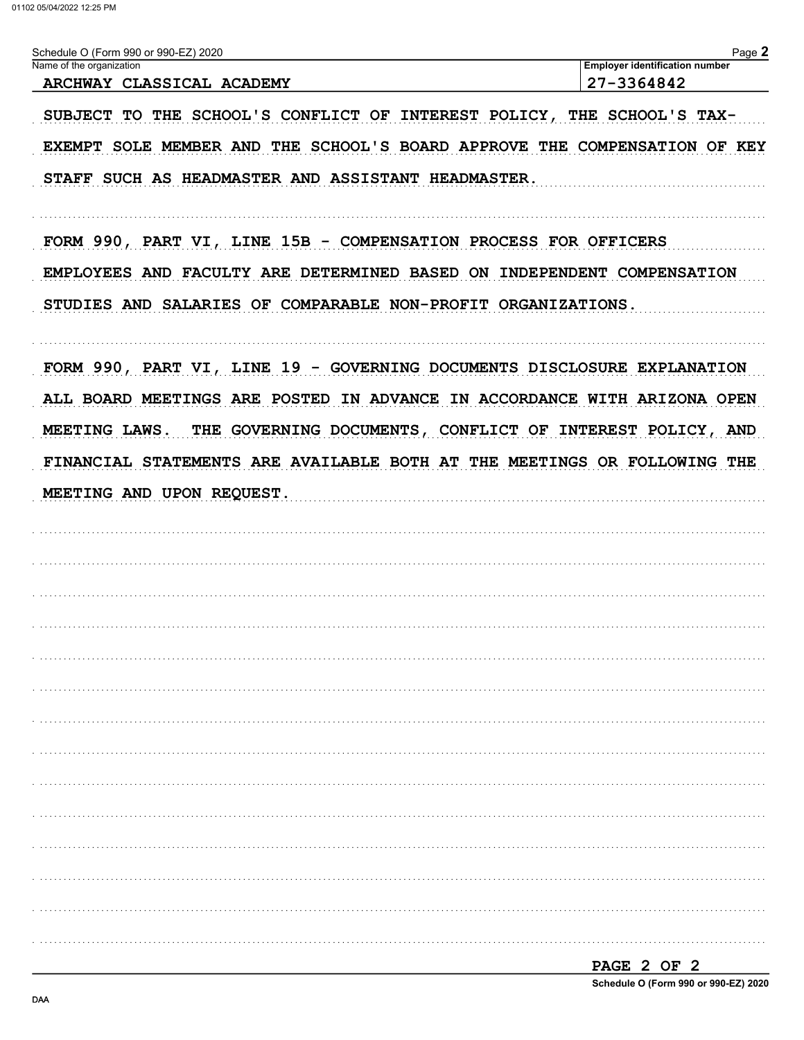| Schedule O (Form 990 or 990-EZ) 2020<br>Name of the organization          | Page 2<br><b>Employer identification number</b> |
|---------------------------------------------------------------------------|-------------------------------------------------|
| ARCHWAY CLASSICAL ACADEMY                                                 | 27-3364842                                      |
| SUBJECT TO THE SCHOOL'S CONFLICT OF INTEREST POLICY, THE SCHOOL'S TAX-    |                                                 |
| EXEMPT SOLE MEMBER AND THE SCHOOL'S BOARD APPROVE THE COMPENSATION OF KEY |                                                 |
| STAFF SUCH AS HEADMASTER AND ASSISTANT HEADMASTER.                        |                                                 |
| FORM 990, PART VI, LINE 15B - COMPENSATION PROCESS FOR OFFICERS           |                                                 |
| EMPLOYEES AND FACULTY ARE DETERMINED BASED ON INDEPENDENT COMPENSATION    |                                                 |
| STUDIES AND SALARIES OF COMPARABLE NON-PROFIT ORGANIZATIONS.              |                                                 |
| FORM 990, PART VI, LINE 19 - GOVERNING DOCUMENTS DISCLOSURE EXPLANATION   |                                                 |
| ALL BOARD MEETINGS ARE POSTED IN ADVANCE IN ACCORDANCE WITH ARIZONA OPEN  |                                                 |
| MEETING LAWS. THE GOVERNING DOCUMENTS, CONFLICT OF INTEREST POLICY, AND   |                                                 |
| FINANCIAL STATEMENTS ARE AVAILABLE BOTH AT THE MEETINGS OR FOLLOWING THE  |                                                 |
| MEETING AND UPON REQUEST.                                                 |                                                 |
|                                                                           |                                                 |
|                                                                           |                                                 |
|                                                                           |                                                 |
|                                                                           |                                                 |
|                                                                           |                                                 |
|                                                                           |                                                 |
|                                                                           |                                                 |
|                                                                           |                                                 |
|                                                                           |                                                 |
|                                                                           |                                                 |
|                                                                           |                                                 |
|                                                                           |                                                 |
|                                                                           |                                                 |
|                                                                           |                                                 |
|                                                                           | PAGE 2 OF 2                                     |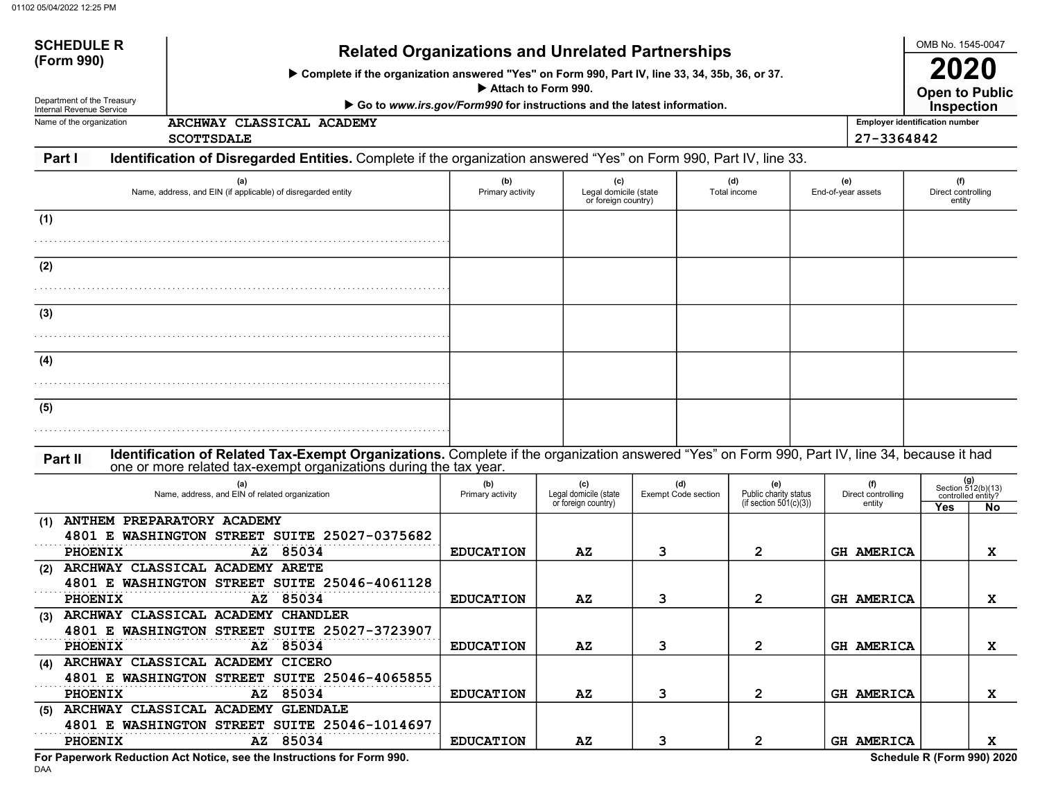| <b>SCHEDULE R</b><br>(Form 990)<br>Department of the Treasury<br>Internal Revenue Service | <b>Related Organizations and Unrelated Partnerships</b><br>▶ Complete if the organization answered "Yes" on Form 990, Part IV, line 33, 34, 35b, 36, or 37.<br>Attach to Form 990.<br>Go to www.irs.gov/Form990 for instructions and the latest information. |                         |                                                     |                                   |                                                           |                                     |                                                              |
|-------------------------------------------------------------------------------------------|--------------------------------------------------------------------------------------------------------------------------------------------------------------------------------------------------------------------------------------------------------------|-------------------------|-----------------------------------------------------|-----------------------------------|-----------------------------------------------------------|-------------------------------------|--------------------------------------------------------------|
| Name of the organization                                                                  | ARCHWAY CLASSICAL ACADEMY<br><b>SCOTTSDALE</b>                                                                                                                                                                                                               |                         |                                                     |                                   |                                                           | 27-3364842                          | <b>Employer identification number</b>                        |
| Part I                                                                                    | Identification of Disregarded Entities. Complete if the organization answered "Yes" on Form 990, Part IV, line 33.                                                                                                                                           |                         |                                                     |                                   |                                                           |                                     |                                                              |
|                                                                                           | Name, address, and EIN (if applicable) of disregarded entity                                                                                                                                                                                                 | (b)<br>Primary activity | (c)<br>Legal domicile (state<br>or foreign country) |                                   | (d)<br>Total income                                       | (e)<br>End-of-year assets           | (f)<br>Direct controlling<br>entity                          |
| (1)                                                                                       |                                                                                                                                                                                                                                                              |                         |                                                     |                                   |                                                           |                                     |                                                              |
| (2)                                                                                       |                                                                                                                                                                                                                                                              |                         |                                                     |                                   |                                                           |                                     |                                                              |
| (3)                                                                                       |                                                                                                                                                                                                                                                              |                         |                                                     |                                   |                                                           |                                     |                                                              |
| (4)                                                                                       |                                                                                                                                                                                                                                                              |                         |                                                     |                                   |                                                           |                                     |                                                              |
| (5)                                                                                       |                                                                                                                                                                                                                                                              |                         |                                                     |                                   |                                                           |                                     |                                                              |
| Part II                                                                                   | Identification of Related Tax-Exempt Organizations. Complete if the organization answered "Yes" on Form 990, Part IV, line 34, because it had<br>one or more related tax-exempt organizations during the tax year.                                           |                         |                                                     |                                   |                                                           |                                     |                                                              |
|                                                                                           | (a)<br>Name, address, and EIN of related organization                                                                                                                                                                                                        | (b)<br>Primary activity | Legal domicile (state<br>or foreign country)        | (d)<br><b>Exempt Code section</b> | (e)<br>Public charity status<br>(if section $501(c)(3)$ ) | (f)<br>Direct controlling<br>entity | (g)<br>Section 512(b)(13)<br>controlled entity?<br>No<br>Yes |
| (1)<br><b>PHOENIX</b>                                                                     | ANTHEM PREPARATORY ACADEMY<br>4801 E WASHINGTON STREET SUITE 25027-0375682<br>AZ 85034                                                                                                                                                                       | <b>EDUCATION</b>        | $\mathbf{A} \mathbf{Z}$                             | 3                                 | $\mathbf{2}$                                              | <b>GH AMERICA</b>                   | X                                                            |
| (2)<br><b>PHOENIX</b>                                                                     | ARCHWAY CLASSICAL ACADEMY ARETE<br>4801 E WASHINGTON STREET SUITE 25046-4061128<br>AZ 85034                                                                                                                                                                  | <b>EDUCATION</b>        | AZ                                                  | 3                                 | 2                                                         | <b>GH AMERICA</b>                   | x                                                            |
| <b>PHOENIX</b>                                                                            | (3) ARCHWAY CLASSICAL ACADEMY CHANDLER<br>4801 E WASHINGTON STREET SUITE 25027-3723907<br>AZ 85034                                                                                                                                                           | <b>EDUCATION</b>        | AZ                                                  | 3                                 | $\mathbf{2}$                                              | <b>GH AMERICA</b>                   | X                                                            |
| <b>PHOENIX</b>                                                                            | (4) ARCHWAY CLASSICAL ACADEMY CICERO<br>4801 E WASHINGTON STREET SUITE 25046-4065855<br>AZ 85034                                                                                                                                                             | <b>EDUCATION</b>        | AZ                                                  | 3                                 | $\mathbf{2}$                                              | <b>GH AMERICA</b>                   | X                                                            |
| <b>PHOENIX</b>                                                                            | (5) ARCHWAY CLASSICAL ACADEMY GLENDALE<br>4801 E WASHINGTON STREET SUITE 25046-1014697<br>AZ 85034                                                                                                                                                           | <b>EDUCATION</b>        | AZ                                                  | 3                                 | 2                                                         | <b>GH AMERICA</b>                   | X.                                                           |

For Paperwork Reduction Act Notice, see the Instructions for Form 990.<br><sub>DAA</sub>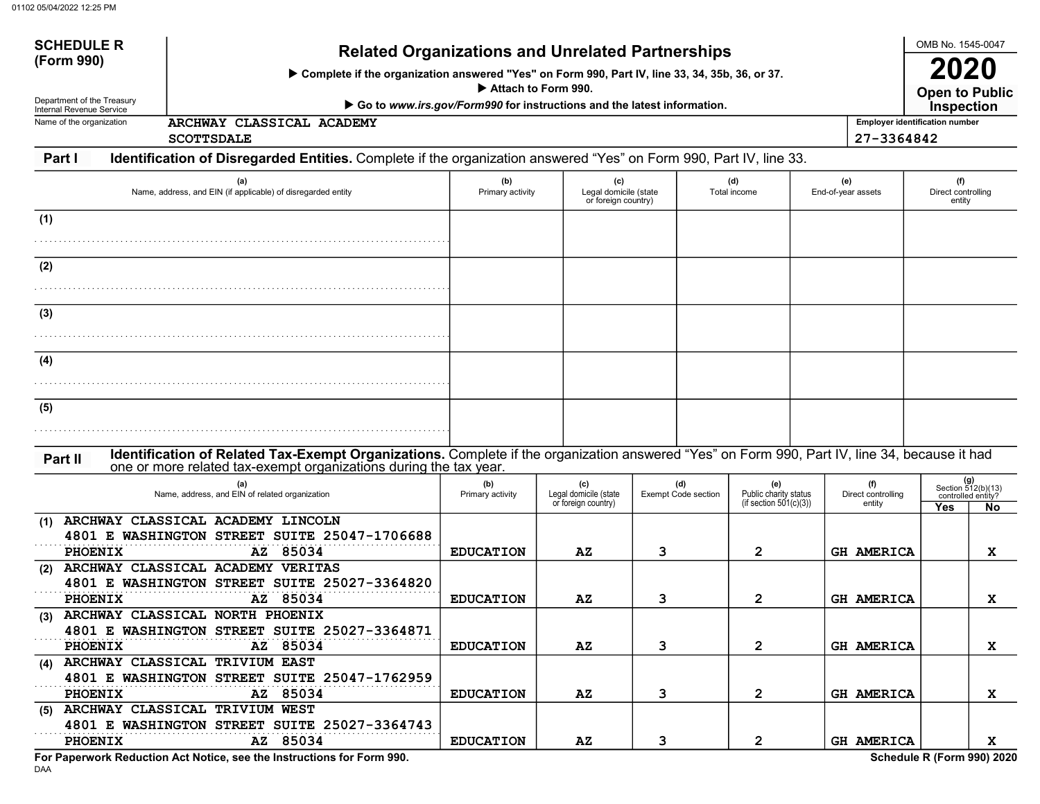| <b>SCHEDULE R</b><br>(Form 990)<br>Department of the Treasury<br>Internal Revenue Service | OMB No. 1545-0047<br><b>Related Organizations and Unrelated Partnerships</b><br>> Complete if the organization answered "Yes" on Form 990, Part IV, line 33, 34, 35b, 36, or 37.<br>Attach to Form 990.<br><b>Open to Public</b><br>Go to www.irs.gov/Form990 for instructions and the latest information. |                         |                                                     |                            |                                                           |                                     |                                                                |
|-------------------------------------------------------------------------------------------|------------------------------------------------------------------------------------------------------------------------------------------------------------------------------------------------------------------------------------------------------------------------------------------------------------|-------------------------|-----------------------------------------------------|----------------------------|-----------------------------------------------------------|-------------------------------------|----------------------------------------------------------------|
| Name of the organization                                                                  | ARCHWAY CLASSICAL ACADEMY<br><b>SCOTTSDALE</b>                                                                                                                                                                                                                                                             |                         |                                                     |                            |                                                           | 27-3364842                          | <b>Employer identification number</b>                          |
| Part I                                                                                    | Identification of Disregarded Entities. Complete if the organization answered "Yes" on Form 990, Part IV, line 33.                                                                                                                                                                                         |                         |                                                     |                            |                                                           |                                     |                                                                |
|                                                                                           | (a)<br>Name, address, and EIN (if applicable) of disregarded entity                                                                                                                                                                                                                                        | (b)<br>Primary activity | (c)<br>Legal domicile (state<br>or foreign country) |                            | (d)<br>Total income                                       | (e)<br>End-of-year assets           | (f)<br>Direct controlling<br>entity                            |
| (1)                                                                                       |                                                                                                                                                                                                                                                                                                            |                         |                                                     |                            |                                                           |                                     |                                                                |
| (2)                                                                                       |                                                                                                                                                                                                                                                                                                            |                         |                                                     |                            |                                                           |                                     |                                                                |
| (3)                                                                                       |                                                                                                                                                                                                                                                                                                            |                         |                                                     |                            |                                                           |                                     |                                                                |
| (4)                                                                                       |                                                                                                                                                                                                                                                                                                            |                         |                                                     |                            |                                                           |                                     |                                                                |
| (5)                                                                                       |                                                                                                                                                                                                                                                                                                            |                         |                                                     |                            |                                                           |                                     |                                                                |
| Part II                                                                                   | Identification of Related Tax-Exempt Organizations. Complete if the organization answered "Yes" on Form 990, Part IV, line 34, because it had<br>one or more related tax-exempt organizations during the tax year.                                                                                         |                         |                                                     |                            |                                                           |                                     |                                                                |
|                                                                                           | (a)<br>Name, address, and EIN of related organization                                                                                                                                                                                                                                                      | (b)<br>Primary activity | Legal domicile (state<br>or foreign country)        | <b>Exempt Code section</b> | (e)<br>Public charity status<br>(if section $501(c)(3)$ ) | (f)<br>Direct controlling<br>entity | $(g)$<br>Section 512(b)(13)<br>controlled entity?<br>Yes<br>No |
| (1)<br><b>PHOENIX</b>                                                                     | ARCHWAY CLASSICAL ACADEMY LINCOLN<br>4801 E WASHINGTON STREET SUITE 25047-1706688<br>85034<br>AZ                                                                                                                                                                                                           | <b>EDUCATION</b>        | AZ                                                  | 3                          | 2                                                         | <b>GH AMERICA</b>                   | X                                                              |
| (2)<br><b>PHOENIX</b>                                                                     | ARCHWAY CLASSICAL ACADEMY VERITAS<br>4801 E WASHINGTON STREET SUITE 25027-3364820<br>AZ 85034                                                                                                                                                                                                              | <b>EDUCATION</b>        | AZ                                                  | 3                          | 2                                                         | <b>GH AMERICA</b>                   | x                                                              |
| <b>PHOENIX</b>                                                                            | (3) ARCHWAY CLASSICAL NORTH PHOENIX<br>4801 E WASHINGTON STREET SUITE 25027-3364871<br>AZ 85034                                                                                                                                                                                                            | <b>EDUCATION</b>        | AZ                                                  | 3                          | $\mathbf{2}$                                              | <b>GH AMERICA</b>                   | X                                                              |
| <b>PHOENIX</b>                                                                            | (4) ARCHWAY CLASSICAL TRIVIUM EAST<br>4801 E WASHINGTON STREET SUITE 25047-1762959<br>AZ 85034                                                                                                                                                                                                             | <b>EDUCATION</b>        | AZ                                                  | 3                          | $\mathbf{2}$                                              | <b>GH AMERICA</b>                   | X                                                              |
| <b>PHOENIX</b>                                                                            | (5) ARCHWAY CLASSICAL TRIVIUM WEST<br>4801 E WASHINGTON STREET SUITE 25027-3364743<br>AZ 85034                                                                                                                                                                                                             | <b>EDUCATION</b>        | AZ                                                  | 3                          | $\mathbf{2}$                                              | <b>GH AMERICA</b>                   | X                                                              |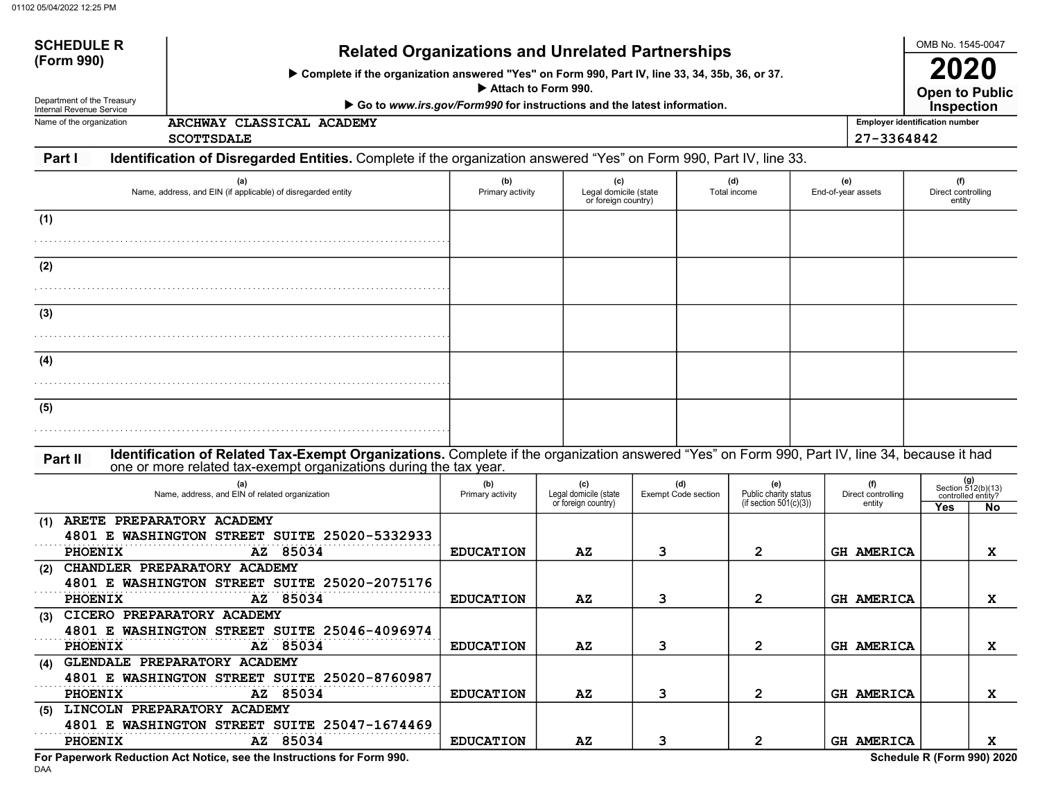| <b>SCHEDULE R</b><br>(Form 990)<br>Department of the Treasury<br>Internal Revenue Service | <b>Related Organizations and Unrelated Partnerships</b><br>> Complete if the organization answered "Yes" on Form 990, Part IV, line 33, 34, 35b, 36, or 37.<br>Attach to Form 990.<br>Go to www.irs.gov/Form990 for instructions and the latest information. |                         |                                                     |                                   |                                                           |                                     |                                                                |
|-------------------------------------------------------------------------------------------|--------------------------------------------------------------------------------------------------------------------------------------------------------------------------------------------------------------------------------------------------------------|-------------------------|-----------------------------------------------------|-----------------------------------|-----------------------------------------------------------|-------------------------------------|----------------------------------------------------------------|
| Name of the organization                                                                  | ARCHWAY CLASSICAL ACADEMY<br><b>SCOTTSDALE</b>                                                                                                                                                                                                               |                         |                                                     |                                   |                                                           | 27-3364842                          | <b>Employer identification number</b>                          |
| Part I                                                                                    | Identification of Disregarded Entities. Complete if the organization answered "Yes" on Form 990, Part IV, line 33.                                                                                                                                           |                         |                                                     |                                   |                                                           |                                     |                                                                |
|                                                                                           | Name, address, and EIN (if applicable) of disregarded entity                                                                                                                                                                                                 | (b)<br>Primary activity | (c)<br>Legal domicile (state<br>or foreign country) |                                   | (d)<br>Total income                                       | (e)<br>End-of-year assets           | (f)<br>Direct controlling<br>entity                            |
| (1)                                                                                       |                                                                                                                                                                                                                                                              |                         |                                                     |                                   |                                                           |                                     |                                                                |
| (2)                                                                                       |                                                                                                                                                                                                                                                              |                         |                                                     |                                   |                                                           |                                     |                                                                |
| (3)                                                                                       |                                                                                                                                                                                                                                                              |                         |                                                     |                                   |                                                           |                                     |                                                                |
| (4)                                                                                       |                                                                                                                                                                                                                                                              |                         |                                                     |                                   |                                                           |                                     |                                                                |
| (5)                                                                                       |                                                                                                                                                                                                                                                              |                         |                                                     |                                   |                                                           |                                     |                                                                |
| Part II                                                                                   | Identification of Related Tax-Exempt Organizations. Complete if the organization answered "Yes" on Form 990, Part IV, line 34, because it had<br>one or more related tax-exempt organizations during the tax year.                                           |                         |                                                     |                                   |                                                           |                                     |                                                                |
|                                                                                           | (a)<br>Name, address, and EIN of related organization                                                                                                                                                                                                        | (b)<br>Primary activity | Legal domicile (state<br>or foreign country)        | (d)<br><b>Exempt Code section</b> | (e)<br>Public charity status<br>(if section $501(c)(3)$ ) | (f)<br>Direct controlling<br>entity | $(g)$<br>Section 512(b)(13)<br>controlled entity?<br>No<br>Yes |
| (1)<br><b>PHOENIX</b>                                                                     | ARETE PREPARATORY ACADEMY<br>4801 E WASHINGTON STREET SUITE 25020-5332933<br>AZ 85034                                                                                                                                                                        | <b>EDUCATION</b>        | ΑZ                                                  | 3                                 | $\mathbf{2}$                                              | <b>GH AMERICA</b>                   | X                                                              |
| (2)<br><b>PHOENIX</b>                                                                     | CHANDLER PREPARATORY ACADEMY<br>4801 E WASHINGTON STREET SUITE 25020-2075176<br>AZ 85034                                                                                                                                                                     | <b>EDUCATION</b>        | AZ                                                  | 3                                 | $\mathbf{2}$                                              | GH AMERICA                          | x                                                              |
| <b>PHOENIX</b>                                                                            | (3) CICERO PREPARATORY ACADEMY<br>4801 E WASHINGTON STREET SUITE 25046-4096974<br>AZ 85034                                                                                                                                                                   | <b>EDUCATION</b>        | AZ                                                  | 3                                 | $\mathbf{2}$                                              | <b>GH AMERICA</b>                   | X                                                              |
| <b>PHOENIX</b>                                                                            | (4) GLENDALE PREPARATORY ACADEMY<br>4801 E WASHINGTON STREET SUITE 25020-8760987<br>AZ 85034                                                                                                                                                                 | <b>EDUCATION</b>        | AZ                                                  | 3                                 | $\mathbf{2}$                                              | <b>GH AMERICA</b>                   | X                                                              |
| <b>PHOENIX</b>                                                                            | (5) LINCOLN PREPARATORY ACADEMY<br>4801 E WASHINGTON STREET SUITE 25047-1674469<br>AZ 85034                                                                                                                                                                  | <b>EDUCATION</b>        | AZ                                                  | 3                                 | 2                                                         | <b>GH AMERICA</b>                   | X                                                              |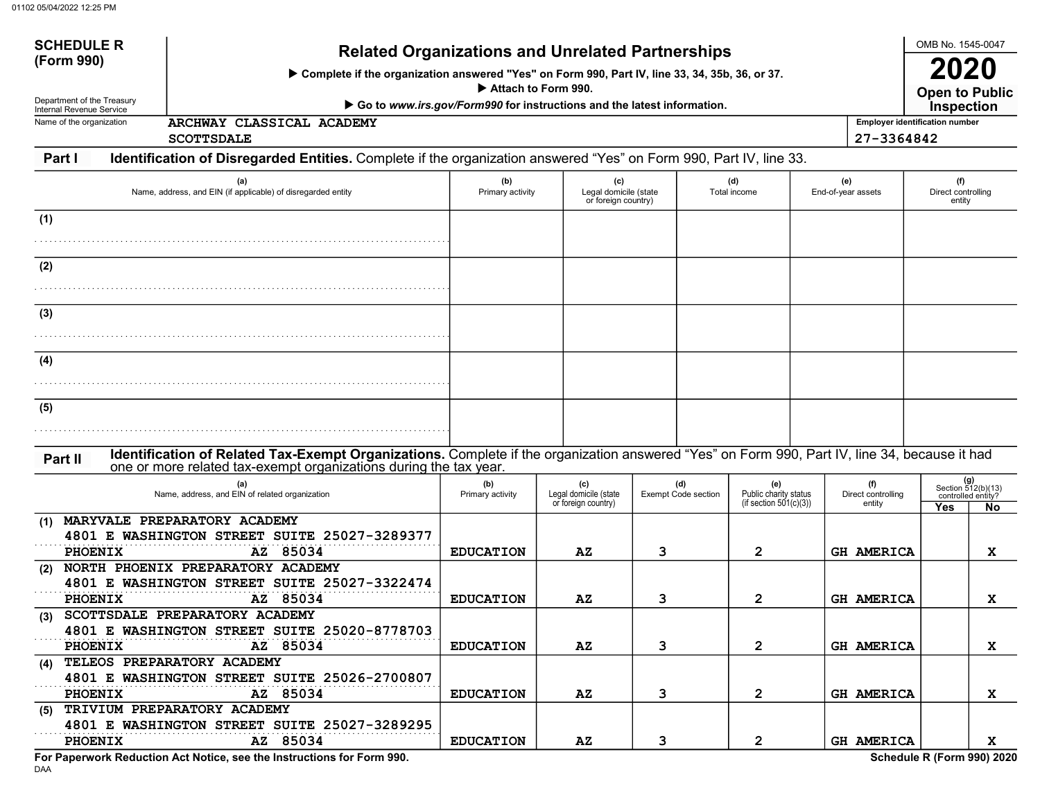| <b>SCHEDULE R</b><br>(Form 990)<br>Department of the Treasury<br>Internal Revenue Service | OMB No. 1545-0047<br><b>Related Organizations and Unrelated Partnerships</b><br>> Complete if the organization answered "Yes" on Form 990, Part IV, line 33, 34, 35b, 36, or 37.<br>Attach to Form 990.<br><b>Open to Public</b><br>Go to www.irs.gov/Form990 for instructions and the latest information. |                         |                                                     |                            |                                                           |                                     |                                                                |
|-------------------------------------------------------------------------------------------|------------------------------------------------------------------------------------------------------------------------------------------------------------------------------------------------------------------------------------------------------------------------------------------------------------|-------------------------|-----------------------------------------------------|----------------------------|-----------------------------------------------------------|-------------------------------------|----------------------------------------------------------------|
| Name of the organization                                                                  | ARCHWAY CLASSICAL ACADEMY<br><b>SCOTTSDALE</b>                                                                                                                                                                                                                                                             |                         |                                                     |                            |                                                           | 27-3364842                          | <b>Employer identification number</b>                          |
| Part I                                                                                    | <b>Identification of Disregarded Entities.</b> Complete if the organization answered "Yes" on Form 990, Part IV, line 33.                                                                                                                                                                                  |                         |                                                     |                            |                                                           |                                     |                                                                |
|                                                                                           | (a)<br>Name, address, and EIN (if applicable) of disregarded entity                                                                                                                                                                                                                                        | (b)<br>Primary activity | (c)<br>Legal domicile (state<br>or foreign country) |                            | (d)<br>Total income                                       | (e)<br>End-of-year assets           | (f)<br>Direct controlling<br>entity                            |
| (1)                                                                                       |                                                                                                                                                                                                                                                                                                            |                         |                                                     |                            |                                                           |                                     |                                                                |
| (2)                                                                                       |                                                                                                                                                                                                                                                                                                            |                         |                                                     |                            |                                                           |                                     |                                                                |
| (3)                                                                                       |                                                                                                                                                                                                                                                                                                            |                         |                                                     |                            |                                                           |                                     |                                                                |
| (4)                                                                                       |                                                                                                                                                                                                                                                                                                            |                         |                                                     |                            |                                                           |                                     |                                                                |
| (5)                                                                                       |                                                                                                                                                                                                                                                                                                            |                         |                                                     |                            |                                                           |                                     |                                                                |
| Part II                                                                                   | Identification of Related Tax-Exempt Organizations. Complete if the organization answered "Yes" on Form 990, Part IV, line 34, because it had<br>one or more related tax-exempt organizations during the tax year.                                                                                         |                         |                                                     |                            |                                                           |                                     |                                                                |
|                                                                                           | (a)<br>Name, address, and EIN of related organization                                                                                                                                                                                                                                                      | (b)<br>Primary activity | Legal domicile (state<br>or foreign country)        | <b>Exempt Code section</b> | (e)<br>Public charity status<br>(if section $501(c)(3)$ ) | (f)<br>Direct controlling<br>entity | $(g)$<br>Section 512(b)(13)<br>controlled entity?<br>Yes<br>No |
| (1)<br><b>PHOENIX</b>                                                                     | MARYVALE PREPARATORY ACADEMY<br>4801 E WASHINGTON STREET SUITE 25027-3289377<br>85034<br>AZ                                                                                                                                                                                                                | <b>EDUCATION</b>        | AZ                                                  | 3                          | 2                                                         | <b>GH AMERICA</b>                   | X                                                              |
| (2)<br><b>PHOENIX</b>                                                                     | NORTH PHOENIX PREPARATORY ACADEMY<br>4801 E WASHINGTON STREET SUITE 25027-3322474<br>AZ 85034                                                                                                                                                                                                              | <b>EDUCATION</b>        | AZ                                                  | 3                          | 2                                                         | <b>GH AMERICA</b>                   | x                                                              |
| <b>PHOENIX</b>                                                                            | (3) SCOTTSDALE PREPARATORY ACADEMY<br>4801 E WASHINGTON STREET SUITE 25020-8778703<br>AZ 85034                                                                                                                                                                                                             | <b>EDUCATION</b>        | AZ                                                  | 3                          | $\mathbf{2}$                                              | <b>GH AMERICA</b>                   | X                                                              |
| <b>PHOENIX</b>                                                                            | (4) TELEOS PREPARATORY ACADEMY<br>4801 E WASHINGTON STREET SUITE 25026-2700807<br>AZ 85034                                                                                                                                                                                                                 | <b>EDUCATION</b>        | AZ                                                  | 3                          | $\mathbf{2}$                                              | <b>GH AMERICA</b>                   | X                                                              |
| <b>PHOENIX</b>                                                                            | (5) TRIVIUM PREPARATORY ACADEMY<br>4801 E WASHINGTON STREET SUITE 25027-3289295<br>AZ 85034                                                                                                                                                                                                                | <b>EDUCATION</b>        | AZ                                                  | 3                          | $\mathbf{2}$                                              | <b>GH AMERICA</b>                   | X                                                              |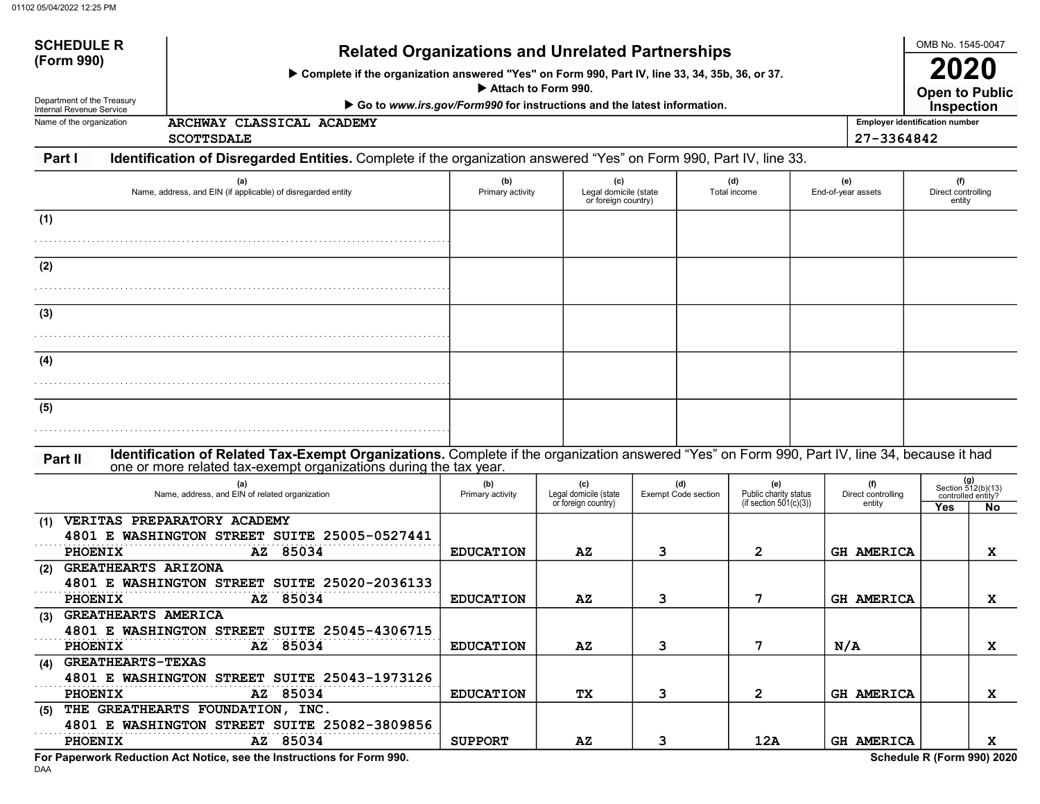| <b>SCHEDULE R</b><br>(Form 990)<br>Department of the Treasury<br>Internal Revenue Service | <b>Related Organizations and Unrelated Partnerships</b><br>▶ Complete if the organization answered "Yes" on Form 990, Part IV, line 33, 34, 35b, 36, or 37.<br>Attach to Form 990.<br>Go to www.irs.gov/Form990 for instructions and the latest information. |                         |                                                     |                                   |                                                           |                                     |                                                              |
|-------------------------------------------------------------------------------------------|--------------------------------------------------------------------------------------------------------------------------------------------------------------------------------------------------------------------------------------------------------------|-------------------------|-----------------------------------------------------|-----------------------------------|-----------------------------------------------------------|-------------------------------------|--------------------------------------------------------------|
| Name of the organization                                                                  | ARCHWAY CLASSICAL ACADEMY<br><b>SCOTTSDALE</b>                                                                                                                                                                                                               |                         |                                                     |                                   |                                                           | 27-3364842                          | <b>Employer identification number</b>                        |
| Part I                                                                                    | Identification of Disregarded Entities. Complete if the organization answered "Yes" on Form 990, Part IV, line 33.                                                                                                                                           |                         |                                                     |                                   |                                                           |                                     |                                                              |
|                                                                                           | Name, address, and EIN (if applicable) of disregarded entity                                                                                                                                                                                                 | (b)<br>Primary activity | (c)<br>Legal domicile (state<br>or foreign country) |                                   | (d)<br>Total income                                       | (e)<br>End-of-year assets           | (f)<br>Direct controlling<br>entity                          |
| (1)                                                                                       |                                                                                                                                                                                                                                                              |                         |                                                     |                                   |                                                           |                                     |                                                              |
| (2)                                                                                       |                                                                                                                                                                                                                                                              |                         |                                                     |                                   |                                                           |                                     |                                                              |
| (3)                                                                                       |                                                                                                                                                                                                                                                              |                         |                                                     |                                   |                                                           |                                     |                                                              |
| (4)                                                                                       |                                                                                                                                                                                                                                                              |                         |                                                     |                                   |                                                           |                                     |                                                              |
| (5)                                                                                       |                                                                                                                                                                                                                                                              |                         |                                                     |                                   |                                                           |                                     |                                                              |
| Part II                                                                                   | Identification of Related Tax-Exempt Organizations. Complete if the organization answered "Yes" on Form 990, Part IV, line 34, because it had<br>one or more related tax-exempt organizations during the tax year.                                           |                         |                                                     |                                   |                                                           |                                     |                                                              |
|                                                                                           | (a)<br>Name, address, and EIN of related organization                                                                                                                                                                                                        | (b)<br>Primary activity | Legal domicile (state<br>or foreign country)        | (d)<br><b>Exempt Code section</b> | (e)<br>Public charity status<br>(if section $501(c)(3)$ ) | (f)<br>Direct controlling<br>entity | (g)<br>Section 512(b)(13)<br>controlled entity?<br>No<br>Yes |
| (1)<br><b>PHOENIX</b>                                                                     | VERITAS PREPARATORY ACADEMY<br>4801 E WASHINGTON STREET SUITE 25005-0527441<br>AZ 85034                                                                                                                                                                      | <b>EDUCATION</b>        | $\mathbf{A} \mathbf{Z}$                             | 3                                 | $\mathbf{2}$                                              | <b>GH AMERICA</b>                   | X                                                            |
| <b>GREATHEARTS ARIZONA</b><br>(2)<br><b>PHOENIX</b>                                       | 4801 E WASHINGTON STREET SUITE 25020-2036133<br>AZ 85034                                                                                                                                                                                                     | <b>EDUCATION</b>        | AZ                                                  | 3                                 | 7                                                         | <b>GH AMERICA</b>                   | x                                                            |
| (3) GREATHEARTS AMERICA<br>PHOENIX                                                        | 4801 E WASHINGTON STREET SUITE 25045-4306715<br>AZ 85034                                                                                                                                                                                                     | <b>EDUCATION</b>        | AZ                                                  | 3                                 | 7                                                         | N/A                                 | X                                                            |
| (4) GREATHEARTS-TEXAS<br><b>PHOENIX</b>                                                   | 4801 E WASHINGTON STREET SUITE 25043-1973126<br>AZ 85034                                                                                                                                                                                                     | <b>EDUCATION</b>        | ТX                                                  | 3                                 | $\mathbf{2}$                                              | <b>GH AMERICA</b>                   | X                                                            |
| <b>PHOENIX</b>                                                                            | (5) THE GREATHEARTS FOUNDATION, INC.<br>4801 E WASHINGTON STREET SUITE 25082-3809856<br>AZ 85034                                                                                                                                                             | <b>SUPPORT</b>          | AZ                                                  | 3                                 | 12A                                                       | GH AMERICA                          | X.                                                           |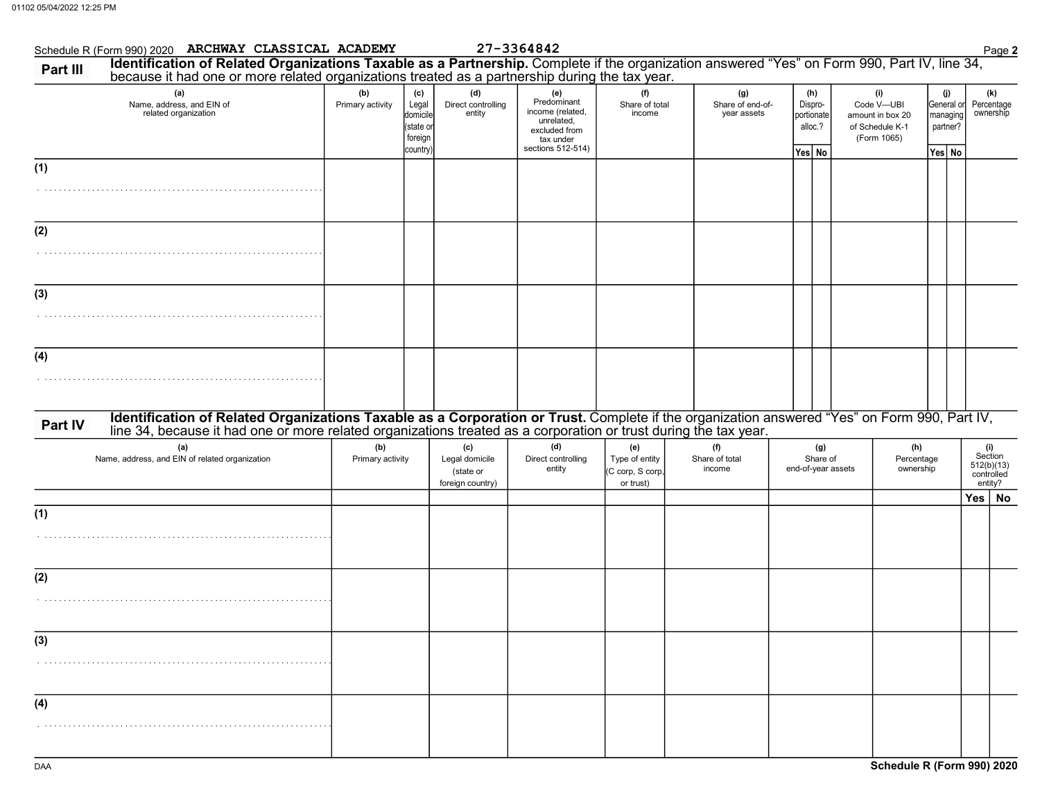| Schedule R (Form 990) 2020 ARCHWAY CLASSICAL ACADEMY<br>Identification of Related Organizations Taxable as a Partnership. Complete if the organization answered "Yes" on Form 990, Part IV, line 34, because it had one or more related organizations treated as a partnership during<br>Part III |                         |                                                             |                                                        |                                                                                                         |                                                        |                                        |                                                   |                                                                         |                                                     |  | Page 2                                                |
|---------------------------------------------------------------------------------------------------------------------------------------------------------------------------------------------------------------------------------------------------------------------------------------------------|-------------------------|-------------------------------------------------------------|--------------------------------------------------------|---------------------------------------------------------------------------------------------------------|--------------------------------------------------------|----------------------------------------|---------------------------------------------------|-------------------------------------------------------------------------|-----------------------------------------------------|--|-------------------------------------------------------|
| (a)<br>Name, address, and EIN of<br>related organization                                                                                                                                                                                                                                          | (b)<br>Primary activity | (c)<br>Legal<br>domicile<br>state or<br>foreign<br>country) | (d)<br>Direct controlling<br>entity                    | (e)<br>Predominant<br>income (related,<br>unrelated,<br>excluded from<br>tax under<br>sections 512-514) | (f)<br>Share of total<br>income                        | (g)<br>Share of end-of-<br>year assets | (h)<br>Dispro-<br>portionate<br>alloc.?<br>Yes No | (i)<br>Code V-UBI<br>amount in box 20<br>of Schedule K-1<br>(Form 1065) | (j)<br>General or<br>managing<br>partner?<br>Yes No |  | (k)<br>Percentage<br>ownership                        |
| (1)                                                                                                                                                                                                                                                                                               |                         |                                                             |                                                        |                                                                                                         |                                                        |                                        |                                                   |                                                                         |                                                     |  |                                                       |
| (2)                                                                                                                                                                                                                                                                                               |                         |                                                             |                                                        |                                                                                                         |                                                        |                                        |                                                   |                                                                         |                                                     |  |                                                       |
| (3)                                                                                                                                                                                                                                                                                               |                         |                                                             |                                                        |                                                                                                         |                                                        |                                        |                                                   |                                                                         |                                                     |  |                                                       |
| (4)                                                                                                                                                                                                                                                                                               |                         |                                                             |                                                        |                                                                                                         |                                                        |                                        |                                                   |                                                                         |                                                     |  |                                                       |
| Identification of Related Organizations Taxable as a Corporation or Trust. Complete if the organization answered "Yes" on Form 990, Part IV, line 34, because it had one or more related organizations treated as a corporatio<br>Part IV                                                         |                         |                                                             |                                                        |                                                                                                         |                                                        |                                        |                                                   |                                                                         |                                                     |  |                                                       |
| (a)<br>Name, address, and EIN of related organization                                                                                                                                                                                                                                             | (b)<br>Primary activity |                                                             | (c)<br>Legal domicile<br>(state or<br>foreign country) | (d)<br>Direct controlling<br>entity                                                                     | (e)<br>Type of entity<br>(C corp, S corp,<br>or trust) | (f)<br>Share of total<br>income        | (g)<br>Share of<br>end-of-year assets             |                                                                         | (h)<br>Percentage<br>ownership                      |  | (i)<br>Section<br>512(b)(13)<br>controlled<br>entity? |
| (1)                                                                                                                                                                                                                                                                                               |                         |                                                             |                                                        |                                                                                                         |                                                        |                                        |                                                   |                                                                         |                                                     |  | Yes   No                                              |
|                                                                                                                                                                                                                                                                                                   |                         |                                                             |                                                        |                                                                                                         |                                                        |                                        |                                                   |                                                                         |                                                     |  |                                                       |
| (2)                                                                                                                                                                                                                                                                                               |                         |                                                             |                                                        |                                                                                                         |                                                        |                                        |                                                   |                                                                         |                                                     |  |                                                       |
| (3)                                                                                                                                                                                                                                                                                               |                         |                                                             |                                                        |                                                                                                         |                                                        |                                        |                                                   |                                                                         |                                                     |  |                                                       |
|                                                                                                                                                                                                                                                                                                   |                         |                                                             |                                                        |                                                                                                         |                                                        |                                        |                                                   |                                                                         |                                                     |  |                                                       |
| (4)                                                                                                                                                                                                                                                                                               |                         |                                                             |                                                        |                                                                                                         |                                                        |                                        |                                                   |                                                                         |                                                     |  |                                                       |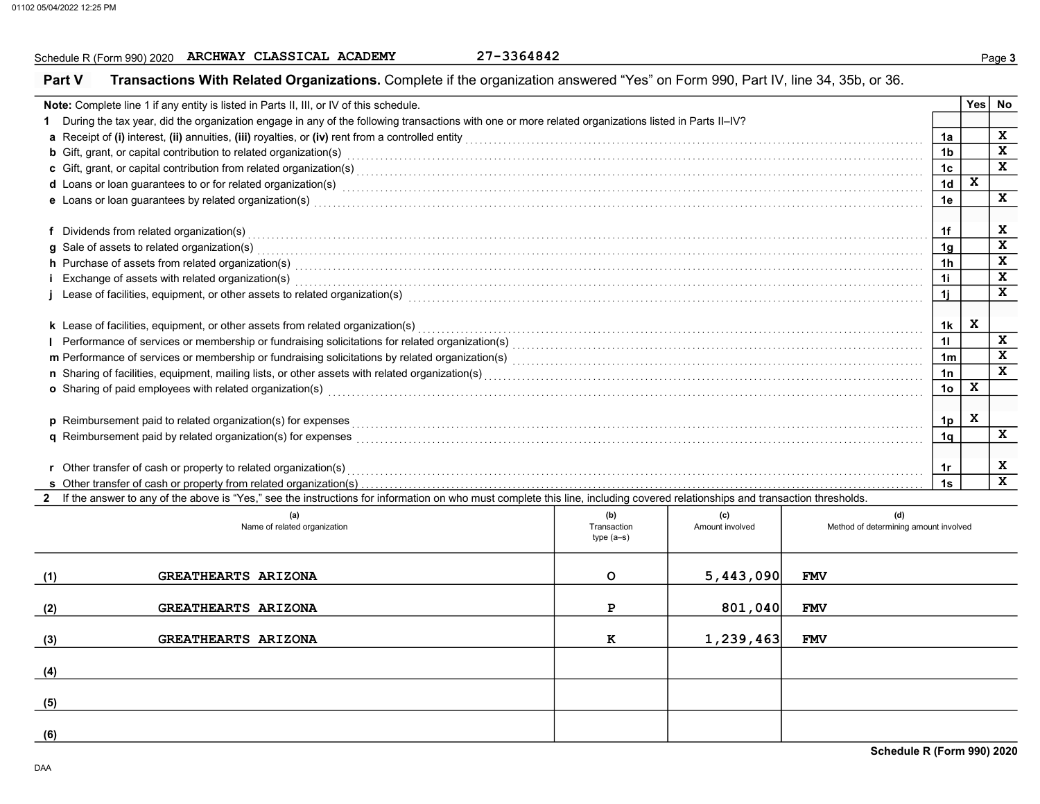#### Part V Transactions With Related Organizations. Complete if the organization answered "Yes" on Form 990, Part IV, line 34, 35b, or 36. Schedule R (Form 990) 2020 ARCHWAY CLASSICAL ACADEMY 27-3364842<br>Page 3 Note: Complete line 1 if any entity is listed in Parts II, III, or IV of this schedule. 1 During the tax year, did the organization engage in any of the following transactions with one or more related organizations listed in Parts II–IV? a Receipt of (i) interest, (ii) annuities, (iii) royalties, or (iv) rent from a controlled entity . . . . . . . . . . . . . . . . . . . . . . . . . . . . . . . . . . . . . . . . . . . . . . . . . . . . . . . . . . . . . . . . . . . . . . . . . . . . . . . . . . . . . . . . . . . . . . . . . **b** Gift, grant, or capital contribution to related organization(s) with an example conserved conserved conserved conserved conserved conserved conserved conserved conserved conserved conserved conserved conserved conserv  $\bm{c}$  Gift, grant, or capital contribution from related organization(s) with an interaction of the content of the content of the contribution from related organization(s) with an interaction of the content of the conten d Loans or loan guarantees to or for related organization(s) with an example contained and contained a contained a contained a contained a contained a contained a contained a contained a contained a contained a contained a  $e$  Loans or loan guarantees by related organization(s) with an example construction and construction construction  $\mathbf{s}$  $f$  Dividends from related organization(s) with an array construction of the construction of the construction of the construction  $\mathbf{s}_1$ g h Purchase of assets from related organization(s) with according the control of the control of the control of the control or control or control or control or control or control or control or control or control or control o i Exchange of assets with related organization(s) with according the control of the control of the control of the control or control or the control or the control or the control or the control of the control of the control j Lease of facilities, equipment, or other assets to related organization(s) . . . . . . . . . . . . . . . . . . . . . . . . . . . . . . . . . . . . . . . . . . . . . . . . . . . . . . . . . . . . . . . . . . . . . . . . . . . . . . . . . . . . . . . . . . . . . . . . . . . . . . . . . . . . . k Lease of facilities, equipment, or other assets from related organization(s) with an accommunity conservation contain an accommunity conservation of facilities, equipment, or other assets from related organization(s) wit l Performance of services or membership or fundraising solicitations for related organization(s) . . . . . . . . . . . . . . . . . . . . . . . . . . . . . . . . . . . . . . . . . . . . . . . . . . . . . . . . . . . . . . . . . . . . . . . . . . . . . . . . . . . . . . . m Performance of services or membership or fundraising solicitations by related organization(s) . . . . . . . . . . . . . . . . . . . . . . . . . . . . . . . . . . . . . . . . . . . . . . . . . . . . . . . . . . . . . . . . . . . . . . . . . . . . . . . . . . . . . . . n Sharing of facilities, equipment, mailing lists, or other assets with related organization(s)<sub>………………………………………………………………………………………</sub> o Sharing of paid employees with related organization(s) with an example construction and contained construction and construction of the state or sharing of paid employees with related organization(s) with construction and **p** Reimbursement paid to related organization(s) for expenses q Reimbursement paid by related organization(s) for expenses with an example to conserve the content of conserversion of the conserversion of Reimbursement paid by related organization(s) for expenses with conserversion of s Other transfer of cash or property from related organization(s) . . . . . . . . . . . . . . . . . . . . . . . . . . . . . . . . . . . . . . . . . . . . . . . . . . . . . . . . . . . . . . . . . . . . . . . . . . . . . . . . . . . . . . . . . . . . . . . . . . . . . . . . . . . . . . . . . . . . . . . Sale of assets to related organization(s) www.community.com/www.community.com/www.community.com/www.community.com/www.community.com/www.community.com/www.community.com/www.community.com/www.community.com/www.community.com/ Other transfer of cash or property to related organization(s) . . . . . . . . . . . . . . . . . . . . . . . . . . . . . . . . . . . . . . . . . . . . . . . . . . . . . . . . . . . . . . . . . . . . . . . . . . . . . . . . . . . . . . . . . . . . . . . . . . . . . . . . . . . . . . . . . . . . . . . . . . r 1r 1a 1b 1c 1d 1e 1f 1g 1h 1i 1j 1k 1l 1m 1n 1o 1p  $1<sub>a</sub>$ 1s Yes No 2 If the answer to any of the above is "Yes," see the instructions for information on who must complete this line, including covered relationships and transaction thresholds. Name of related organization **Name of related organization** Name of related organization type (a–s) Amount involved (a)  $\qquad \qquad$  (b)  $\qquad \qquad$  (c) (1) (d) Method of determining amount involved X X X X X X X X X X X X X X X X X X X GREATHEARTS ARIZONA O 5,443,090 FMV

GREATHEARTS ARIZONA PHOTOS REATHEARTS ARIZONA PHOTOS REATHEARTS ARIZONA

GREATHEARTS ARIZONA **EXECUTE:** THE SET OF STREATHEARTS ARIZONA

Schedule R (Form 990) 2020

(2)

(3)

(4)

(5)

(6)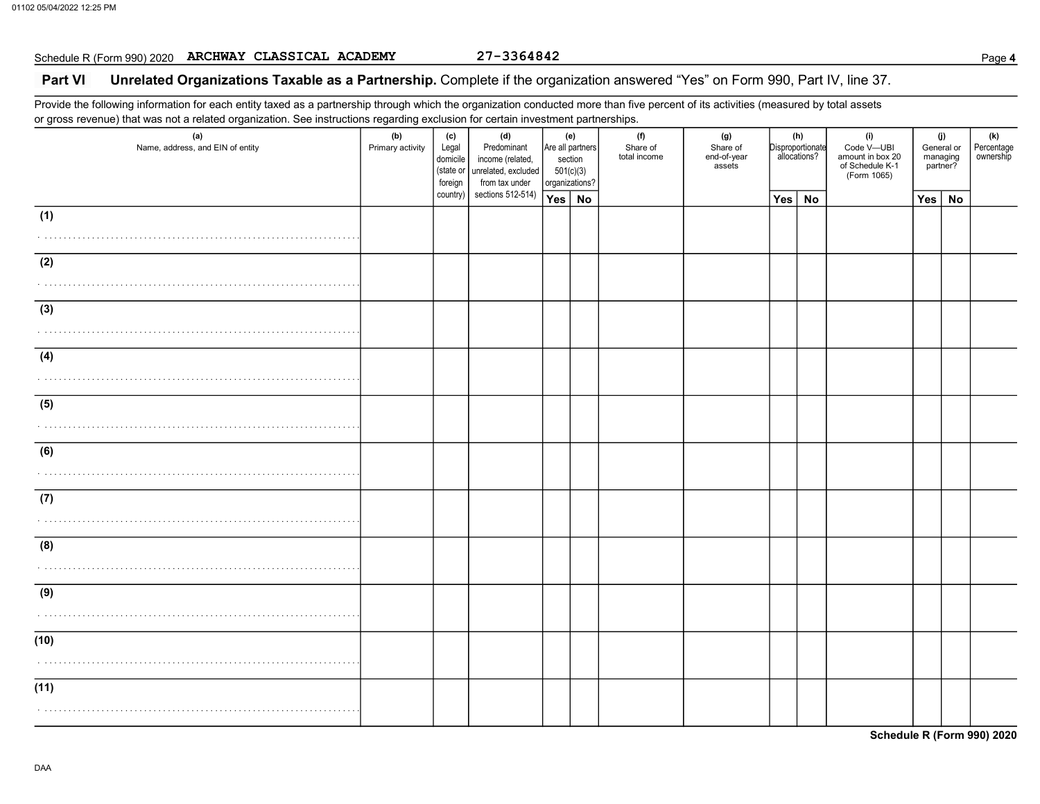## Schedule R (Form 990) 2020 ARCHWAY CLASSICAL ACADEMY 27-3364842<br>
Page 4

## Part VI Unrelated Organizations Taxable as a Partnership. Complete if the organization answered "Yes" on Form 990, Part IV, line 37.

Provide the following information for each entity taxed as a partnership through which the organization conducted more than five percent of its activities (measured by total assets or gross revenue) that was not a related organization. See instructions regarding exclusion for certain investment partnerships.

| (a)<br>Name, address, and EIN of entity | . - 9--- --- 19 -- - - - - - -<br>(c)<br>(b)<br>Primary activity<br>Legal<br>domicile<br>(state or<br>foreign |          | (d)<br>Predominant<br>income (related,<br>unrelated, excluded<br>from tax under | (e)<br>Are all partners<br>section<br>501(c)(3)<br>organizations? |  | (f)<br>Share of<br>total income | (g)<br>Share of<br>end-of-year<br>assets | (h)<br>Disproportionate<br>allocations? |           | (i)<br>Code V-UBI<br>amount in box 20<br>of Schedule K-1<br>(Form 1065) | (j)<br>General or<br>managing<br>partner?<br>Yes   No |  | (k)<br>Percentage<br>ownership |
|-----------------------------------------|---------------------------------------------------------------------------------------------------------------|----------|---------------------------------------------------------------------------------|-------------------------------------------------------------------|--|---------------------------------|------------------------------------------|-----------------------------------------|-----------|-------------------------------------------------------------------------|-------------------------------------------------------|--|--------------------------------|
|                                         |                                                                                                               | country) | sections 512-514)                                                               | Yes   No                                                          |  |                                 |                                          | Yes                                     | <b>No</b> |                                                                         |                                                       |  |                                |
| (1)                                     |                                                                                                               |          |                                                                                 |                                                                   |  |                                 |                                          |                                         |           |                                                                         |                                                       |  |                                |
| (2)                                     |                                                                                                               |          |                                                                                 |                                                                   |  |                                 |                                          |                                         |           |                                                                         |                                                       |  |                                |
| .                                       |                                                                                                               |          |                                                                                 |                                                                   |  |                                 |                                          |                                         |           |                                                                         |                                                       |  |                                |
| (3)                                     |                                                                                                               |          |                                                                                 |                                                                   |  |                                 |                                          |                                         |           |                                                                         |                                                       |  |                                |
|                                         |                                                                                                               |          |                                                                                 |                                                                   |  |                                 |                                          |                                         |           |                                                                         |                                                       |  |                                |
| (4)<br>.                                |                                                                                                               |          |                                                                                 |                                                                   |  |                                 |                                          |                                         |           |                                                                         |                                                       |  |                                |
| (5)                                     |                                                                                                               |          |                                                                                 |                                                                   |  |                                 |                                          |                                         |           |                                                                         |                                                       |  |                                |
|                                         |                                                                                                               |          |                                                                                 |                                                                   |  |                                 |                                          |                                         |           |                                                                         |                                                       |  |                                |
| (6)                                     |                                                                                                               |          |                                                                                 |                                                                   |  |                                 |                                          |                                         |           |                                                                         |                                                       |  |                                |
| (7)                                     |                                                                                                               |          |                                                                                 |                                                                   |  |                                 |                                          |                                         |           |                                                                         |                                                       |  |                                |
|                                         |                                                                                                               |          |                                                                                 |                                                                   |  |                                 |                                          |                                         |           |                                                                         |                                                       |  |                                |
| (8)                                     |                                                                                                               |          |                                                                                 |                                                                   |  |                                 |                                          |                                         |           |                                                                         |                                                       |  |                                |
| (9)                                     |                                                                                                               |          |                                                                                 |                                                                   |  |                                 |                                          |                                         |           |                                                                         |                                                       |  |                                |
|                                         |                                                                                                               |          |                                                                                 |                                                                   |  |                                 |                                          |                                         |           |                                                                         |                                                       |  |                                |
| (10)                                    |                                                                                                               |          |                                                                                 |                                                                   |  |                                 |                                          |                                         |           |                                                                         |                                                       |  |                                |
| (11)                                    |                                                                                                               |          |                                                                                 |                                                                   |  |                                 |                                          |                                         |           |                                                                         |                                                       |  |                                |
|                                         |                                                                                                               |          |                                                                                 |                                                                   |  |                                 |                                          |                                         |           |                                                                         |                                                       |  |                                |

Schedule R (Form 990) 2020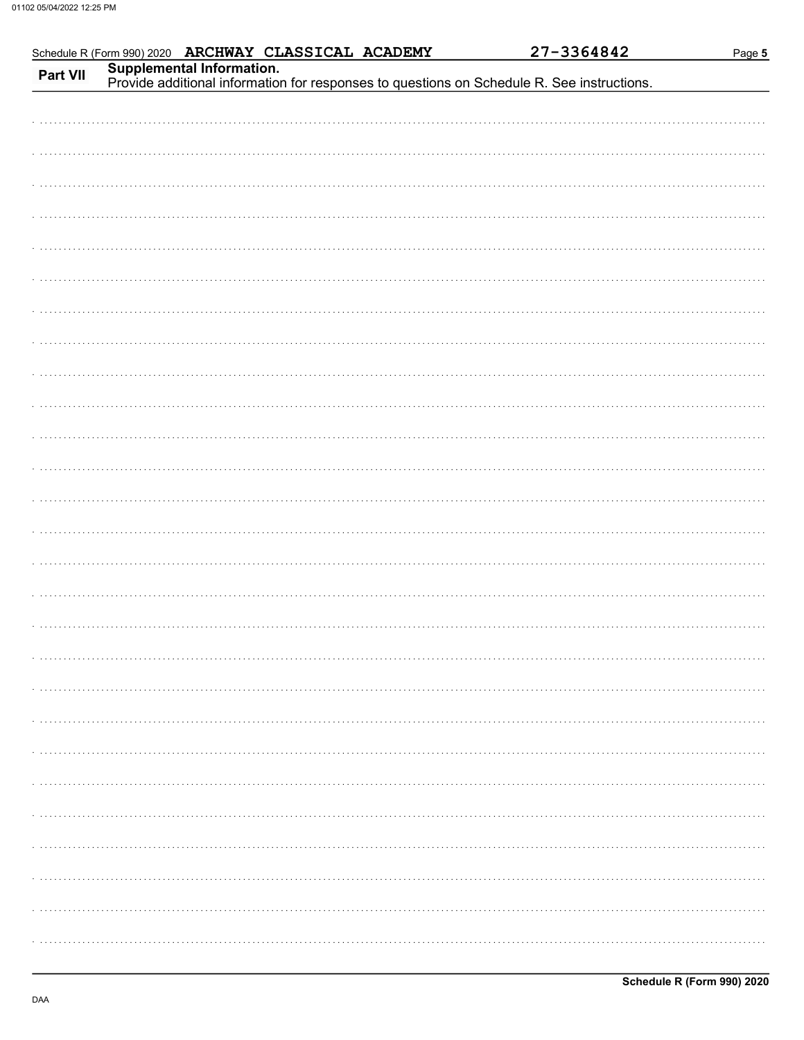| Schedule R (Form 990) 2020 ARCHWAY CLASSICAL ACADEMY | 27-3364842                                                                                                              | Page 5 |
|------------------------------------------------------|-------------------------------------------------------------------------------------------------------------------------|--------|
| Part VII                                             | Supplemental Information.<br>Provide additional information for responses to questions on Schedule R. See instructions. |        |
|                                                      |                                                                                                                         |        |
|                                                      |                                                                                                                         |        |
|                                                      |                                                                                                                         |        |
|                                                      |                                                                                                                         |        |
|                                                      |                                                                                                                         |        |
|                                                      |                                                                                                                         |        |
|                                                      |                                                                                                                         |        |
|                                                      |                                                                                                                         |        |
|                                                      |                                                                                                                         |        |
|                                                      |                                                                                                                         |        |
|                                                      |                                                                                                                         |        |
|                                                      |                                                                                                                         |        |
|                                                      |                                                                                                                         |        |
|                                                      |                                                                                                                         |        |
|                                                      |                                                                                                                         |        |
|                                                      |                                                                                                                         |        |
|                                                      |                                                                                                                         |        |
|                                                      |                                                                                                                         |        |
|                                                      |                                                                                                                         |        |
|                                                      |                                                                                                                         |        |
|                                                      |                                                                                                                         |        |
|                                                      |                                                                                                                         |        |
|                                                      |                                                                                                                         |        |
|                                                      |                                                                                                                         |        |
|                                                      |                                                                                                                         |        |
|                                                      |                                                                                                                         |        |
|                                                      |                                                                                                                         |        |
|                                                      |                                                                                                                         |        |
|                                                      |                                                                                                                         |        |
|                                                      |                                                                                                                         |        |

| 27-3364842 |  |  |  |  |
|------------|--|--|--|--|
|------------|--|--|--|--|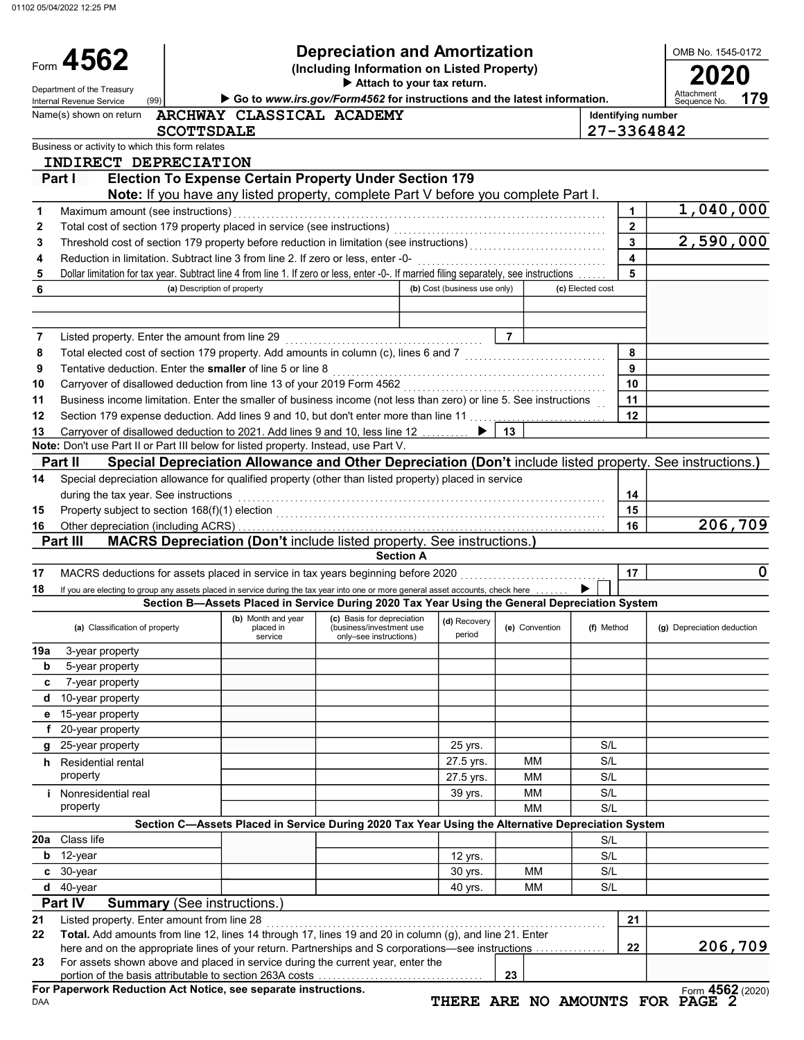01102 05/04/2022 12:25 PM

| <b>Depreciation and Amortization</b> |
|--------------------------------------|
|                                      |

|         |                                                                                                                                                                                       |                             |                                                                                                   | <b>Depreciation and Amortization</b>                                              |                  |                              |                |                  |                         | OMB No. 1545-0172                                                                                        |
|---------|---------------------------------------------------------------------------------------------------------------------------------------------------------------------------------------|-----------------------------|---------------------------------------------------------------------------------------------------|-----------------------------------------------------------------------------------|------------------|------------------------------|----------------|------------------|-------------------------|----------------------------------------------------------------------------------------------------------|
|         | Form 4562                                                                                                                                                                             |                             |                                                                                                   | (Including Information on Listed Property)                                        |                  |                              |                |                  |                         | <b>2020</b>                                                                                              |
|         | Department of the Treasury                                                                                                                                                            |                             |                                                                                                   | Attach to your tax return.                                                        |                  |                              |                |                  |                         |                                                                                                          |
|         | (99)<br>Internal Revenue Service                                                                                                                                                      |                             | Go to www.irs.gov/Form4562 for instructions and the latest information.                           |                                                                                   |                  |                              |                |                  |                         | Attachment<br>179<br>Sequence No.                                                                        |
|         | Name(s) shown on return                                                                                                                                                               |                             | ARCHWAY CLASSICAL ACADEMY                                                                         |                                                                                   |                  |                              |                |                  |                         | <b>Identifying number</b>                                                                                |
|         |                                                                                                                                                                                       | <b>SCOTTSDALE</b>           |                                                                                                   |                                                                                   |                  |                              |                |                  |                         | 27-3364842                                                                                               |
|         | Business or activity to which this form relates                                                                                                                                       |                             |                                                                                                   |                                                                                   |                  |                              |                |                  |                         |                                                                                                          |
|         | INDIRECT DEPRECIATION                                                                                                                                                                 |                             |                                                                                                   |                                                                                   |                  |                              |                |                  |                         |                                                                                                          |
|         | Part I                                                                                                                                                                                |                             | <b>Election To Expense Certain Property Under Section 179</b>                                     |                                                                                   |                  |                              |                |                  |                         |                                                                                                          |
|         |                                                                                                                                                                                       |                             | Note: If you have any listed property, complete Part V before you complete Part I.                |                                                                                   |                  |                              |                |                  |                         |                                                                                                          |
| 1       | Maximum amount (see instructions)                                                                                                                                                     |                             |                                                                                                   |                                                                                   |                  |                              |                |                  | 1                       | 1,040,000                                                                                                |
| 2       |                                                                                                                                                                                       |                             |                                                                                                   |                                                                                   |                  |                              |                |                  | $\mathbf{2}$<br>3       | 2,590,000                                                                                                |
| 3       |                                                                                                                                                                                       |                             |                                                                                                   |                                                                                   |                  |                              |                |                  | $\overline{\mathbf{4}}$ |                                                                                                          |
| 4       |                                                                                                                                                                                       |                             |                                                                                                   |                                                                                   |                  |                              |                |                  | 5                       |                                                                                                          |
| 5       | Dollar limitation for tax year. Subtract line 4 from line 1. If zero or less, enter -0-. If married filing separately, see instructions                                               |                             |                                                                                                   |                                                                                   |                  | (b) Cost (business use only) |                | (c) Elected cost |                         |                                                                                                          |
| 6       |                                                                                                                                                                                       | (a) Description of property |                                                                                                   |                                                                                   |                  |                              |                |                  |                         |                                                                                                          |
|         |                                                                                                                                                                                       |                             |                                                                                                   |                                                                                   |                  |                              |                |                  |                         |                                                                                                          |
| 7       |                                                                                                                                                                                       |                             |                                                                                                   |                                                                                   |                  |                              | $\overline{7}$ |                  |                         |                                                                                                          |
|         | Listed property. Enter the amount from line 29<br>Total elected cost of section 179 property. Add amounts in column (c), lines 6 and 7 [[[[[[[[[[[[[[[[[[[[[[[[                       |                             |                                                                                                   |                                                                                   |                  |                              |                |                  | 8                       |                                                                                                          |
| 8       | Tentative deduction. Enter the smaller of line 5 or line 8                                                                                                                            |                             |                                                                                                   |                                                                                   |                  |                              |                |                  | 9                       |                                                                                                          |
| 9<br>10 |                                                                                                                                                                                       |                             |                                                                                                   |                                                                                   |                  |                              |                |                  | 10                      |                                                                                                          |
| 11      | Business income limitation. Enter the smaller of business income (not less than zero) or line 5. See instructions                                                                     |                             |                                                                                                   |                                                                                   |                  |                              |                |                  | 11                      |                                                                                                          |
| 12      | Section 179 expense deduction. Add lines 9 and 10, but don't enter more than line 11                                                                                                  |                             |                                                                                                   |                                                                                   |                  |                              |                |                  | 12                      |                                                                                                          |
| 13      | Carryover of disallowed deduction to 2021. Add lines 9 and 10, less line 12                                                                                                           |                             |                                                                                                   |                                                                                   |                  |                              | 13             |                  |                         |                                                                                                          |
|         | Note: Don't use Part II or Part III below for listed property. Instead, use Part V.                                                                                                   |                             |                                                                                                   |                                                                                   |                  |                              |                |                  |                         |                                                                                                          |
|         | <b>Part II</b>                                                                                                                                                                        |                             |                                                                                                   |                                                                                   |                  |                              |                |                  |                         | Special Depreciation Allowance and Other Depreciation (Don't include listed property. See instructions.) |
| 14      | Special depreciation allowance for qualified property (other than listed property) placed in service                                                                                  |                             |                                                                                                   |                                                                                   |                  |                              |                |                  |                         |                                                                                                          |
|         | during the tax year. See instructions                                                                                                                                                 |                             |                                                                                                   |                                                                                   |                  |                              |                |                  | 14                      |                                                                                                          |
| 15      |                                                                                                                                                                                       |                             |                                                                                                   |                                                                                   |                  |                              |                |                  | 15                      |                                                                                                          |
| 16      |                                                                                                                                                                                       |                             |                                                                                                   |                                                                                   |                  |                              |                |                  | 16                      | 206,709                                                                                                  |
|         | Part III                                                                                                                                                                              |                             | <b>MACRS Depreciation (Don't include listed property. See instructions.)</b>                      |                                                                                   |                  |                              |                |                  |                         |                                                                                                          |
|         |                                                                                                                                                                                       |                             |                                                                                                   |                                                                                   | <b>Section A</b> |                              |                |                  |                         |                                                                                                          |
| 17      | MACRS deductions for assets placed in service in tax years beginning before 2020                                                                                                      |                             |                                                                                                   |                                                                                   |                  |                              |                |                  | 17                      | 0                                                                                                        |
| 18      | If you are electing to group any assets placed in service during the tax year into one or more general asset accounts, check here                                                     |                             |                                                                                                   |                                                                                   |                  |                              |                |                  |                         |                                                                                                          |
|         |                                                                                                                                                                                       |                             | Section B-Assets Placed in Service During 2020 Tax Year Using the General Depreciation System     |                                                                                   |                  |                              |                |                  |                         |                                                                                                          |
|         | (a) Classification of property                                                                                                                                                        |                             | (b) Month and year<br>placed in<br>service                                                        | (c) Basis for depreciation<br>(business/investment use)<br>only-see instructions) |                  | (d) Recovery<br>period       | (e) Convention | (f) Method       |                         | (g) Depreciation deduction                                                                               |
| 19a     | 3-year property                                                                                                                                                                       |                             |                                                                                                   |                                                                                   |                  |                              |                |                  |                         |                                                                                                          |
| b       | 5-year property                                                                                                                                                                       |                             |                                                                                                   |                                                                                   |                  |                              |                |                  |                         |                                                                                                          |
| c       | 7-year property                                                                                                                                                                       |                             |                                                                                                   |                                                                                   |                  |                              |                |                  |                         |                                                                                                          |
| d       | 10-year property                                                                                                                                                                      |                             |                                                                                                   |                                                                                   |                  |                              |                |                  |                         |                                                                                                          |
| е       | 15-year property                                                                                                                                                                      |                             |                                                                                                   |                                                                                   |                  |                              |                |                  |                         |                                                                                                          |
| f       | 20-year property                                                                                                                                                                      |                             |                                                                                                   |                                                                                   |                  |                              |                |                  |                         |                                                                                                          |
| g       | 25-year property                                                                                                                                                                      |                             |                                                                                                   |                                                                                   |                  | 25 yrs.                      |                | S/L              |                         |                                                                                                          |
|         | <b>h</b> Residential rental                                                                                                                                                           |                             |                                                                                                   |                                                                                   |                  | 27.5 yrs.                    | МM             | S/L              |                         |                                                                                                          |
|         | property                                                                                                                                                                              |                             |                                                                                                   |                                                                                   |                  | 27.5 yrs.                    | <b>MM</b>      | S/L              |                         |                                                                                                          |
|         | <i>i</i> Nonresidential real                                                                                                                                                          |                             |                                                                                                   |                                                                                   |                  | 39 yrs.                      | МM             | S/L              |                         |                                                                                                          |
|         | property                                                                                                                                                                              |                             |                                                                                                   |                                                                                   |                  |                              | <b>MM</b>      | S/L              |                         |                                                                                                          |
|         |                                                                                                                                                                                       |                             | Section C-Assets Placed in Service During 2020 Tax Year Using the Alternative Depreciation System |                                                                                   |                  |                              |                |                  |                         |                                                                                                          |
| 20a     | Class life                                                                                                                                                                            |                             |                                                                                                   |                                                                                   |                  |                              |                | S/L              |                         |                                                                                                          |
| b       | 12-year                                                                                                                                                                               |                             |                                                                                                   |                                                                                   |                  | 12 yrs.                      |                | S/L              |                         |                                                                                                          |
| c       | 30-year                                                                                                                                                                               |                             |                                                                                                   |                                                                                   |                  | 30 yrs.                      | <b>MM</b>      | S/L              |                         |                                                                                                          |
| d       | 40-year                                                                                                                                                                               |                             |                                                                                                   |                                                                                   |                  | 40 yrs.                      | МM             | S/L              |                         |                                                                                                          |
|         | Part IV                                                                                                                                                                               |                             | <b>Summary</b> (See instructions.)                                                                |                                                                                   |                  |                              |                |                  |                         |                                                                                                          |
| 21      | Listed property. Enter amount from line 28                                                                                                                                            |                             |                                                                                                   |                                                                                   |                  |                              |                |                  | 21                      |                                                                                                          |
| 22      | Total. Add amounts from line 12, lines 14 through 17, lines 19 and 20 in column (g), and line 21. Enter                                                                               |                             |                                                                                                   |                                                                                   |                  |                              |                |                  |                         |                                                                                                          |
| 23      | here and on the appropriate lines of your return. Partnerships and S corporations—see instructions<br>For assets shown above and placed in service during the current year, enter the |                             |                                                                                                   |                                                                                   |                  |                              |                |                  | 22                      | 206,709                                                                                                  |
|         |                                                                                                                                                                                       |                             |                                                                                                   |                                                                                   |                  |                              |                |                  |                         |                                                                                                          |

portion of the basis attributable to section 263A costs . . . . . . . . . . . . . . . . . . . . . . . . . . . . . . . . . . .

DAA For Paperwork Reduction Act Notice, see separate instructions. 23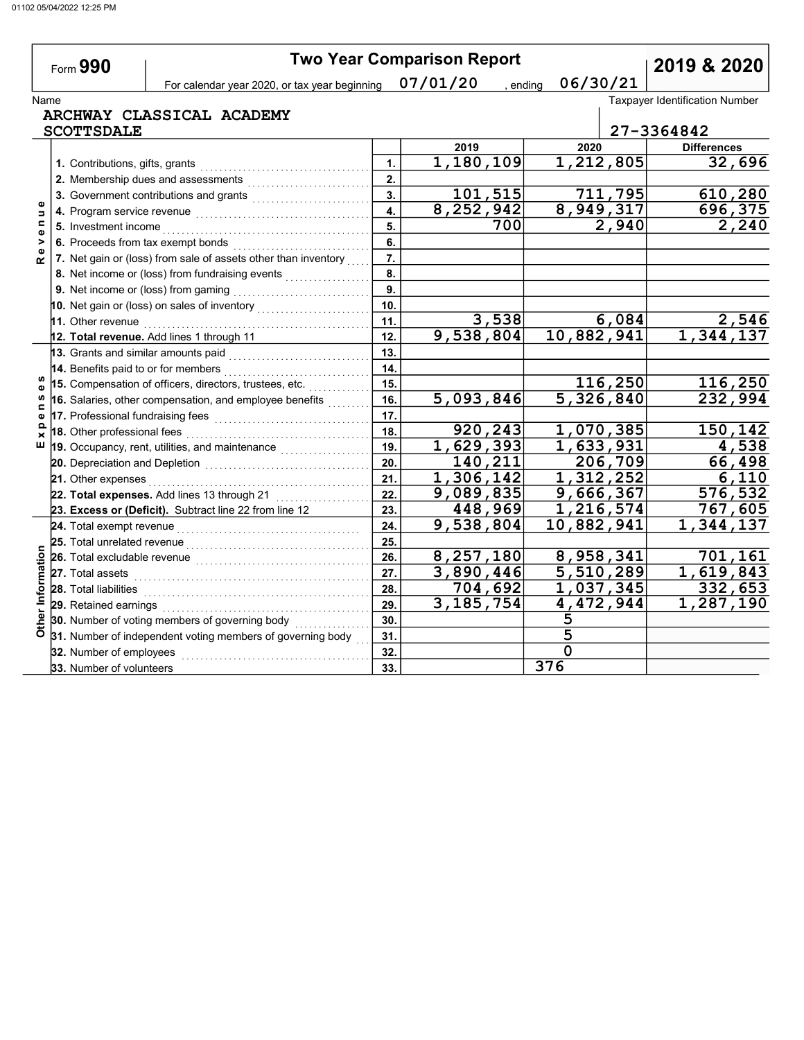|                               | Form $990$                                 |                                                                                         |                  | <b>Two Year Comparison Report</b> |                           | 2019 & 2020                           |
|-------------------------------|--------------------------------------------|-----------------------------------------------------------------------------------------|------------------|-----------------------------------|---------------------------|---------------------------------------|
| Name                          |                                            | For calendar year 2020, or tax year beginning $07/01/20$                                |                  |                                   | 06/30/21<br>, ending      | <b>Taxpayer Identification Number</b> |
|                               |                                            | ARCHWAY CLASSICAL ACADEMY                                                               |                  |                                   |                           |                                       |
|                               | <b>SCOTTSDALE</b>                          |                                                                                         |                  |                                   |                           | 27-3364842                            |
|                               |                                            |                                                                                         |                  | 2019                              | 2020                      | <b>Differences</b>                    |
|                               | 1. Contributions, gifts, grants            |                                                                                         | $\mathbf 1$ .    | 1,180,109                         | 1,212,805                 | 32,696                                |
|                               |                                            |                                                                                         | $\overline{2}$ . |                                   |                           |                                       |
|                               |                                            | 3. Government contributions and grants [11] [11] Covernment Contributions and grants    | $\overline{3}$ . | 101,515                           | 711,795                   | 610,280                               |
| Φ<br>$\overline{\phantom{0}}$ |                                            |                                                                                         | 4.               | 8,252,942                         | 8,949,317                 | 696,375                               |
| $\blacksquare$                | 5. Investment income                       |                                                                                         | 5.               | 700                               | 2,940                     | 2,240                                 |
| $\bullet$<br>>                | 6. Proceeds from tax exempt bonds          | .                                                                                       | 6.               |                                   |                           |                                       |
| Ф<br>œ                        |                                            | 7. Net gain or (loss) from sale of assets other than inventory                          | 7.               |                                   |                           |                                       |
|                               |                                            | 8. Net income or (loss) from fundraising events                                         | 8.               |                                   |                           |                                       |
|                               |                                            |                                                                                         | 9.               |                                   |                           |                                       |
|                               |                                            | 10. Net gain or (loss) on sales of inventory $\begin{array}{ c c c }\hline \end{array}$ | 10.              |                                   |                           |                                       |
|                               | 11. Other revenue                          | .                                                                                       | 11.              | 3,538                             | 6,084                     | 2,546                                 |
|                               |                                            | 12. Total revenue. Add lines 1 through 11                                               | 12.              | 9,538,804                         | 10,882,941                | 1,344,137                             |
|                               | <b>13.</b> Grants and similar amounts paid |                                                                                         | 13.              |                                   |                           |                                       |
|                               | 14. Benefits paid to or for members        |                                                                                         | 14.              |                                   |                           |                                       |
|                               |                                            | 15. Compensation of officers, directors, trustees, etc.                                 | 15.              |                                   | 116,250                   | 116,250                               |
|                               |                                            | 16. Salaries, other compensation, and employee benefits                                 | 16.              | 5,093,846                         | 5,326,840                 | 232,994                               |
| $\blacksquare$<br>Ф           | 17. Professional fundraising fees          |                                                                                         | 17.              |                                   |                           |                                       |
| Q                             | 18. Other professional fees                |                                                                                         | 18.              | 920,243                           | 1,070,385                 | 150,142                               |
| ш                             |                                            | 19. Occupancy, rent, utilities, and maintenance <i>[[[[[[[[[[[[[[[[[[[[[[]]]]]</i>      | 19               | 1,629,393                         | 1,633,931                 | 4,538                                 |
|                               |                                            |                                                                                         | 20.              | 140,211                           | 206,709                   | 66,498                                |
|                               |                                            | 21. Other expenses <b>constant of the expenses</b>                                      | 21.              | 1,306,142                         | 1,312,252                 | 6,110                                 |
|                               |                                            |                                                                                         | 22.              | 9,089,835                         | 9,666,367                 | 576,532                               |
|                               |                                            | 23. Excess or (Deficit). Subtract line 22 from line 12                                  | 23.              | 448,969                           | $\overline{1}$ , 216, 574 | 767,605                               |
|                               |                                            |                                                                                         | 24.              | 9,538,804                         | 10,882,941                | 1,344,137                             |
|                               | 25. Total unrelated revenue                |                                                                                         | 25.              |                                   |                           |                                       |
|                               | 26. Total excludable revenue               |                                                                                         | 26.              | 8,257,180                         | 8,958,341                 | 701,161                               |
|                               |                                            |                                                                                         | 27.              | 3,890,446                         | 5,510,289                 | 1,619,843                             |
| Other Information             | <b>28.</b> Total liabilities               |                                                                                         | 28.              | 704,692                           | 1,037,345                 | 332,653                               |
|                               | 29. Retained earnings                      |                                                                                         | 29.              | 3,185,754                         | 4,472,944                 | 1,287,190                             |
|                               |                                            | 30. Number of voting members of governing body                                          | 30.              |                                   | 5                         |                                       |
|                               |                                            | 31. Number of independent voting members of governing body                              | 31.              |                                   | 5                         |                                       |
|                               | 32. Number of employees                    |                                                                                         | 32.              |                                   | $\mathbf 0$               |                                       |
|                               | 33. Number of volunteers                   |                                                                                         | 33.              |                                   | 376                       |                                       |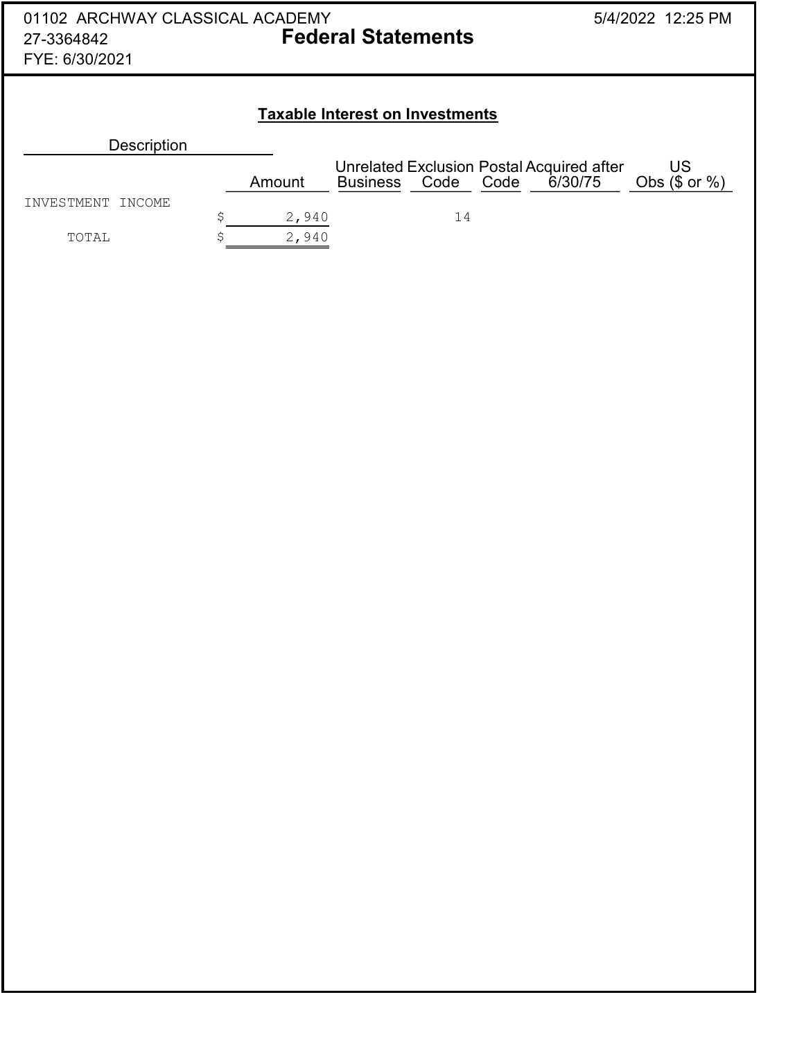| 01102 ARCHWAY CLASSICAL ACADEMY<br>27-3364842<br>FYE: 6/30/2021 |             | <b>Federal Statements</b>              |      |      |                                                      | 5/4/2022 12:25 PM        |
|-----------------------------------------------------------------|-------------|----------------------------------------|------|------|------------------------------------------------------|--------------------------|
|                                                                 |             | <b>Taxable Interest on Investments</b> |      |      |                                                      |                          |
| <b>Description</b>                                              |             |                                        |      |      |                                                      |                          |
|                                                                 | Amount      | <b>Business</b>                        | Code | Code | Unrelated Exclusion Postal Acquired after<br>6/30/75 | US<br>Obs $(\$$ or $%$ ) |
| INCOME<br>INVESTMENT                                            | \$<br>2,940 |                                        | 14   |      |                                                      |                          |

TOTAL \$ 2,940